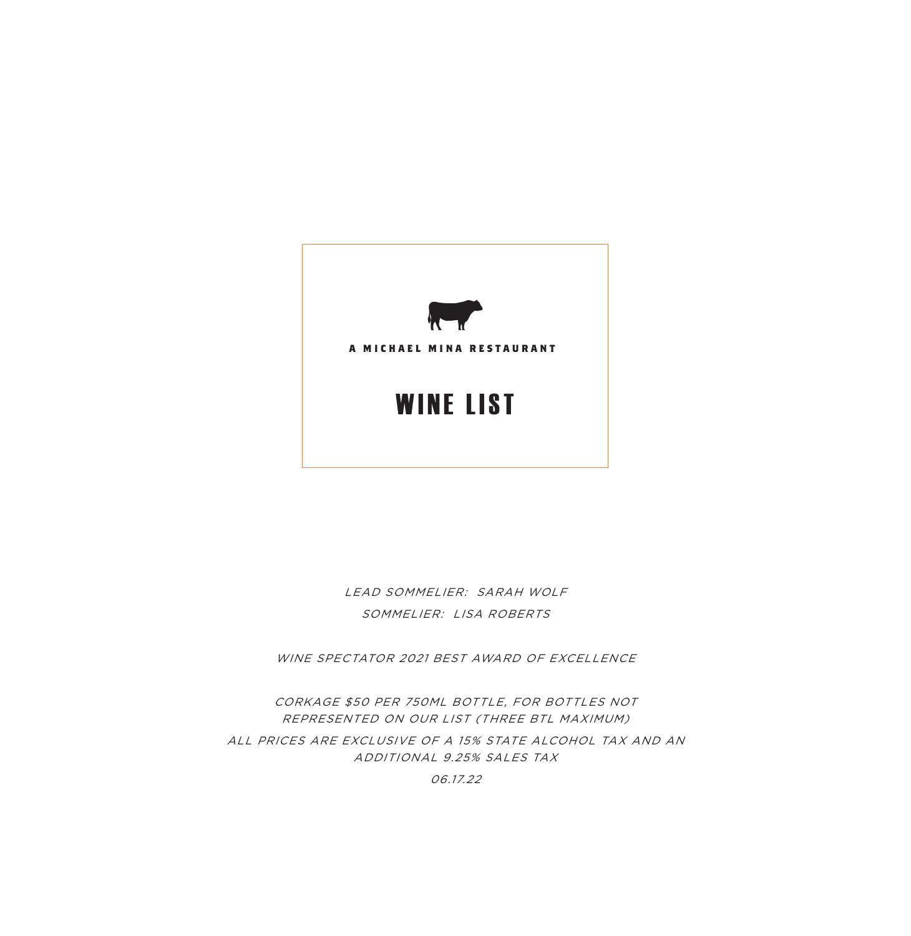

LEAD SOMMELIER: SARAH WOLF SOMMELIER: LISA ROBERTS

WINE SPECTATOR 2021 BEST AWARD OF EXCELLENCE

CORKAGE \$50 PER 750ML BOTTLE, FOR BOTTLES NOT REPRESENTED ON OUR LIST (THREE BTL MAXIMUM) ALL PRICES ARE EXCLUSIVE OF A 15% STATE ALCOHOL TAX AND AN ADDITIONAL 9.25% SALES TAX

06.17.22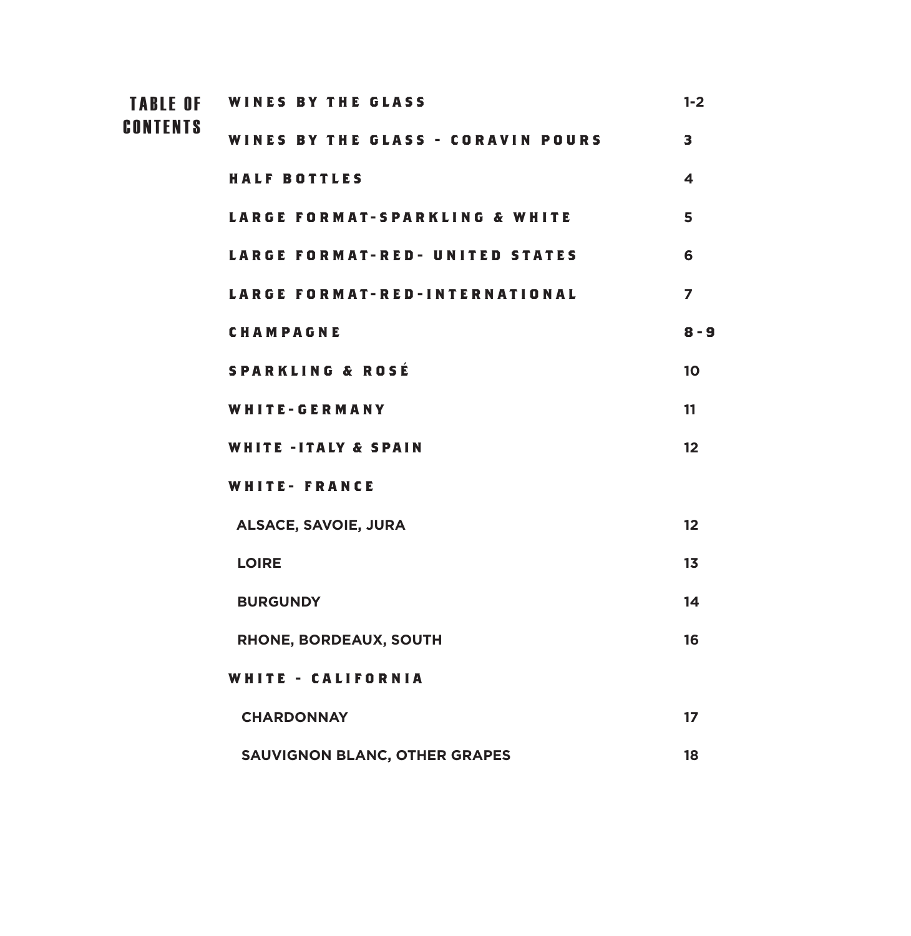| <b>TABLE OF</b> | <b>WINES BY THE GLASS</b>              | $1 - 2$                 |
|-----------------|----------------------------------------|-------------------------|
| <b>CONTENTS</b> | WINES BY THE GLASS - CORAVIN POURS     | 3                       |
|                 | <b>HALF BOTTLES</b>                    | $\overline{\mathbf{4}}$ |
|                 | LARGE FORMAT-SPARKLING & WHITE         | 5                       |
|                 | <b>LARGE FORMAT-RED- UNITED STATES</b> | 6                       |
|                 | <b>LARGE FORMAT-RED-INTERNATIONAL</b>  | $\overline{z}$          |
|                 | CHAMPAGNE                              | $8 - 9$                 |
|                 | <b>SPARKLING &amp; ROSÉ</b>            | 10                      |
|                 | WHITE-GERMANY                          | 11                      |
|                 | <b>WHITE-ITALY &amp; SPAIN</b>         | 12                      |
|                 | <b>WHITE- FRANCE</b>                   |                         |
|                 | <b>ALSACE, SAVOIE, JURA</b>            | 12                      |
|                 | <b>LOIRE</b>                           | 13                      |
|                 | <b>BURGUNDY</b>                        | 14                      |
|                 | RHONE, BORDEAUX, SOUTH                 | 16                      |
|                 | <b>WHITE - CALIFORNIA</b>              |                         |
|                 | <b>CHARDONNAY</b>                      | 17                      |
|                 | <b>SAUVIGNON BLANC, OTHER GRAPES</b>   | 18                      |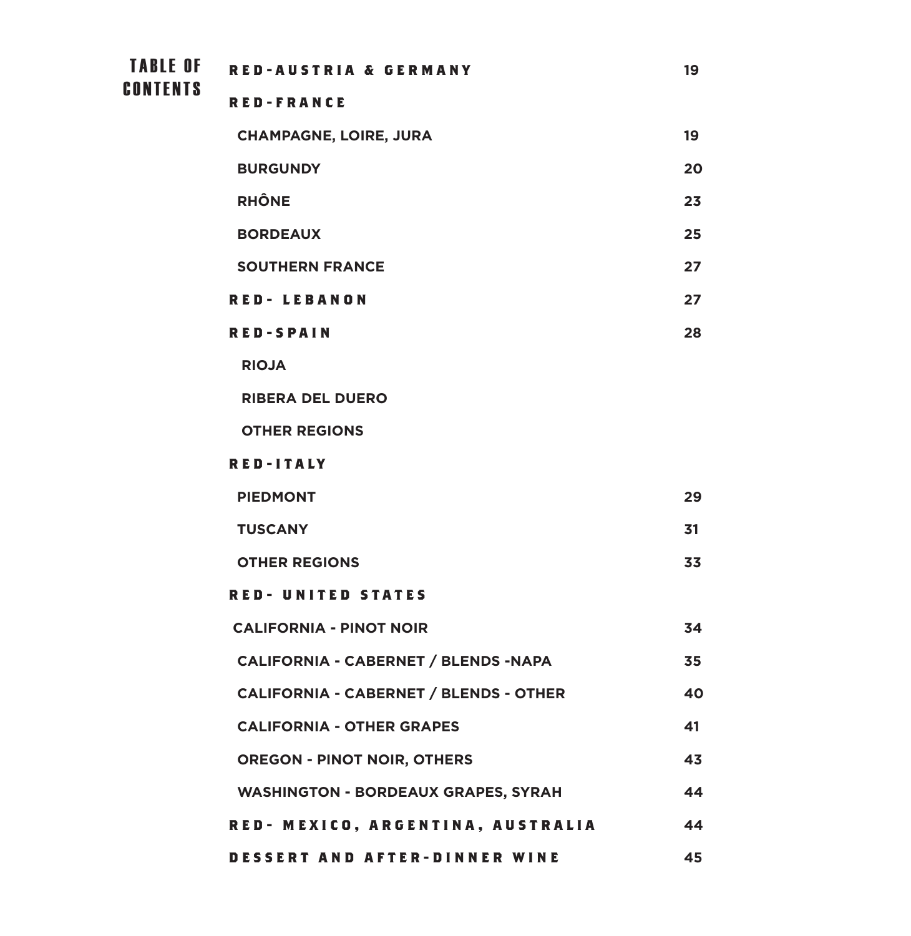TABLE OF RED-AUSTRIA & GERMANY **19 RED-FRANCE CHAMPAGNE, LOIRE, JURA 19 BURGUNDY 20 RHÔNE 23 BORDEAUX 25 SOUTHERN FRANCE 27 RED- LEBANON 27 RED-SPAIN 28 RIOJA RIBERA DEL DUERO OTHER REGIONS RED-ITALY PIEDMONT 29 TUSCANY 31 OTHER REGIONS 33 RED- UNITED STATES CALIFORNIA - PINOT NOIR 34 CALIFORNIA - CABERNET / BLENDS -NAPA 35 CALIFORNIA - CABERNET / BLENDS - OTHER 40 CALIFORNIA - OTHER GRAPES 41 OREGON - PINOT NOIR, OTHERS 43 WASHINGTON - BORDEAUX GRAPES, SYRAH 44 RED- MEXICO, ARGENTINA, AUSTRALIA 44 CONTENTS** 

**DESSERT AND AFTER-DINNER WINE 45**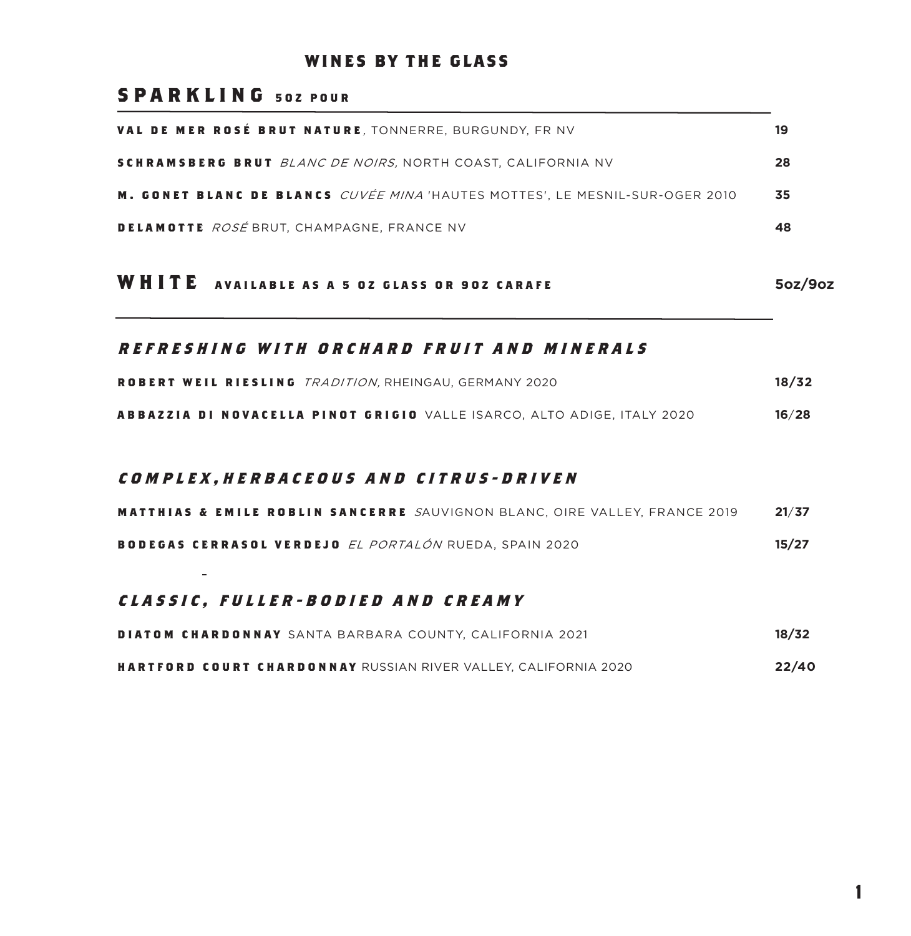#### **WINES BY THE GLASS**

#### **SPARKLING 502 POUR**

| VAL DE MER ROSÉ BRUT NATURE, TONNERRE, BURGUNDY, FR NV                       | 19 |
|------------------------------------------------------------------------------|----|
| SCHRAMSBERG BRUT <i>blanc de noirs,</i> north coast, california nv           | 28 |
| M. GONET BLANC DE BLANCS CUVÉE MINA 'HAUTES MOTTES', LE MESNIL-SUR-OGER 2010 | 35 |
| DELAMOTTE ROSÉ BRUT, CHAMPAGNE, FRANCE NV                                    | 48 |

#### **WHITE AVAILABLE AS A 5 OZ GLASS OR 9OZ CARAFE 5oz/9oz**

#### **REFRESHING WITH ORCHARD FRUIT AND MINERALS**

| ROBERT WEIL RIESLING <i>tradition.</i> Rheingau. Germany 2020           | 18/32 |
|-------------------------------------------------------------------------|-------|
| ABBAZZIA DI NOVACELLA PINOT GRIGIO VALLE ISARCO, ALTO ADIGE, ITALY 2020 | 16/28 |

#### **COMPLEX,HERBACEOUS AND CITRUS-DRIVEN**

|  |  |                                                               |  | <b>MATTHIAS &amp; EMILE ROBLIN SANCERRE</b> SAUVIGNON BLANC, OIRE VALLEY, FRANCE 2019 | 21/37 |
|--|--|---------------------------------------------------------------|--|---------------------------------------------------------------------------------------|-------|
|  |  | BODEGAS CERRASOL VERDEJO <i>el portalón</i> rueda. Spain 2020 |  |                                                                                       | 15/27 |

#### **CLASSIC, FULLER-BODIED AND CREAMY**

| DIATOM CHARDONNAY SANTA BARBARA COUNTY. CALIFORNIA 2021         | 18/32 |
|-----------------------------------------------------------------|-------|
| HARTFORD COURT CHARDONNAY RUSSIAN RIVER VALLEY. CALIFORNIA 2020 | 22/40 |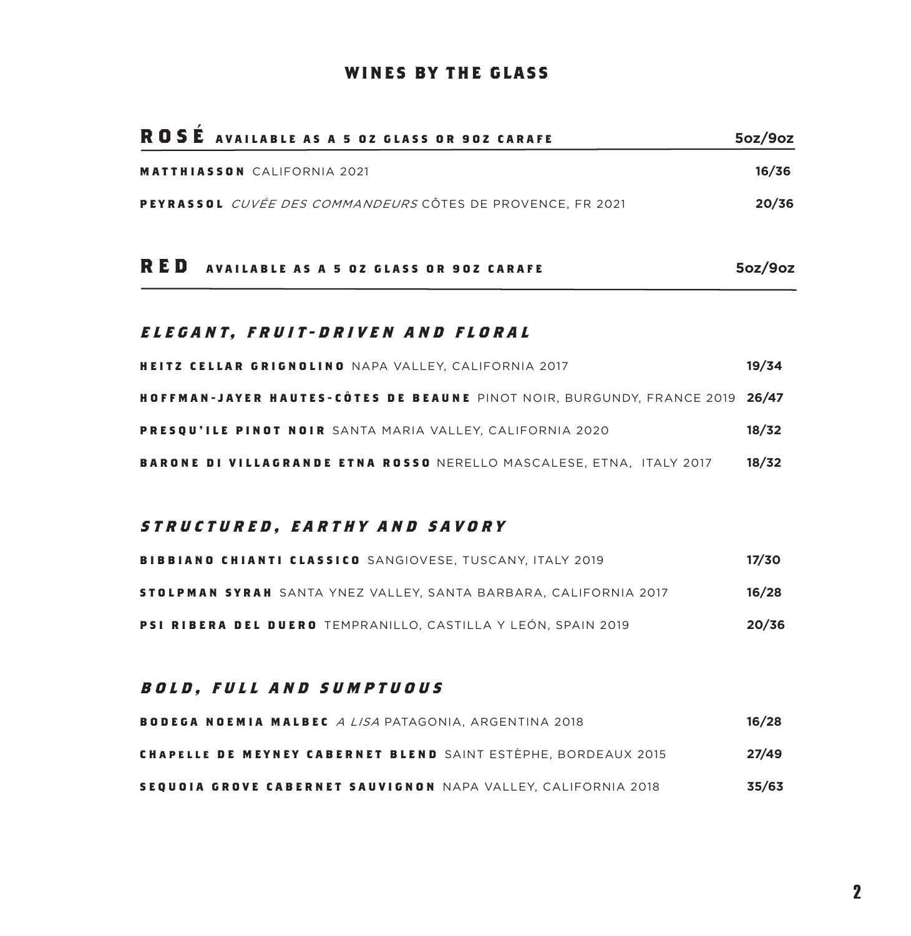#### **WINES BY THE GLASS**

| ROSE AVAILABLE AS A 5 02 GLASS OR 902 CARAFE                      | 5oz/9oz |
|-------------------------------------------------------------------|---------|
| <b>MATTHIASSON CALIFORNIA 2021</b>                                | 16/36   |
| PEYRASSOL <i>cuvée des commandeurs</i> côtes de provence. Fr 2021 | 20/36   |
| <b>RED</b> AVAILABLE AS A 5 02 GLASS OR 902 CARAFE                | 5oz/9oz |

#### **ELEGANT, FRUIT-DRIVEN AND FLORAL**

 $\sim$ 

| <b>HEITZ CELLAR GRIGNOLINO</b> NAPA VALLEY. CALIFORNIA 2017                  | 19/34 |
|------------------------------------------------------------------------------|-------|
| HOFFMAN-JAYER HAUTES-CÔTES DE BEAUNE PINOT NOIR, BURGUNDY, FRANCE 2019 26/47 |       |
| <b>PRESOU'ILE PINOT NOIR</b> SANTA MARIA VALLEY. CALIFORNIA 2020             | 18/32 |
| <b>BARONE DI VILLAGRANDE ETNA ROSSO</b> NERELLO MASCALESE. ETNA. ITALY 2017  | 18/32 |

#### **STRUCTURED, EARTHY AND SAVORY**

| <b>BIBBIANO CHIANTI CLASSICO</b> SANGIOVESE. TUSCANY. ITALY 2019 | 17/30 |
|------------------------------------------------------------------|-------|
| STOLPMAN SYRAH SANTA YNEZ VALLEY. SANTA BARBARA. CALIFORNIA 2017 | 16/28 |
| PSI RIBERA DEL DUERO TEMPRANILLO. CASTILLA Y LEÓN. SPAIN 2019    | 20/36 |

#### BOLD, FULL AND SUMPTUOUS

| BODEGA NOEMIA MALBEC <i>a lisa</i> patagonia. Argentina 2018          | 16/28 |
|-----------------------------------------------------------------------|-------|
| <b>CHAPELLE DE MEYNEY CABERNET BLEND</b> SAINT ESTÈPHE. BORDEAUX 2015 | 27/49 |
| <b>SEQUOIA GROVE CABERNET SAUVIGNON</b> NAPA VALLEY. CALIFORNIA 2018  | 35/63 |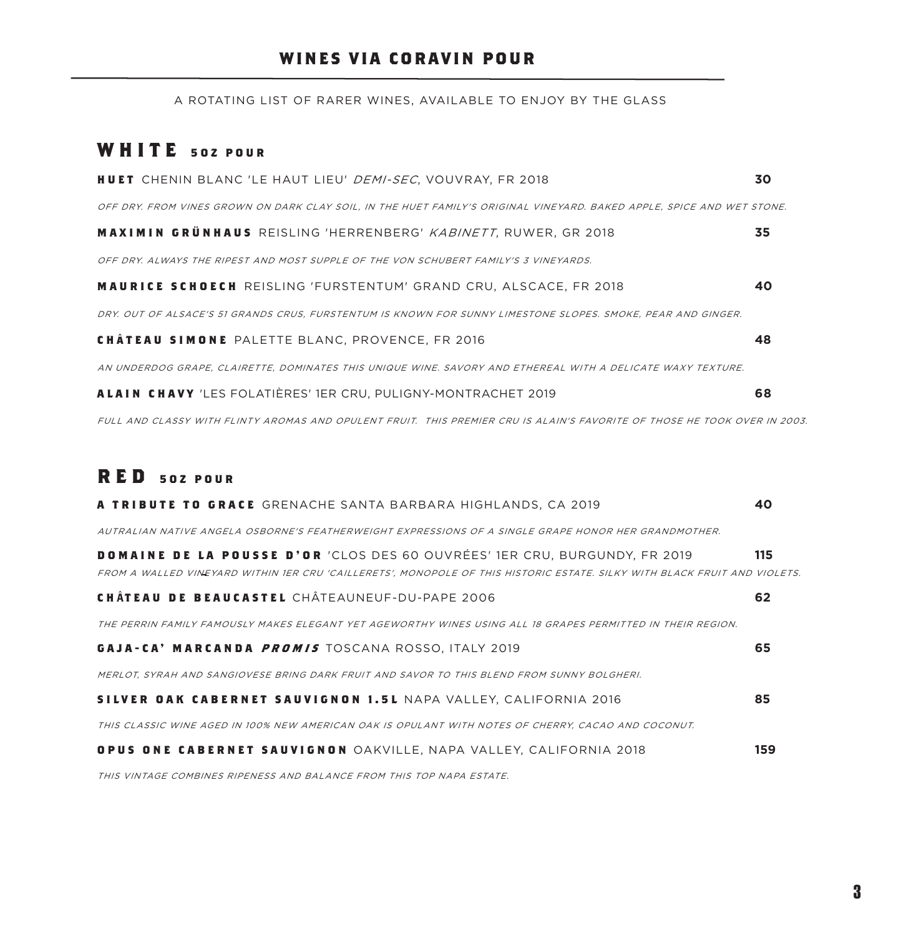#### **WINES VIA CORAVIN POUR**

A ROTATING LIST OF RARER WINES, AVAILABLE TO ENJOY BY THE GLASS

#### **WHITE 5OZ POUR**

| <b>HUET</b> CHENIN BLANC 'LE HAUT LIEU' DEMI-SEC, VOUVRAY, FR 2018                                                        | 30 |
|---------------------------------------------------------------------------------------------------------------------------|----|
| OFF DRY. FROM VINES GROWN ON DARK CLAY SOIL, IN THE HUET FAMILY'S ORIGINAL VINEYARD. BAKED APPLE, SPICE AND WET STONE.    |    |
| <b>MAXIMIN GRÜNHAUS</b> REISLING 'HERRENBERG' KABINETT, RUWER, GR 2018                                                    | 35 |
| OFF DRY. ALWAYS THE RIPEST AND MOST SUPPLE OF THE VON SCHUBERT FAMILY'S 3 VINEYARDS.                                      |    |
| <b>MAURICE SCHOECH</b> REISLING 'FURSTENTUM' GRAND CRU. ALSCACE. FR 2018                                                  | 40 |
| DRY. OUT OF ALSACE'S 51 GRANDS CRUS, FURSTENTUM IS KNOWN FOR SUNNY LIMESTONE SLOPES. SMOKE, PEAR AND GINGER.              |    |
| <b>CHÂTEAU SIMONE PALETTE BLANC, PROVENCE, FR 2016</b>                                                                    | 48 |
| AN UNDERDOG GRAPE, CLAIRETTE, DOMINATES THIS UNIQUE WINE. SAVORY AND ETHEREAL WITH A DELICATE WAXY TEXTURE.               |    |
| <b>ALAIN CHAVY</b> 'LES FOLATIÈRES' 1ER CRU. PULIGNY-MONTRACHET 2019                                                      | 68 |
| FULL AND CLASSY WITH FLINTY AROMAS AND OPULENT FRUIT. THIS PREMIER CRU IS ALAIN'S FAVORITE OF THOSE HE TOOK OVER IN 2003. |    |

#### **RED 5OZ POUR**

| A TRIBUTE TO GRACE GRENACHE SANTA BARBARA HIGHLANDS, CA 2019                                                                                                                                            | 40  |
|---------------------------------------------------------------------------------------------------------------------------------------------------------------------------------------------------------|-----|
| AUTRALIAN NATIVE ANGELA OSBORNE'S FEATHERWEIGHT EXPRESSIONS OF A SINGLE GRAPE HONOR HER GRANDMOTHER.                                                                                                    |     |
| DOMAINE DE LA POUSSE D'OR 'CLOS DES 60 OUVRÉES' 1ER CRU. BURGUNDY. FR 2019<br>FROM A WALLED VINEYARD WITHIN IER CRU 'CAILLERETS', MONOPOLE OF THIS HISTORIC ESTATE. SILKY WITH BLACK FRUIT AND VIOLETS. | 115 |
| <b>CHÂTEAU DE BEAUCASTEL</b> CHÂTEAUNEUF-DU-PAPE 2006                                                                                                                                                   | 62  |
| THE PERRIN FAMILY FAMOUSLY MAKES ELEGANT YET AGEWORTHY WINES USING ALL 18 GRAPES PERMITTED IN THEIR REGION.                                                                                             |     |
| GAJA-CA' MARCANDA <i>PROMIS</i> TOSCANA ROSSO, ITALY 2019                                                                                                                                               | 65  |
| MERLOT, SYRAH AND SANGIOVESE BRING DARK FRUIT AND SAVOR TO THIS BLEND FROM SUNNY BOLGHERI.                                                                                                              |     |
| SILVER OAK CABERNET SAUVIGNON 1.5L NAPA VALLEY, CALIFORNIA 2016                                                                                                                                         | 85  |
| THIS CLASSIC WINE AGED IN 100% NEW AMERICAN OAK IS OPULANT WITH NOTES OF CHERRY. CACAO AND COCONUT.                                                                                                     |     |
| OPUS ONE CABERNET SAUVIGNON OAKVILLE, NAPA VALLEY, CALIFORNIA 2018                                                                                                                                      | 159 |
|                                                                                                                                                                                                         |     |

THIS VINTAGE COMBINES RIPENESS AND BALANCE FROM THIS TOP NAPA ESTATE.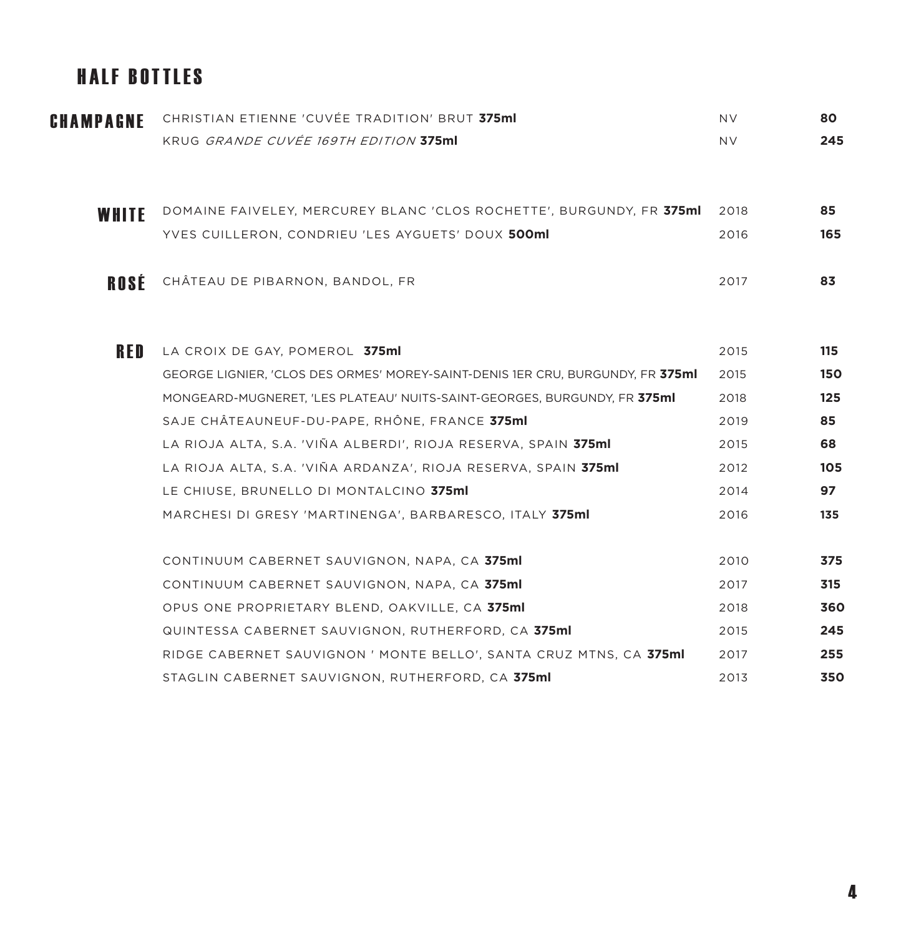### HALF BOTTLES

| CHAMPAGNE  | CHRISTIAN ETIENNE 'CUVÉE TRADITION' BRUT 375ml                                 | NV.  | 80  |
|------------|--------------------------------------------------------------------------------|------|-----|
|            | KRUG GRANDE CUVÉE 169TH EDITION 375ml                                          | NV.  | 245 |
|            |                                                                                |      |     |
| WHITE      | DOMAINE FAIVELEY, MERCUREY BLANC 'CLOS ROCHETTE', BURGUNDY, FR 375ml           | 2018 | 85  |
|            | YVES CUILLERON, CONDRIEU 'LES AYGUETS' DOUX 500ml                              | 2016 | 165 |
| ROSÉ       | CHÂTEAU DE PIBARNON, BANDOL, FR                                                | 2017 | 83  |
|            |                                                                                |      |     |
| <b>RED</b> | LA CROIX DE GAY, POMEROL 375ml                                                 | 2015 | 115 |
|            | GEORGE LIGNIER, 'CLOS DES ORMES' MOREY-SAINT-DENIS 1ER CRU, BURGUNDY, FR 375ml | 2015 | 150 |
|            | MONGEARD-MUGNERET, 'LES PLATEAU' NUITS-SAINT-GEORGES, BURGUNDY, FR 375ml       | 2018 | 125 |
|            | SAJE CHÂTEAUNEUF-DU-PAPE, RHÔNE, FRANCE 375ml                                  | 2019 | 85  |
|            | LA RIOJA ALTA, S.A. 'VIÑA ALBERDI', RIOJA RESERVA, SPAIN <b>375ml</b>          | 2015 | 68  |
|            | LA RIOJA ALTA, S.A. 'VIÑA ARDANZA', RIOJA RESERVA, SPAIN 375ml                 | 2012 | 105 |
|            | LE CHIUSE, BRUNELLO DI MONTALCINO 375ml                                        | 2014 | 97  |
|            | MARCHESI DI GRESY 'MARTINENGA', BARBARESCO, ITALY 375ml                        | 2016 | 135 |
|            | CONTINUUM CABERNET SAUVIGNON, NAPA, CA 375ml                                   | 2010 | 375 |
|            | CONTINUUM CABERNET SAUVIGNON, NAPA, CA 375ml                                   | 2017 | 315 |
|            | OPUS ONE PROPRIETARY BLEND, OAKVILLE, CA 375ml                                 | 2018 | 360 |
|            | QUINTESSA CABERNET SAUVIGNON, RUTHERFORD, CA 375ml                             | 2015 | 245 |
|            | RIDGE CABERNET SAUVIGNON ' MONTE BELLO', SANTA CRUZ MTNS, CA 375ml             | 2017 | 255 |
|            | STAGLIN CABERNET SAUVIGNON, RUTHERFORD, CA 375ml                               | 2013 | 350 |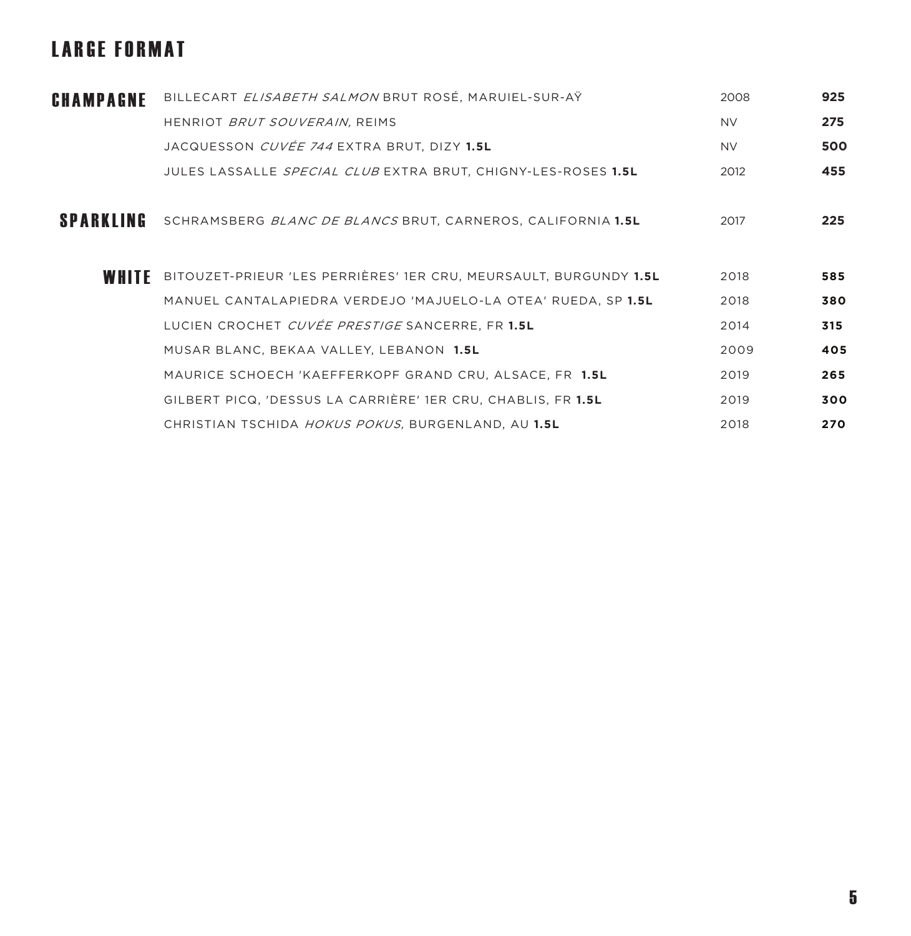# LARGE FORMAT

| CHAMPAGNE        | BILLECART ELISABETH SALMON BRUT ROSÉ, MARUIEL-SUR-AŸ                | 2008      | 925 |
|------------------|---------------------------------------------------------------------|-----------|-----|
|                  | HENRIOT BRUT SOUVERAIN, REIMS                                       | <b>NV</b> | 275 |
|                  | JACQUESSON <i>CUVÉE 744</i> EXTRA BRUT, DIZY <b>1.5L</b>            | NV.       | 500 |
|                  | JULES LASSALLE SPECIAL CLUB EXTRA BRUT, CHIGNY-LES-ROSES 1.5L       | 2012      | 455 |
| <b>SPARKLING</b> | SCHRAMSBERG BLANC DE BLANCS BRUT, CARNEROS, CALIFORNIA 1.5L         | 2017      | 225 |
| WHITE            | BITOUZET-PRIEUR 'LES PERRIÈRES' 1ER CRU, MEURSAULT, BURGUNDY 1.5L   | 2018      | 585 |
|                  | MANUEL CANTALAPIEDRA VERDEJO 'MAJUELO-LA OTEA' RUEDA, SP 1.5L       | 2018      | 380 |
|                  | LUCIEN CROCHET CUVÉE PRESTIGE SANCERRE, FR 1.5L                     | 2014      | 315 |
|                  | MUSAR BLANC, BEKAA VALLEY, LEBANON 1.5L                             | 2009      | 405 |
|                  | MAURICE SCHOECH 'KAEFFERKOPF GRAND CRU, ALSACE, FR 1.5L             | 2019      | 265 |
|                  | GILBERT PICQ, 'DESSUS LA CARRIÈRE' 1ER CRU, CHABLIS, FR <b>1.5L</b> | 2019      | 300 |
|                  | CHRISTIAN TSCHIDA HOKUS POKUS, BURGENLAND, AU 1.5L                  | 2018      | 270 |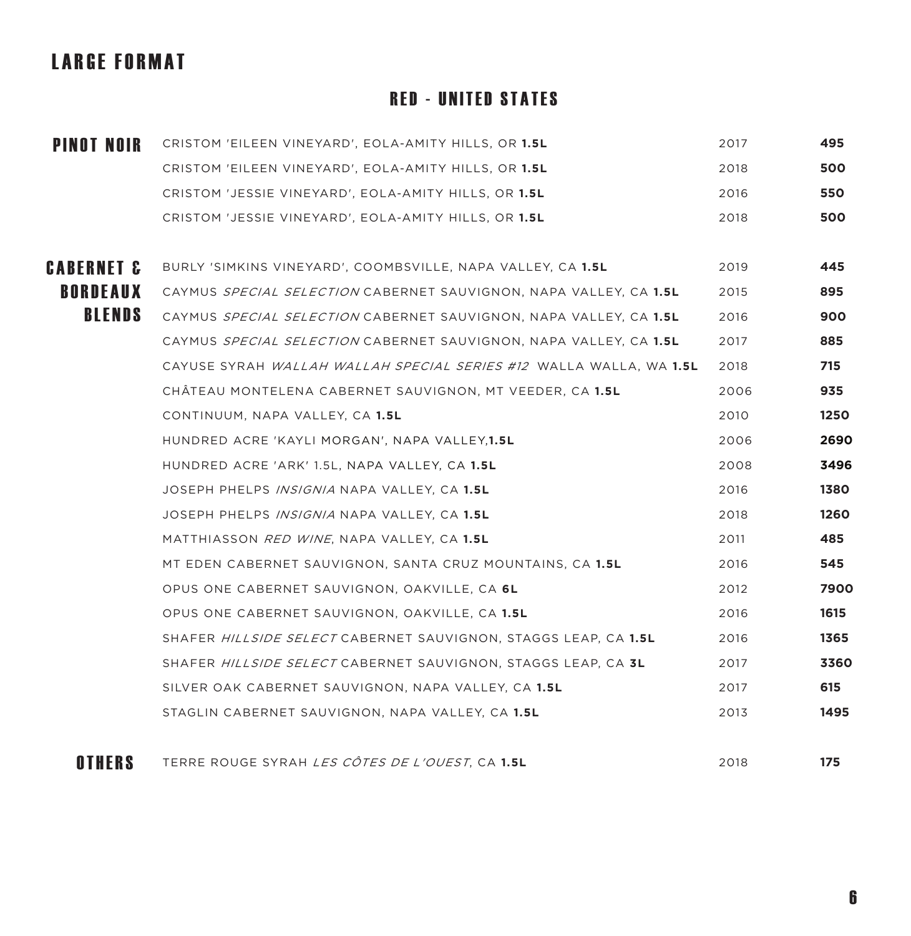# LARGE FORMAT

#### RED - UNITED STATES

| <b>PINOT NOIR</b>     | CRISTOM 'EILEEN VINEYARD', EOLA-AMITY HILLS, OR 1.5L               | 2017 | 495  |
|-----------------------|--------------------------------------------------------------------|------|------|
|                       | CRISTOM 'EILEEN VINEYARD', EOLA-AMITY HILLS, OR 1.5L               | 2018 | 500  |
|                       | CRISTOM 'JESSIE VINEYARD', EOLA-AMITY HILLS, OR <b>1.5L</b>        | 2016 | 550  |
|                       | CRISTOM 'JESSIE VINEYARD', EOLA-AMITY HILLS, OR 1.5L               | 2018 | 500  |
|                       |                                                                    |      |      |
| <b>CABERNET &amp;</b> | BURLY 'SIMKINS VINEYARD', COOMBSVILLE, NAPA VALLEY, CA 1.5L        | 2019 | 445  |
| <b>BORDEAUX</b>       | CAYMUS SPECIAL SELECTION CABERNET SAUVIGNON, NAPA VALLEY, CA 1.5L  | 2015 | 895  |
| <b>BLENDS</b>         | CAYMUS SPECIAL SELECTION CABERNET SAUVIGNON, NAPA VALLEY, CA 1.5L  | 2016 | 900  |
|                       | CAYMUS SPECIAL SELECTION CABERNET SAUVIGNON, NAPA VALLEY, CA 1.5L  | 2017 | 885  |
|                       | CAYUSE SYRAH WALLAH WALLAH SPECIAL SERIES #12 WALLA WALLA, WA 1.5L | 2018 | 715  |
|                       | CHATEAU MONTELENA CABERNET SAUVIGNON, MT VEEDER, CA 1.5L           | 2006 | 935  |
|                       | CONTINUUM, NAPA VALLEY, CA 1.5L                                    | 2010 | 1250 |
|                       | HUNDRED ACRE 'KAYLI MORGAN', NAPA VALLEY, 1.5L                     | 2006 | 2690 |
|                       | HUNDRED ACRE 'ARK' 1.5L, NAPA VALLEY, CA 1.5L                      | 2008 | 3496 |
|                       | JOSEPH PHELPS <i>INSIGNIA</i> NAPA VALLEY, CA <b>1.5L</b>          | 2016 | 1380 |
|                       | JOSEPH PHELPS INSIGNIA NAPA VALLEY, CA 1.5L                        | 2018 | 1260 |
|                       | MATTHIASSON RED WINE, NAPA VALLEY, CA 1.5L                         | 2011 | 485  |
|                       | MT EDEN CABERNET SAUVIGNON, SANTA CRUZ MOUNTAINS, CA 1.5L          | 2016 | 545  |
|                       | OPUS ONE CABERNET SAUVIGNON, OAKVILLE, CA 6L                       | 2012 | 7900 |
|                       | OPUS ONE CABERNET SAUVIGNON, OAKVILLE, CA 1.5L                     | 2016 | 1615 |
|                       | SHAFER HILLSIDE SELECT CABERNET SAUVIGNON, STAGGS LEAP, CA 1.5L    | 2016 | 1365 |
|                       | SHAFER HILLSIDE SELECT CABERNET SAUVIGNON, STAGGS LEAP, CA 3L      | 2017 | 3360 |
|                       | SILVER OAK CABERNET SAUVIGNON, NAPA VALLEY, CA 1.5L                | 2017 | 615  |
|                       | STAGLIN CABERNET SAUVIGNON, NAPA VALLEY, CA 1.5L                   | 2013 | 1495 |
| OTHERS                | TERRE ROUGE SYRAH LES CÔTES DE L'OUEST. CA 1.5L                    | 2018 | 175  |
|                       |                                                                    |      |      |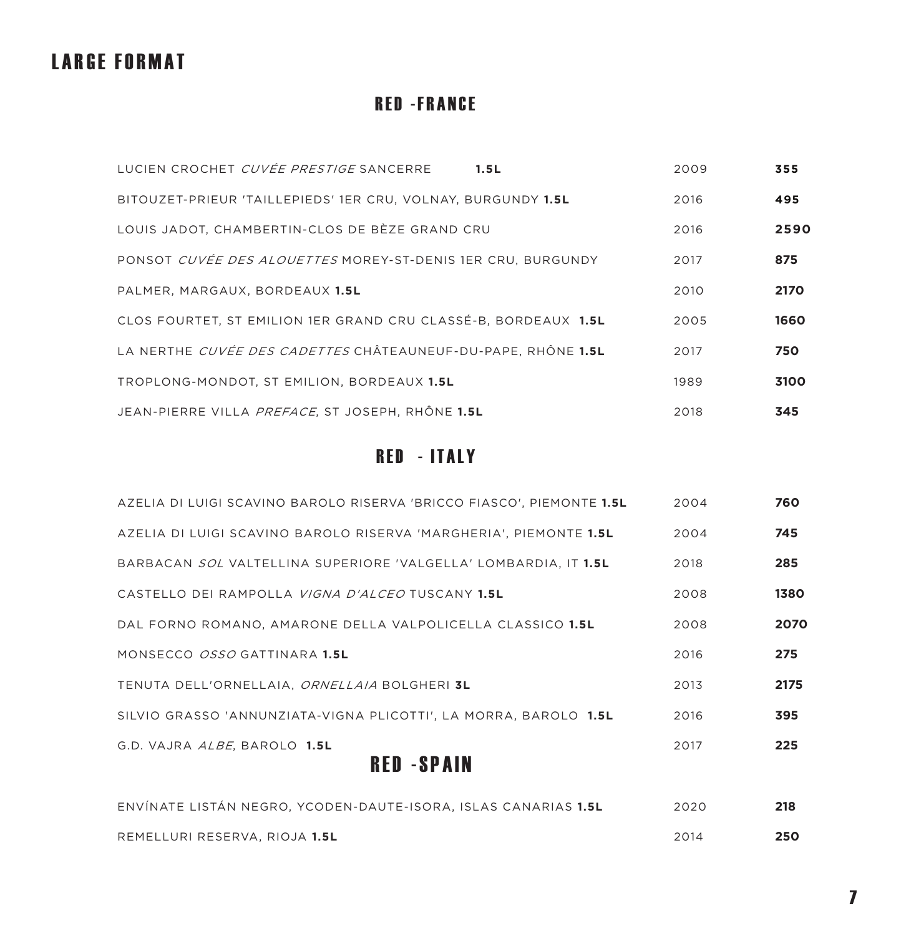#### LARGE FORMAT

#### **RED - FRANCE**

| LUCIEN CROCHET CUVÉE PRESTIGE SANCERRE<br>1.5L                             | 2009 | 355  |
|----------------------------------------------------------------------------|------|------|
| BITOUZET-PRIEUR 'TAILLEPIEDS' 1ER CRU. VOLNAY. BURGUNDY 1.5L               | 2016 | 495  |
| LOUIS JADOT, CHAMBERTIN-CLOS DE BÈZE GRAND CRU                             | 2016 | 2590 |
| PONSOT CUVÉE DES ALOUETTES MOREY-ST-DENIS 1ER CRU, BURGUNDY                | 2017 | 875  |
| PALMER, MARGAUX, BORDEAUX 1.5L                                             | 2010 | 2170 |
| CLOS FOURTET, ST EMILION 1ER GRAND CRU CLASSÉ-B, BORDEAUX 1.5L             | 2005 | 1660 |
| LA NERTHE <i>CUVÉE DES CADETTES</i> CHÂTEAUNEUF-DU-PAPE. RHÔNE <b>1.5L</b> | 2017 | 750  |
| TROPLONG-MONDOT. ST EMILION. BORDEAUX 1.5L                                 | 1989 | 3100 |
| JEAN-PIERRE VILLA <i>PREFACE</i> . ST JOSEPH. RHÔNE <b>1.5L</b>            | 2018 | 345  |

#### **RED - ITALY**

| DFD.<br>0 N A I N                                                      |      |      |
|------------------------------------------------------------------------|------|------|
| G.D. VAJRA ALBE, BAROLO 1.5L                                           | 2017 | 225  |
| SILVIO GRASSO 'ANNUNZIATA-VIGNA PLICOTTI', LA MORRA, BAROLO 1.5L       | 2016 | 395  |
| TENUTA DELL'ORNELLAIA. ORNELLAIA BOLGHERI 3L                           | 2013 | 2175 |
| MONSECCO OSSO GATTINARA 1.5L                                           | 2016 | 275  |
| DAL FORNO ROMANO, AMARONE DELLA VALPOLICELLA CLASSICO 1.5L             | 2008 | 2070 |
| CASTELLO DEI RAMPOLLA <i>VIGNA D'ALCEO</i> TUSCANY <b>1.5L</b>         | 2008 | 1380 |
| BARBACAN SOL VALTELLINA SUPERIORE 'VALGELLA' LOMBARDIA. IT <b>1.5L</b> | 2018 | 285  |
| AZELIA DI LUIGI SCAVINO BAROLO RISERVA 'MARGHERIA', PIEMONTE 1.5L      | 2004 | 745  |
| AZELIA DI LUIGI SCAVINO BAROLO RISERVA 'BRICCO FIASCO', PIEMONTE 1.5L  | 2004 | 760  |

#### RED -SPAIN

| ENVÍNATE LISTÁN NEGRO. YCODEN-DAUTE-ISORA. ISLAS CANARIAS <b>1.5L</b> | 2020 | 218 |
|-----------------------------------------------------------------------|------|-----|
| REMELLURI RESERVA. RIOJA <b>1.5L</b>                                  | 2014 | 250 |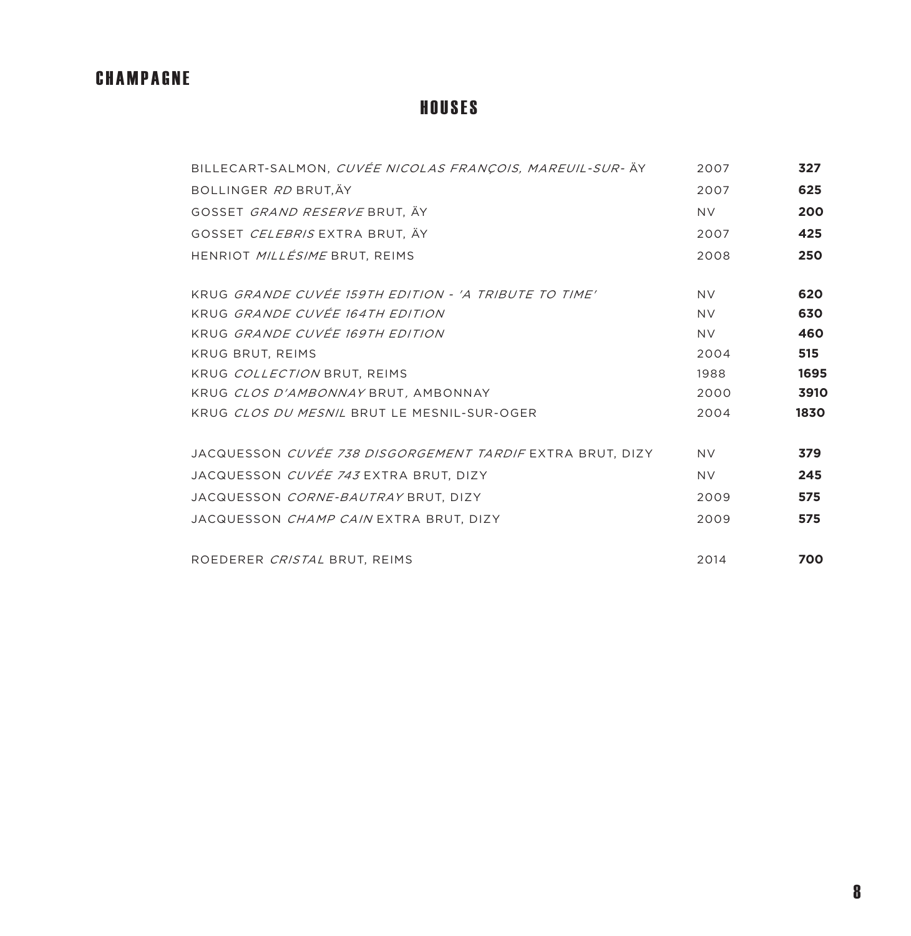#### CHAMPAGNE

#### **HOUSES**

| BILLECART-SALMON, CUVÉE NICOLAS FRANÇOIS, MAREUIL-SUR- ÄY        | 2007      | 327  |
|------------------------------------------------------------------|-----------|------|
| BOLLINGER RD BRUT, ÄY                                            | 2007      | 625  |
| GOSSET GRAND RESERVE BRUT, ÄY                                    | <b>NV</b> | 200  |
| GOSSET <i>CELEBRIS</i> EXTRA BRUT, ÄY                            | 2007      | 425  |
| HENRIOT <i>MILLÉSIME</i> BRUT, REIMS                             | 2008      | 250  |
| KRUG GRANDE CUVÉE 159TH EDITION - 'A TRIBUTE TO TIME'            | <b>NV</b> | 620  |
| KRUG GRANDE CUVÉE 164TH EDITION                                  | <b>NV</b> | 630  |
| KRUG GRANDE CUVÉE 169TH EDITION                                  | <b>NV</b> | 460  |
| <b>KRUG BRUT, REIMS</b>                                          | 2004      | 515  |
| KRUG COLLECTION BRUT, REIMS                                      | 1988      | 1695 |
| KRUG CLOS D'AMBONNAY BRUT, AMBONNAY                              | 2000      | 3910 |
| KRUG CLOS DU MESNIL BRUT LE MESNIL-SUR-OGER                      | 2004      | 1830 |
| JACQUESSON <i>CUVÉE 738 DISGORGEMENT TARDIF</i> EXTRA BRUT, DIZY | <b>NV</b> | 379  |
| JACQUESSON <i>CUVÉE 743</i> EXTRA BRUT. DIZY                     | <b>NV</b> | 245  |
| JACQUESSON <i>CORNE-BAUTRAY</i> BRUT, DIZY                       | 2009      | 575  |
| JACQUESSON <i>CHAMP CAIN</i> EXTRA BRUT. DIZY                    | 2009      | 575  |
| ROEDERER CRISTAL BRUT. REIMS                                     | 2014      | 700  |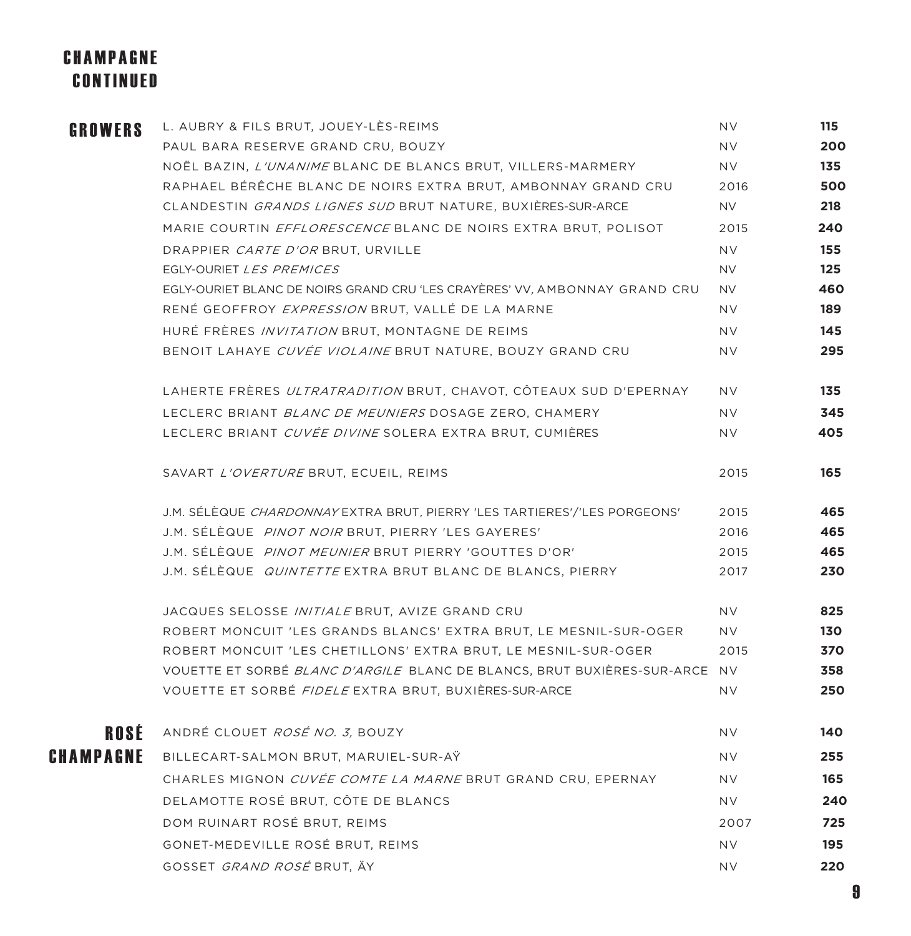#### CHAMPAGNE CONTINUED

| <b>GROWERS</b> | L. AUBRY & FILS BRUT, JOUEY-LÈS-REIMS                                            | NV.       | 115 |
|----------------|----------------------------------------------------------------------------------|-----------|-----|
|                | PAUL BARA RESERVE GRAND CRU, BOUZY                                               | NV.       | 200 |
|                | NOËL BAZIN, L'UNANIME BLANC DE BLANCS BRUT, VILLERS-MARMERY                      | NV.       | 135 |
|                | RAPHAEL BÉRÊCHE BLANC DE NOIRS EXTRA BRUT, AMBONNAY GRAND CRU                    | 2016      | 500 |
|                | CLANDESTIN GRANDS LIGNES SUD BRUT NATURE, BUXIÈRES-SUR-ARCE                      | NV.       | 218 |
|                | MARIE COURTIN EFFLORESCENCE BLANC DE NOIRS EXTRA BRUT, POLISOT                   | 2015      | 240 |
|                | DRAPPIER CARTE D'OR BRUT, URVILLE                                                | <b>NV</b> | 155 |
|                | EGLY-OURIET LES PREMICES                                                         | NV.       | 125 |
|                | EGLY-OURIET BLANC DE NOIRS GRAND CRU 'LES CRAYÈRES' VV, AMBONNAY GRAND CRU       | NV.       | 460 |
|                | RENÉ GEOFFROY EXPRESSION BRUT, VALLÉ DE LA MARNE                                 | NV.       | 189 |
|                | HURÉ FRÈRES <i>INVITATION</i> BRUT, MONTAGNE DE REIMS                            | NV.       | 145 |
|                | BENOIT LAHAYE CUVÉE VIOLAINE BRUT NATURE, BOUZY GRAND CRU                        | NV.       | 295 |
|                | LAHERTE FRÈRES <i>ULTRATRADITION</i> BRUT, CHAVOT, CÔTEAUX SUD D'EPERNAY         | NV.       | 135 |
|                | LECLERC BRIANT BLANC DE MEUNIERS DOSAGE ZERO, CHAMERY                            | NV.       | 345 |
|                | LECLERC BRIANT CUVÉE DIVINE SOLERA EXTRA BRUT, CUMIÈRES                          | NV.       | 405 |
|                | SAVART L'OVERTURE BRUT, ECUEIL, REIMS                                            | 2015      | 165 |
|                | J.M. SÉLÈQUE <i>CHARDONNAY</i> EXTRA BRUT, PIERRY 'LES TARTIERES'/'LES PORGEONS' | 2015      | 465 |
|                | J.M. SÉLÈQUE PINOT NOIR BRUT, PIERRY 'LES GAYERES'                               | 2016      | 465 |
|                | J.M. SÉLÈQUE <i>PINOT MEUNIER</i> BRUT PIERRY 'GOUTTES D'OR'                     | 2015      | 465 |
|                | J.M. SÉLÈQUE QUINTETTE EXTRA BRUT BLANC DE BLANCS, PIERRY                        | 2017      | 230 |
|                | JACQUES SELOSSE <i>INITIALE</i> BRUT, AVIZE GRAND CRU                            | NV.       | 825 |
|                | ROBERT MONCUIT 'LES GRANDS BLANCS' EXTRA BRUT, LE MESNIL-SUR-OGER                | NV.       | 130 |
|                | ROBERT MONCUIT 'LES CHETILLONS' EXTRA BRUT, LE MESNIL-SUR-OGER                   | 2015      | 370 |
|                | VOUETTE ET SORBÉ BLANC D'ARGILE BLANC DE BLANCS, BRUT BUXIÈRES-SUR-ARCE NV       |           | 358 |
|                | VOUETTE ET SORBÉ FIDELE EXTRA BRUT, BUXIÈRES-SUR-ARCE                            | NV.       | 250 |
| ROSÉ           | ANDRÉ CLOUET ROSÉ NO. 3, BOUZY                                                   | <b>NV</b> | 140 |
| CHAMPAGNE      | BILLECART-SALMON BRUT, MARUIEL-SUR-AY                                            | <b>NV</b> | 255 |
|                | CHARLES MIGNON CUVÉE COMTE LA MARNE BRUT GRAND CRU, EPERNAY                      | <b>NV</b> | 165 |
|                | DELAMOTTE ROSÉ BRUT, CÔTE DE BLANCS                                              | <b>NV</b> | 240 |
|                | DOM RUINART ROSÉ BRUT, REIMS                                                     | 2007      | 725 |
|                | GONET-MEDEVILLE ROSÉ BRUT, REIMS                                                 | <b>NV</b> | 195 |
|                | GOSSET GRAND ROSÉ BRUT, ÄY                                                       | <b>NV</b> | 220 |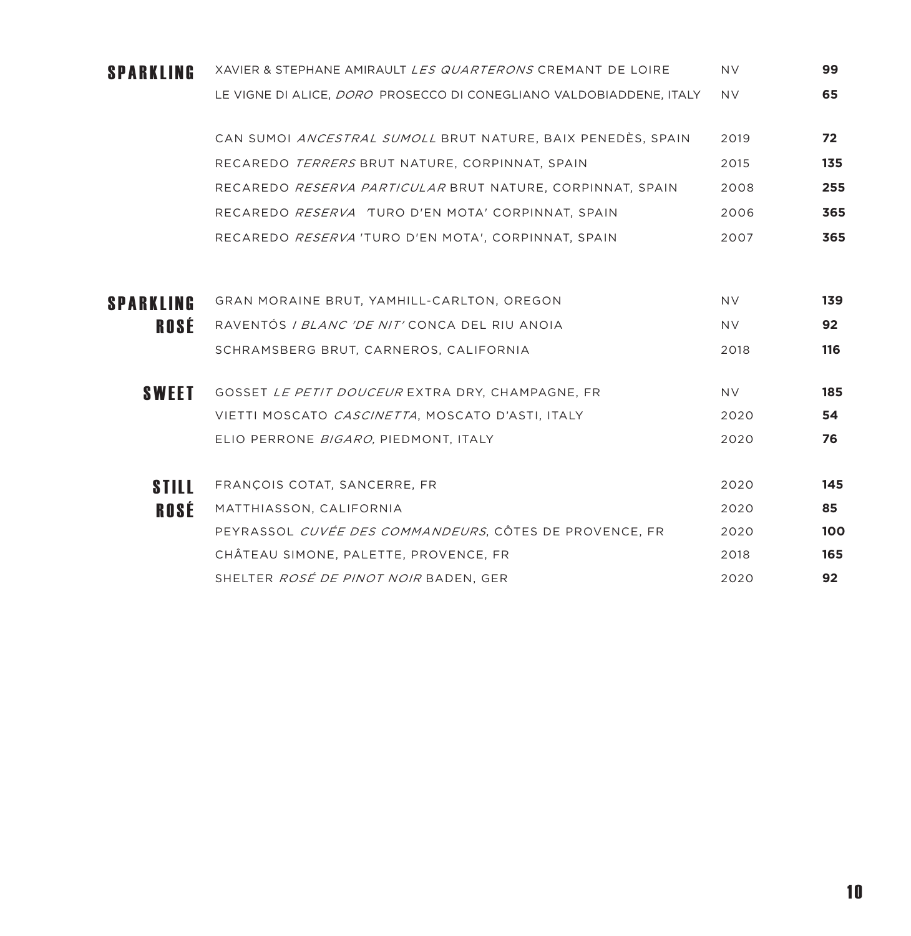| <b>SPARKLING</b> | XAVIER & STEPHANE AMIRAULT LES QUARTERONS CREMANT DE LOIRE                 | NV.       | 99              |
|------------------|----------------------------------------------------------------------------|-----------|-----------------|
|                  | LE VIGNE DI ALICE, <i>DORO</i> PROSECCO DI CONEGLIANO VALDOBIADDENE, ITALY | <b>NV</b> | 65              |
|                  | CAN SUMOI <i>ANCESTRAL SUMOLL</i> BRUT NATURE, BAIX PENEDÈS, SPAIN         | 2019      | 72              |
|                  | RECAREDO TERRERS BRUT NATURE, CORPINNAT, SPAIN                             | 2015      | 135             |
|                  | RECAREDO RESERVA PARTICULAR BRUT NATURE, CORPINNAT, SPAIN                  | 2008      | 255             |
|                  | RECAREDO RESERVA TURO D'EN MOTA' CORPINNAT, SPAIN                          | 2006      | 365             |
|                  | RECAREDO RESERVA 'TURO D'EN MOTA', CORPINNAT, SPAIN                        | 2007      | 365             |
|                  |                                                                            |           |                 |
| <b>SPARKLING</b> | <b>GRAN MORAINE BRUT, YAMHILL-CARLTON, OREGON</b>                          | NV.       | 139             |
| ROSÉ             | RAVENTÓS <i>I BLANC 'DE NIT'</i> CONCA DEL RIU ANOIA                       | NV.       | 92 <sub>2</sub> |
|                  | SCHRAMSBERG BRUT, CARNEROS, CALIFORNIA                                     | 2018      | 116             |
| <b>SWEET</b>     | GOSSET LE PETIT DOUCEUR EXTRA DRY, CHAMPAGNE, FR                           | NV.       | 185             |
|                  | VIETTI MOSCATO CASCINETTA, MOSCATO D'ASTI, ITALY                           | 2020      | 54              |
|                  | ELIO PERRONE BIGARO, PIEDMONT, ITALY                                       | 2020      | 76              |
| <b>STILL</b>     | FRANÇOIS COTAT, SANCERRE, FR                                               | 2020      | 145             |
| ROSÉ             | MATTHIASSON, CALIFORNIA                                                    | 2020      | 85              |
|                  | PEYRASSOL CUVÉE DES COMMANDEURS, CÔTES DE PROVENCE, FR                     | 2020      | 100             |
|                  | CHÂTEAU SIMONE, PALETTE, PROVENCE, FR                                      | 2018      | 165             |
|                  | SHELTER ROSÉ DE PINOT NOIR BADEN, GER                                      | 2020      | 92              |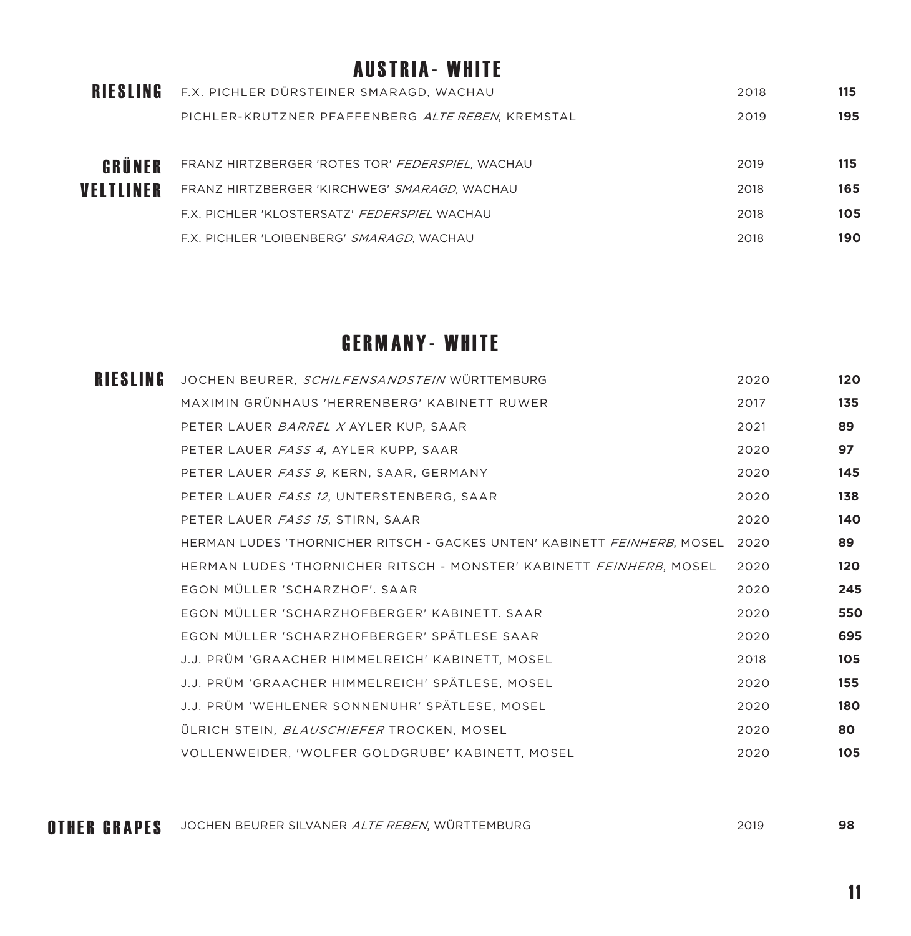#### AUSTRIA- WHITE

| <b>RIESLING</b> | F.X. PICHLER DÜRSTEINER SMARAGD, WACHAU           | 2018 | 115 |
|-----------------|---------------------------------------------------|------|-----|
|                 | PICHLER-KRUTZNER PFAFFENBERG ALTE REBEN, KREMSTAL | 2019 | 195 |
|                 |                                                   |      |     |
| GRÜNER          | FRANZ HIRTZBERGER 'ROTES TOR' FEDERSPIEL, WACHAU  | 2019 | 115 |
| VELTLINER       | FRANZ HIRTZBERGER 'KIRCHWEG' SMARAGD, WACHAU      | 2018 | 165 |
|                 | F.X. PICHLER 'KLOSTERSATZ' FEDERSPIEL WACHAU      | 2018 | 105 |
|                 | F.X. PICHLER 'LOIBENBERG' SMARAGD, WACHAU         | 2018 | 190 |

### GERMANY- WHITE

| <b>RIESLING</b> | JOCHEN BEURER, SCHILFENSANDSTEIN WÜRTTEMBURG                             | 2020 | 120 |
|-----------------|--------------------------------------------------------------------------|------|-----|
|                 | MAXIMIN GRÜNHAUS 'HERRENBERG' KABINETT RUWER                             | 2017 | 135 |
|                 | PETER LAUER BARREL X AYLER KUP, SAAR                                     | 2021 | 89  |
|                 | PETER LAUER FASS 4, AYLER KUPP, SAAR                                     | 2020 | 97  |
|                 | PETER LAUER FASS 9. KERN. SAAR. GERMANY                                  | 2020 | 145 |
|                 | PETER LAUER FASS 12. UNTERSTENBERG. SAAR                                 | 2020 | 138 |
|                 | PETER LAUER FASS 15, STIRN, SAAR                                         | 2020 | 140 |
|                 | HERMAN LUDES 'THORNICHER RITSCH - GACKES UNTEN' KABINETT FEINHERB, MOSEL | 2020 | 89  |
|                 | HERMAN LUDES 'THORNICHER RITSCH - MONSTER' KABINETT FEINHERB, MOSEL      | 2020 | 120 |
|                 | EGON MÜLLER 'SCHARZHOF', SAAR                                            | 2020 | 245 |
|                 | EGON MÜLLER 'SCHARZHOFBERGER' KABINETT, SAAR                             | 2020 | 550 |
|                 | EGON MÜLLER 'SCHARZHOFBERGER' SPÄTLESE SAAR                              | 2020 | 695 |
|                 | J.J. PRÜM 'GRAACHER HIMMELREICH' KABINETT, MOSEL                         | 2018 | 105 |
|                 | J.J. PRÜM 'GRAACHER HIMMELREICH' SPÄTLESE, MOSEL                         | 2020 | 155 |
|                 | J.J. PRÜM 'WEHLENER SONNENUHR' SPÄTLESE, MOSEL                           | 2020 | 180 |
|                 | ÜLRICH STEIN, BLAUSCHIEFER TROCKEN, MOSEL                                | 2020 | 80  |
|                 | VOLLENWEIDER, 'WOLFER GOLDGRUBE' KABINETT, MOSEL                         | 2020 | 105 |

OTHER GRAPES USCHEN BEURER SILVANER *ALTE REBEN*, WÜRTTEMBURG **1988 EINER GRAPES 1988**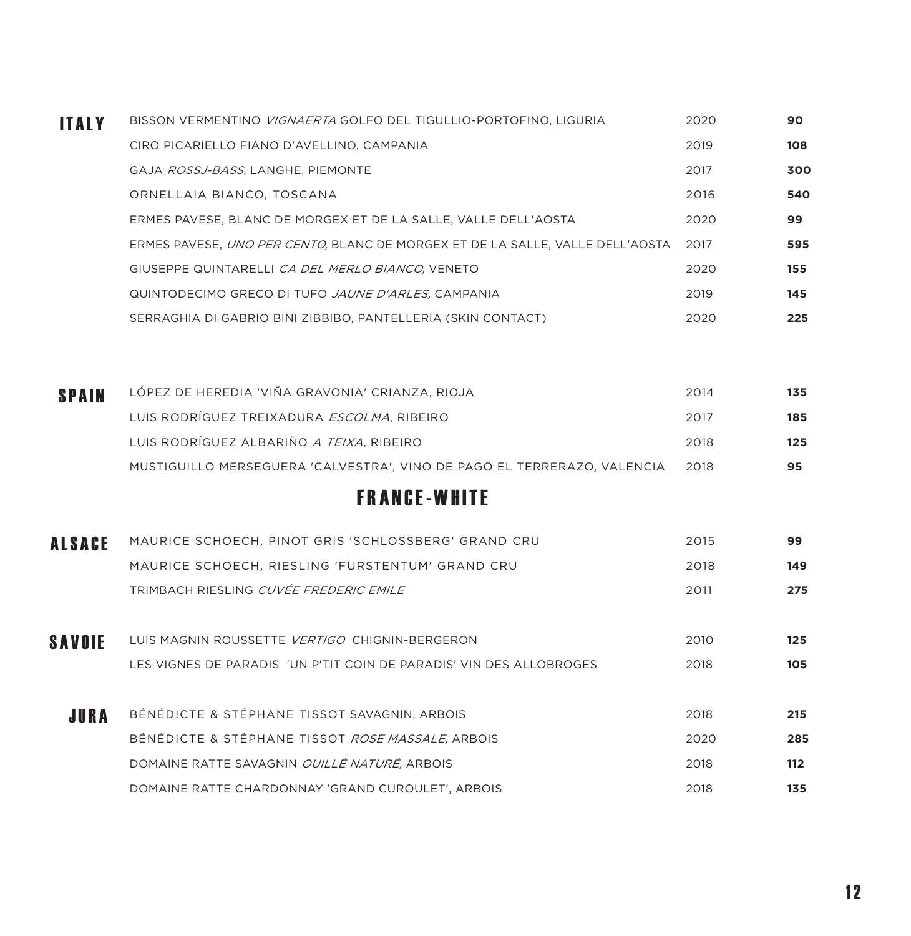| <b>ITALY</b> | BISSON VERMENTINO VIGNAERTA GOLFO DEL TIGULLIO-PORTOFINO. LIGURIA             | 2020 | 90  |
|--------------|-------------------------------------------------------------------------------|------|-----|
|              | CIRO PICARIELLO FIANO D'AVELLINO, CAMPANIA                                    | 2019 | 108 |
|              | GAJA ROSSJ-BASS, LANGHE, PIEMONTE                                             | 2017 | 300 |
|              | ORNELLAIA BIANCO, TOSCANA                                                     | 2016 | 540 |
|              | ERMES PAVESE, BLANC DE MORGEX ET DE LA SALLE, VALLE DELL'AOSTA                | 2020 | 99  |
|              | ERMES PAVESE, UNO PER CENTO, BLANC DE MORGEX ET DE LA SALLE, VALLE DELL'AOSTA | 2017 | 595 |
|              | GIUSEPPE QUINTARELLI CA DEL MERLO BIANCO, VENETO                              | 2020 | 155 |
|              | QUINTODECIMO GRECO DI TUFO <i>JAUNE D'ARLES</i> , CAMPANIA                    | 2019 | 145 |
|              | SERRAGHIA DI GABRIO BINI ZIBBIBO, PANTELLERIA (SKIN CONTACT)                  | 2020 | 225 |

| <b>SPAIN</b> | LÓPEZ DE HEREDIA 'VIÑA GRAVONIA' CRIANZA, RIOJA                         | 2014 | 135 |
|--------------|-------------------------------------------------------------------------|------|-----|
|              | LUIS RODRÍGUEZ TREIXADURA <i>ESCOLMA</i> , RIBEIRO                      | 2017 | 185 |
|              | LUIS RODRÍGUEZ ALBARIÑO <i>A TEIXA.</i> RIBEIRO                         | 2018 | 125 |
|              | MUSTIGUILLO MERSEGUERA 'CALVESTRA', VINO DE PAGO EL TERRERAZO, VALENCIA | 2018 | 95  |

# FRANCE-WHITE

| <b>ALSACE</b> | MAURICE SCHOECH, PINOT GRIS 'SCHLOSSBERG' GRAND CRU                 | 2015 | 99  |
|---------------|---------------------------------------------------------------------|------|-----|
|               | MAURICE SCHOECH, RIESLING 'FURSTENTUM' GRAND CRU                    | 2018 | 149 |
|               | TRIMBACH RIESLING <i>CUVÉE FREDERIC EMILE</i>                       | 2011 | 275 |
|               |                                                                     |      |     |
| <b>SAVOIE</b> | LUIS MAGNIN ROUSSETTE VERTIGO CHIGNIN-BERGERON                      | 2010 | 125 |
|               | LES VIGNES DE PARADIS 'UN P'TIT COIN DE PARADIS' VIN DES ALLOBROGES | 2018 | 105 |
|               |                                                                     |      |     |
| JURA          | BÉNÉDICTE & STÉPHANE TISSOT SAVAGNIN, ARBOIS                        | 2018 | 215 |
|               | BÉNÉDICTE & STÉPHANE TISSOT ROSE MASSALE, ARBOIS                    | 2020 | 285 |
|               | DOMAINE RATTE SAVAGNIN OUILLÉ NATURÉ, ARBOIS                        | 2018 | 112 |
|               | DOMAINE RATTE CHARDONNAY 'GRAND CUROULET'. ARBOIS                   | 2018 | 135 |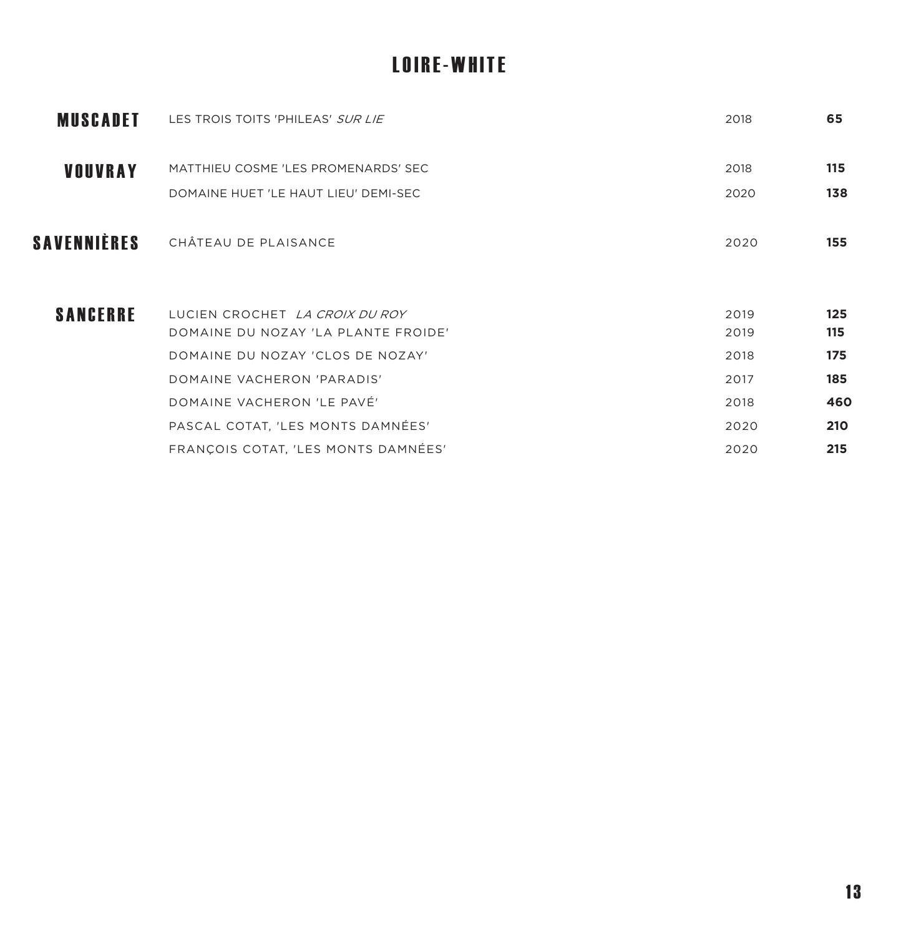# LOIRE-WHITE

| <b>MUSCADET</b> | LES TROIS TOITS 'PHILEAS' SUR LIE                                     | 2018         | 65         |
|-----------------|-----------------------------------------------------------------------|--------------|------------|
| <b>VOUVRAY</b>  | MATTHIEU COSME 'LES PROMENARDS' SEC                                   | 2018         | 115        |
|                 | DOMAINE HUET 'LE HAUT LIEU' DEMI-SEC                                  | 2020         | 138        |
| SAVENNIÈRES     | CHÂTEAU DE PLAISANCE                                                  | 2020         | 155        |
| <b>SANCERRE</b> | LUCIEN CROCHET LA CROIX DU ROY<br>DOMAINE DU NOZAY 'LA PLANTE FROIDE' | 2019<br>2019 | 125<br>115 |
|                 | DOMAINE DU NOZAY 'CLOS DE NOZAY'                                      | 2018         | 175        |
|                 | DOMAINE VACHERON 'PARADIS'                                            | 2017         | 185        |
|                 | DOMAINE VACHERON 'LE PAVÉ'                                            | 2018         | 460        |
|                 | PASCAL COTAT, 'LES MONTS DAMNÉES'                                     | 2020         | 210        |
|                 | FRANÇOIS COTAT, 'LES MONTS DAMNÉES'                                   | 2020         | 215        |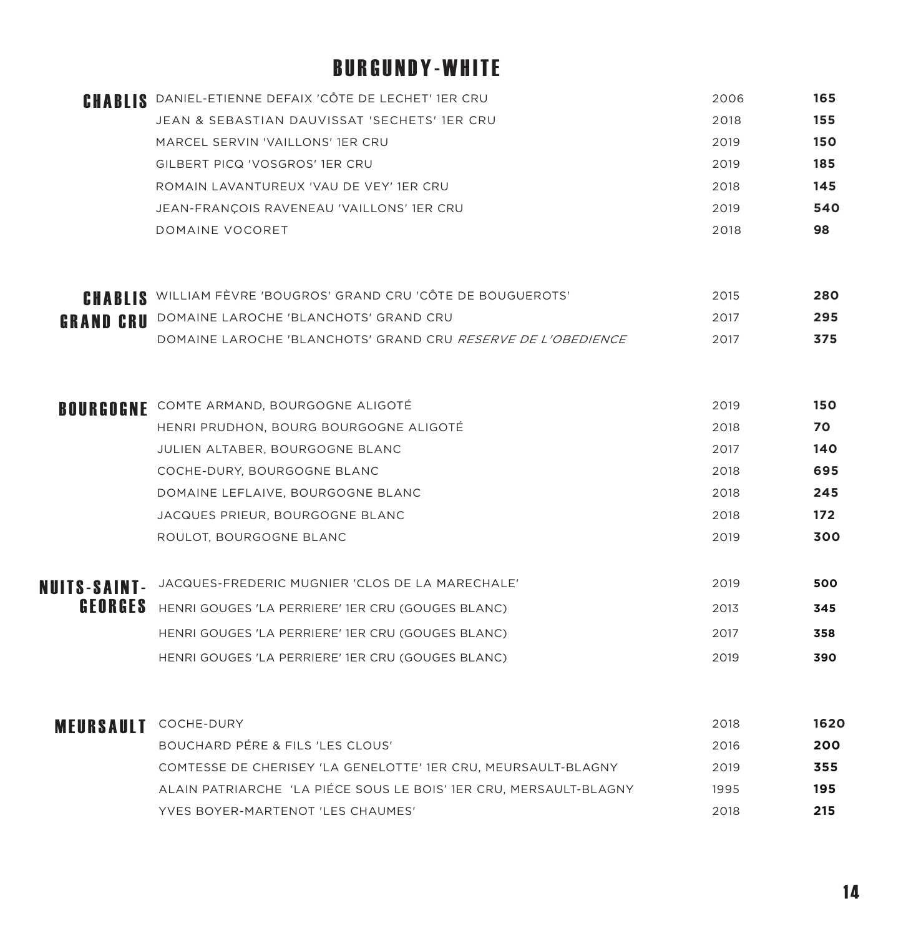# BURGUNDY-WHITE

|                      | <b>CHABLIS</b> DANIEL-ETIENNE DEFAIX 'CÔTE DE LECHET' 1ER CRU         | 2006 | 165   |
|----------------------|-----------------------------------------------------------------------|------|-------|
|                      | JEAN & SEBASTIAN DAUVISSAT 'SECHETS' 1ER CRU                          | 2018 | 155   |
|                      | MARCEL SERVIN 'VAILLONS' 1ER CRU                                      | 2019 | 150   |
|                      | GILBERT PICQ 'VOSGROS' 1ER CRU                                        | 2019 | 185   |
|                      | ROMAIN LAVANTUREUX 'VAU DE VEY' 1ER CRU                               | 2018 | 145   |
|                      | JEAN-FRANÇOIS RAVENEAU 'VAILLONS' 1ER CRU                             | 2019 | 540   |
|                      | DOMAINE VOCORET                                                       | 2018 | 98    |
|                      | <b>CHABLIS</b> WILLIAM FÈVRE 'BOUGROS' GRAND CRU 'CÔTE DE BOUGUEROTS' | 2015 | 280   |
|                      | <b>GRAND CRU</b> DOMAINE LAROCHE 'BLANCHOTS' GRAND CRU                | 2017 | 295   |
|                      | DOMAINE LAROCHE 'BLANCHOTS' GRAND CRU RESERVE DE L'OBEDIENCE          | 2017 | 375   |
|                      | <b>BOURGOGNE</b> COMTE ARMAND, BOURGOGNE ALIGOTÉ                      | 2019 | 150   |
|                      | HENRI PRUDHON, BOURG BOURGOGNE ALIGOTÉ                                | 2018 | 70    |
|                      | JULIEN ALTABER, BOURGOGNE BLANC                                       | 2017 | 140   |
|                      | COCHE-DURY, BOURGOGNE BLANC                                           | 2018 | 695   |
|                      | DOMAINE LEFLAIVE, BOURGOGNE BLANC                                     | 2018 | 245   |
|                      | JACQUES PRIEUR, BOURGOGNE BLANC                                       | 2018 | $172$ |
|                      | ROULOT, BOURGOGNE BLANC                                               | 2019 | 300   |
|                      | NUITS-SAINT- JACQUES-FREDERIC MUGNIER 'CLOS DE LA MARECHALE'          | 2019 | 500   |
|                      | <b>GEORGES</b> HENRI GOUGES 'LA PERRIERE' 1ER CRU (GOUGES BLANC)      | 2013 | 345   |
|                      | HENRI GOUGES 'LA PERRIERE' 1ER CRU (GOUGES BLANC)                     | 2017 | 358   |
|                      | HENRI GOUGES 'LA PERRIERE' 1ER CRU (GOUGES BLANC)                     | 2019 | 390   |
| MEURSAULT COCHE-DURY |                                                                       | 2018 | 1620  |
|                      | BOUCHARD PÉRE & FILS 'LES CLOUS'                                      | 2016 | 200   |
|                      | COMTESSE DE CHERISEY 'LA GENELOTTE' 1ER CRU, MEURSAULT-BLAGNY         | 2019 | 355   |
|                      | ALAIN PATRIARCHE 'LA PIÉCE SOUS LE BOIS' IER CRU, MERSAULT-BLAGNY     | 1995 | 195   |
|                      | YVES BOYER-MARTENOT 'LES CHAUMES'                                     | 2018 | 215   |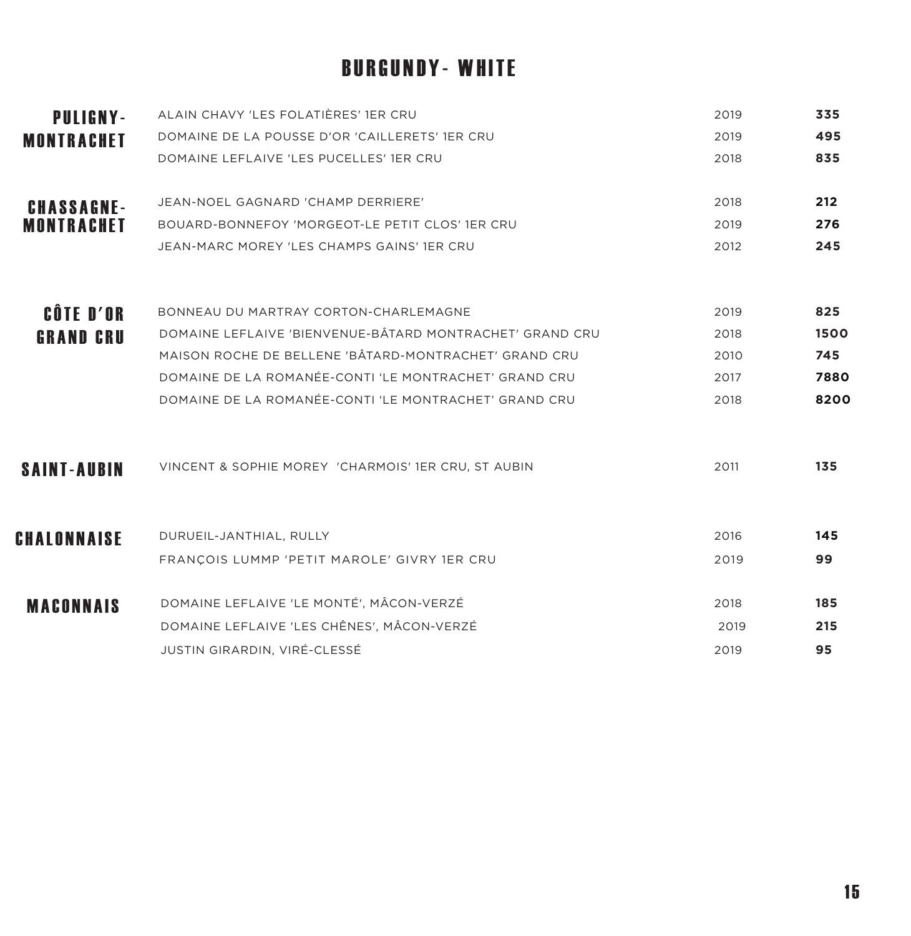# BURGUNDY- WHITE

| <b>PULIGNY-</b>    | ALAIN CHAVY 'LES FOLATIÈRES' 1ER CRU                     | 2019 | 335  |
|--------------------|----------------------------------------------------------|------|------|
| <b>MONTRACHET</b>  | DOMAINE DE LA POUSSE D'OR 'CAILLERETS' 1ER CRU           | 2019 | 495  |
|                    | DOMAINE LEFLAIVE 'LES PUCELLES' 1ER CRU                  | 2018 | 835  |
| <b>CHASSAGNE-</b>  | JEAN-NOEL GAGNARD 'CHAMP DERRIERE'                       | 2018 | 212  |
| <b>MONTRACHET</b>  | BOUARD-BONNEFOY 'MORGEOT-LE PETIT CLOS' 1ER CRU          | 2019 | 276  |
|                    | JEAN-MARC MOREY 'LES CHAMPS GAINS' 1ER CRU               | 2012 | 245  |
| <b>CÔTE D'OR</b>   | BONNEAU DU MARTRAY CORTON-CHARLEMAGNE                    | 2019 | 825  |
| <b>GRAND CRU</b>   | DOMAINE LEFLAIVE 'BIENVENUE-BÂTARD MONTRACHET' GRAND CRU | 2018 | 1500 |
|                    | MAISON ROCHE DE BELLENE 'BÂTARD-MONTRACHET' GRAND CRU    | 2010 | 745  |
|                    | DOMAINE DE LA ROMANÉE-CONTI 'LE MONTRACHET' GRAND CRU    | 2017 | 7880 |
|                    | DOMAINE DE LA ROMANÉE-CONTI 'LE MONTRACHET' GRAND CRU    | 2018 | 8200 |
| <b>SAINT-AUBIN</b> | VINCENT & SOPHIE MOREY 'CHARMOIS' 1ER CRU, ST AUBIN      | 2011 | 135  |
| CHALONNAISE        | DURUEIL-JANTHIAL, RULLY                                  | 2016 | 145  |
|                    | FRANÇOIS LUMMP 'PETIT MAROLE' GIVRY 1ER CRU              | 2019 | 99   |
| <b>MACONNAIS</b>   | DOMAINE LEFLAIVE 'LE MONTÉ', MÂCON-VERZÉ                 | 2018 | 185  |
|                    | DOMAINE LEFLAIVE 'LES CHÊNES', MÂCON-VERZÉ               | 2019 | 215  |
|                    | JUSTIN GIRARDIN, VIRÉ-CLESSÉ                             | 2019 | 95   |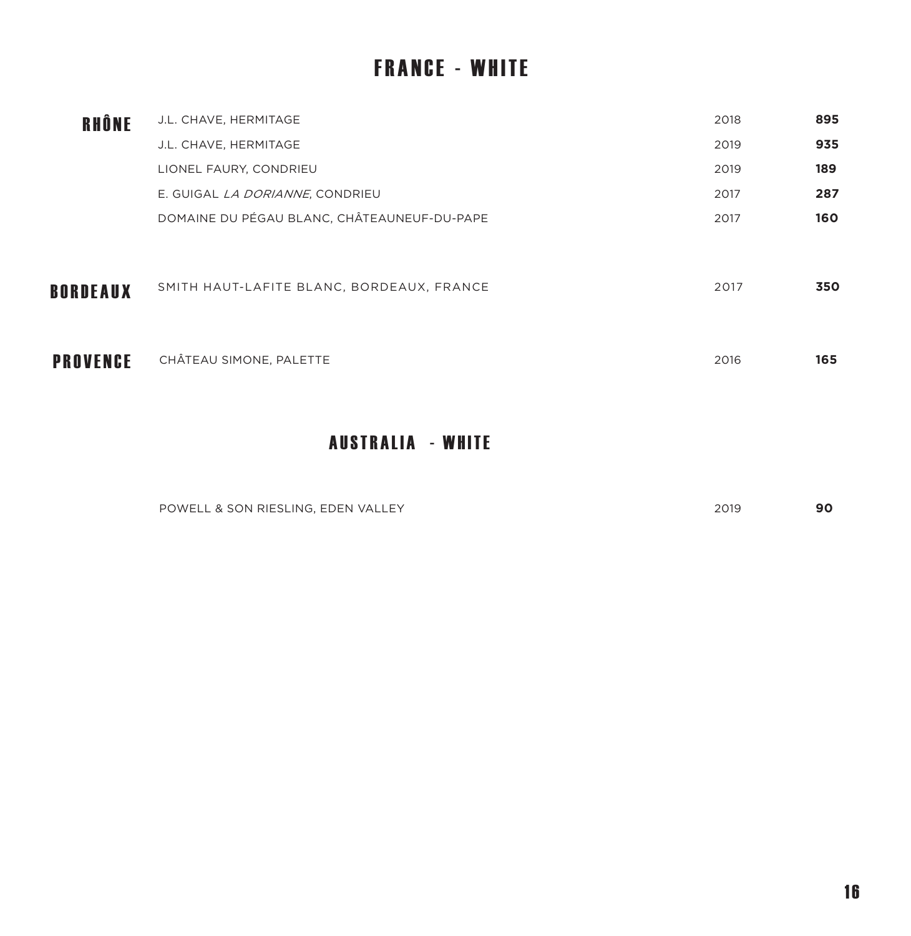# FRANCE - WHITE

| RHÔNE           | J.L. CHAVE, HERMITAGE                       | 2018 | 895 |
|-----------------|---------------------------------------------|------|-----|
|                 | J.L. CHAVE, HERMITAGE                       | 2019 | 935 |
|                 | LIONEL FAURY, CONDRIEU                      | 2019 | 189 |
|                 | E. GUIGAL <i>LA DORIANNE</i> , CONDRIEU     | 2017 | 287 |
|                 | DOMAINE DU PÉGAU BLANC, CHÂTEAUNEUF-DU-PAPE | 2017 | 160 |
| <b>BORDEAUX</b> | SMITH HAUT-LAFITE BLANC, BORDEAUX, FRANCE   | 2017 | 350 |
| PROVENCE        | CHÂTEAU SIMONE, PALETTE                     | 2016 | 165 |

#### AUSTRALIA - WHITE

| <b>POWEL</b><br>. & SON RIESLING.<br>$\cap$ EDEN VALLE.<br>$\overline{1}$ $\overline{1}$<br>$\overline{a}$ . The contract of the contract of the contract of the contract of the contract of the contract of the contract of the contract of the contract of the contract of the contract of the contract of the contract of th | 2010<br>くいに |  |
|---------------------------------------------------------------------------------------------------------------------------------------------------------------------------------------------------------------------------------------------------------------------------------------------------------------------------------|-------------|--|
|                                                                                                                                                                                                                                                                                                                                 |             |  |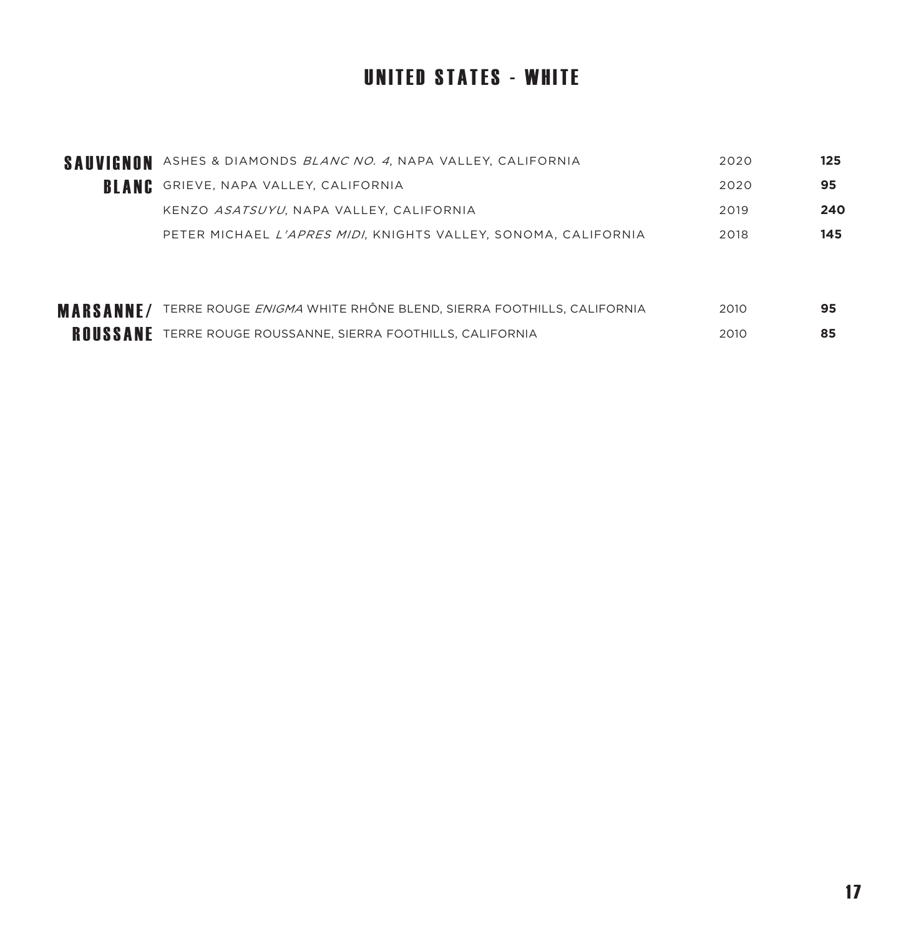# UNITED STATES - WHITE

| ASHES & DIAMONDS BLANC NO. 4, NAPA VALLEY, CALIFORNIA                     | 2020 | 125 |
|---------------------------------------------------------------------------|------|-----|
| GRIEVE, NAPA VALLEY, CALIFORNIA                                           | 2020 | 95  |
| KENZO ASATSUYU, NAPA VALLEY, CALIFORNIA                                   | 2019 | 240 |
| PETER MICHAEL <i>L'APRES MIDI</i> . KNIGHTS VALLEY. SONOMA. CALIFORNIA    | 2018 | 145 |
|                                                                           |      |     |
|                                                                           |      |     |
| TERRE ROUGE <i>ENIGMA</i> WHITE RHÔNE BLEND, SIERRA FOOTHILLS, CALIFORNIA | 2010 | 95  |
| TERRE ROUGE ROUSSANNE, SIERRA FOOTHILLS, CALIFORNIA                       | 2010 | 85  |
|                                                                           |      |     |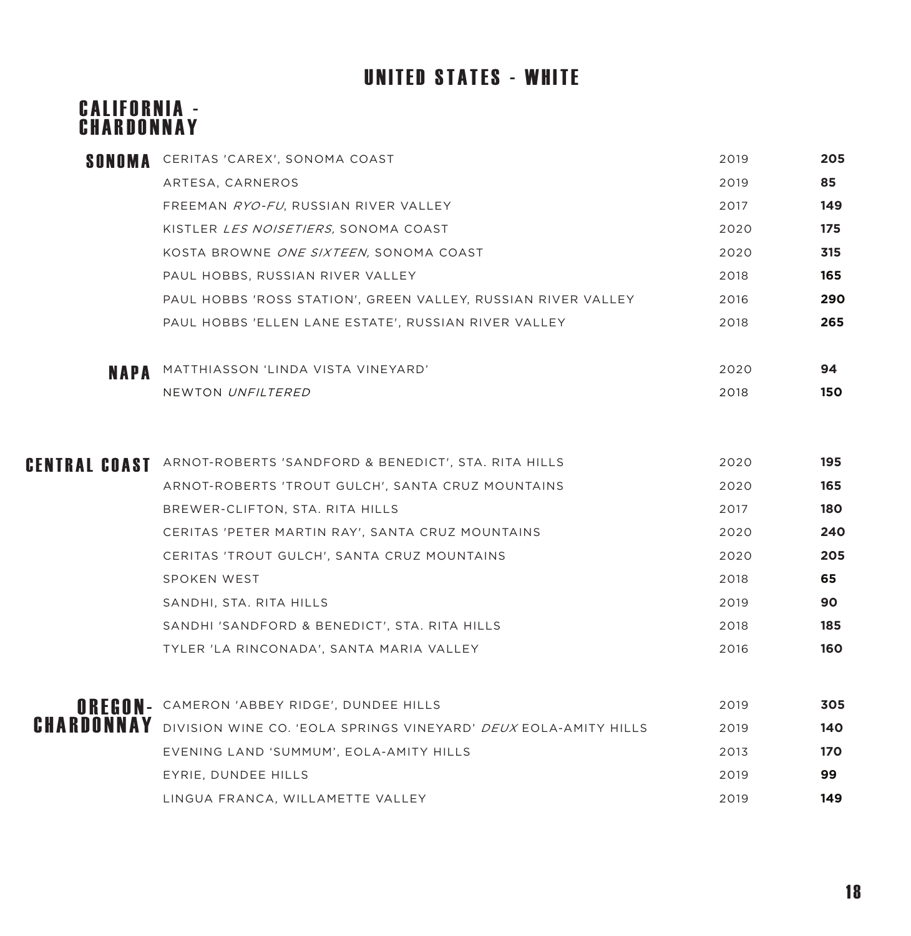# UNITED STATES - WHITE

#### CALIFORNIA -CHARDONNAY

| SONOMA | CERITAS 'CAREX', SONOMA COAST                                              | 2019 | 205 |
|--------|----------------------------------------------------------------------------|------|-----|
|        | ARTESA, CARNEROS                                                           | 2019 | 85  |
|        | FREEMAN RYO-FU, RUSSIAN RIVER VALLEY                                       | 2017 | 149 |
|        | KISTLER <i>LES NOISETIERS</i> , SONOMA COAST                               | 2020 | 175 |
|        | KOSTA BROWNE ONE SIXTEEN, SONOMA COAST                                     | 2020 | 315 |
|        | PAUL HOBBS, RUSSIAN RIVER VALLEY                                           | 2018 | 165 |
|        | PAUL HOBBS 'ROSS STATION', GREEN VALLEY, RUSSIAN RIVER VALLEY              | 2016 | 290 |
|        | PAUL HOBBS 'ELLEN LANE ESTATE', RUSSIAN RIVER VALLEY                       | 2018 | 265 |
| NAPA   | MATTHIASSON 'LINDA VISTA VINEYARD'                                         | 2020 | 94  |
|        | NEWTON UNFILTERED                                                          | 2018 | 150 |
|        |                                                                            |      |     |
|        | CENTRAL COAST ARNOT-ROBERTS 'SANDFORD & BENEDICT', STA. RITA HILLS         | 2020 | 195 |
|        | ARNOT-ROBERTS 'TROUT GULCH', SANTA CRUZ MOUNTAINS                          | 2020 | 165 |
|        | BREWER-CLIFTON, STA. RITA HILLS                                            | 2017 | 180 |
|        | CERITAS 'PETER MARTIN RAY', SANTA CRUZ MOUNTAINS                           | 2020 | 240 |
|        | CERITAS 'TROUT GULCH', SANTA CRUZ MOUNTAINS                                | 2020 | 205 |
|        | SPOKEN WEST                                                                | 2018 | 65  |
|        | SANDHI, STA. RITA HILLS                                                    | 2019 | 90  |
|        | SANDHI 'SANDFORD & BENEDICT', STA. RITA HILLS                              | 2018 | 185 |
|        | TYLER 'LA RINCONADA', SANTA MARIA VALLEY                                   | 2016 | 160 |
|        | OREGON- CAMERON 'ABBEY RIDGE', DUNDEE HILLS                                | 2019 | 305 |
|        | CHARDONNAY DIVISION WINE CO. 'EOLA SPRINGS VINEYARD' DEUX EOLA-AMITY HILLS | 2019 | 140 |
|        | EVENING LAND 'SUMMUM', EOLA-AMITY HILLS                                    | 2013 | 170 |
|        | EYRIE, DUNDEE HILLS                                                        | 2019 | 99  |
|        | LINGUA FRANCA, WILLAMETTE VALLEY                                           | 2019 | 149 |
|        |                                                                            |      |     |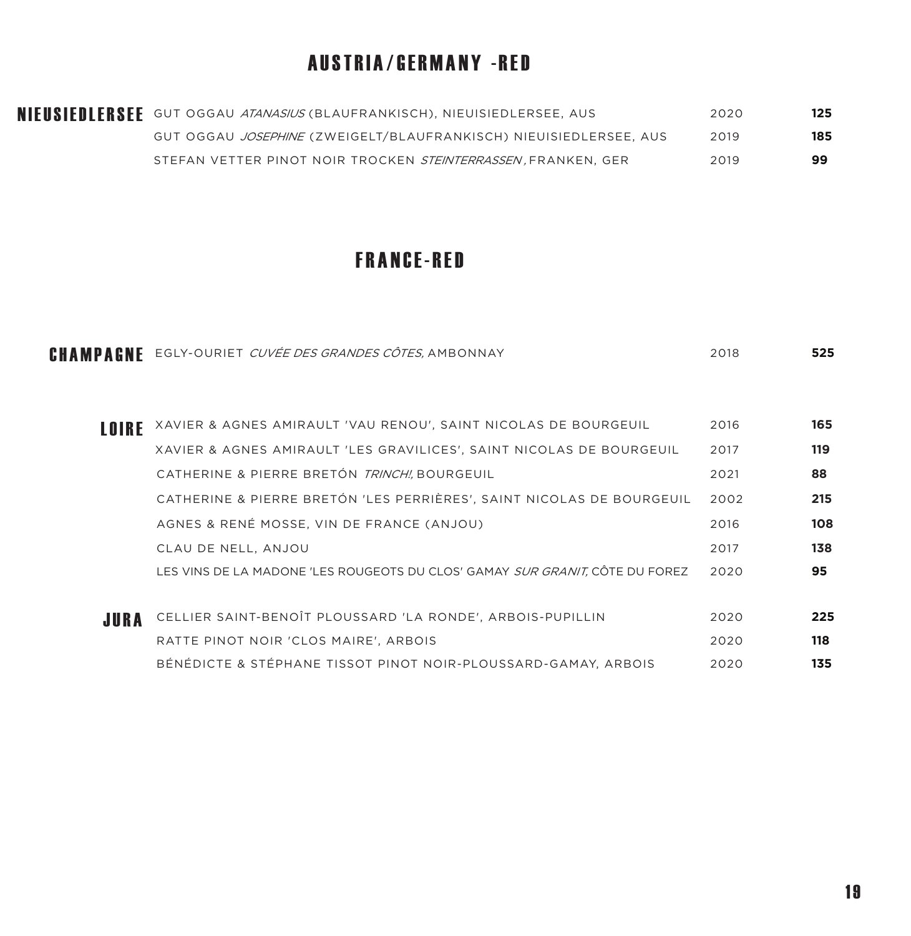### AUSTRIA/GERMANY -RED

| NIEUSIEDLERSEE GUT OGGAU ATANASIUS (BLAUFRANKISCH), NIEUISIEDLERSEE, AUS | 2020 | 125 |
|--------------------------------------------------------------------------|------|-----|
| GUT OGGAU JOSEPHINE (ZWEIGELT/BLAUFRANKISCH) NIEUISIEDLERSEE, AUS        | 2019 | 185 |
| STEFAN VETTER PINOT NOIR TROCKEN <i>STEINTERRASSEN.</i> FRANKEN. GER     | 2019 | 99  |

#### FRANCE-RED

| CHAMPAGNE | EGLY-OURIET CUVÉE DES GRANDES CÔTES, AMBONNAY                                | 2018 | 525 |
|-----------|------------------------------------------------------------------------------|------|-----|
|           |                                                                              |      |     |
| LOIRE     | XAVIER & AGNES AMIRAULT 'VAU RENOU', SAINT NICOLAS DE BOURGEUIL              | 2016 | 165 |
|           | XAVIER & AGNES AMIRAULT 'LES GRAVILICES', SAINT NICOLAS DE BOURGEUIL         | 2017 | 119 |
|           | CATHERINE & PIERRE BRETÓN TRINCHI, BOURGEUIL                                 | 2021 | 88  |
|           | CATHERINE & PIERRE BRETÓN 'LES PERRIÈRES', SAINT NICOLAS DE BOURGEUIL        | 2002 | 215 |
|           | AGNES & RENÉ MOSSE, VIN DE FRANCE (ANJOU)                                    | 2016 | 108 |
|           | CLAU DE NELL, ANJOU                                                          | 2017 | 138 |
|           | LES VINS DE LA MADONE 'LES ROUGEOTS DU CLOS' GAMAY SUR GRANIT, CÔTE DU FOREZ | 2020 | 95  |
|           |                                                                              |      |     |
| JURA      | CELLIER SAINT-BENOÎT PLOUSSARD 'LA RONDE', ARBOIS-PUPILLIN                   | 2020 | 225 |
|           | RATTE PINOT NOIR 'CLOS MAIRE', ARBOIS                                        | 2020 | 118 |
|           | BÉNÉDICTE & STÉPHANE TISSOT PINOT NOIR-PLOUSSARD-GAMAY, ARBOIS               | 2020 | 135 |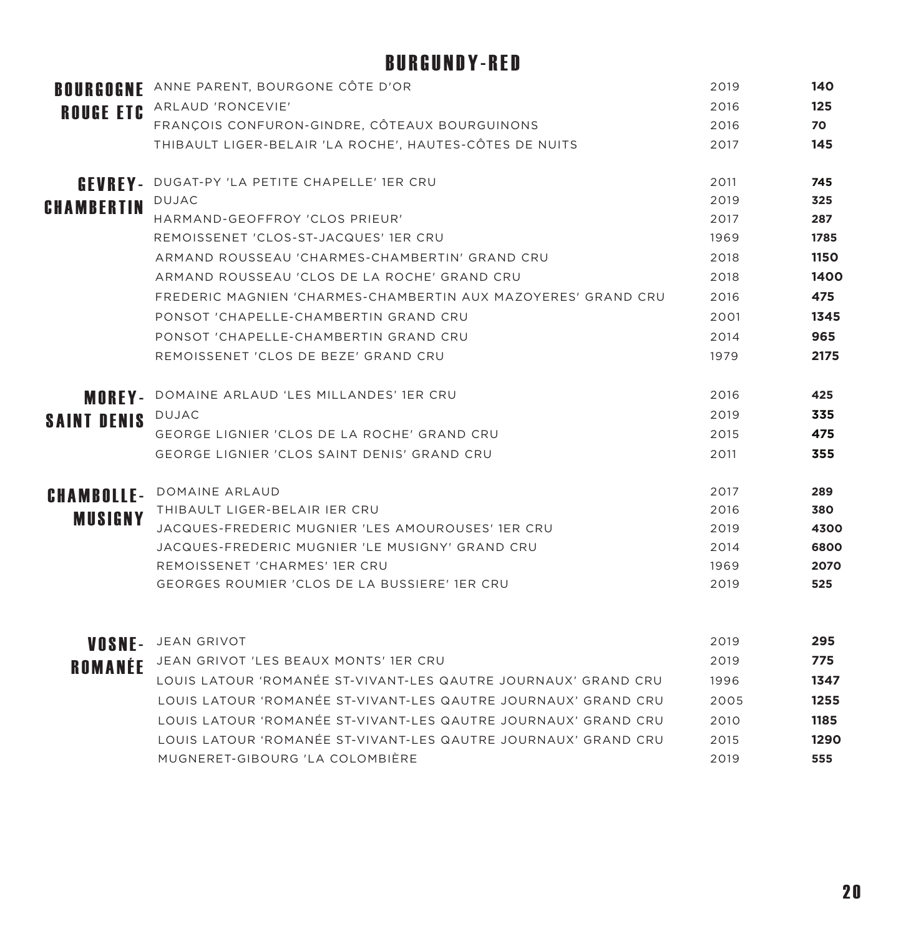# BURGUNDY-RED

|                    | <b>BOURGOGNE</b> ANNE PARENT, BOURGONE CÔTE D'OR               | 2019 | 140  |
|--------------------|----------------------------------------------------------------|------|------|
|                    | ROUGE ETC ARLAUD 'RONCEVIE'                                    | 2016 | 125  |
|                    | FRANÇOIS CONFURON-GINDRE, CÔTEAUX BOURGUINONS                  | 2016 | 70   |
|                    | THIBAULT LIGER-BELAIR 'LA ROCHE', HAUTES-CÔTES DE NUITS        | 2017 | 145  |
|                    | <b>GEVREY-</b> DUGAT-PY 'LA PETITE CHAPELLE' 1ER CRU           | 2011 | 745  |
| <b>CHAMBERTIN</b>  | <b>DUJAC</b>                                                   | 2019 | 325  |
|                    | HARMAND-GEOFFROY 'CLOS PRIEUR'                                 | 2017 | 287  |
|                    | REMOISSENET 'CLOS-ST-JACQUES' 1ER CRU                          | 1969 | 1785 |
|                    | ARMAND ROUSSEAU 'CHARMES-CHAMBERTIN' GRAND CRU                 | 2018 | 1150 |
|                    | ARMAND ROUSSEAU 'CLOS DE LA ROCHE' GRAND CRU                   | 2018 | 1400 |
|                    | FREDERIC MAGNIEN 'CHARMES-CHAMBERTIN AUX MAZOYERES' GRAND CRU  | 2016 | 475  |
|                    | PONSOT 'CHAPELLE-CHAMBERTIN GRAND CRU                          | 2001 | 1345 |
|                    | PONSOT 'CHAPELLE-CHAMBERTIN GRAND CRU                          | 2014 | 965  |
|                    | REMOISSENET 'CLOS DE BEZE' GRAND CRU                           | 1979 | 2175 |
|                    | <b>MOREY-</b> DOMAINE ARLAUD 'LES MILLANDES' 1ER CRU           | 2016 | 425  |
| <b>SAINT DENIS</b> | <b>DUJAC</b>                                                   | 2019 | 335  |
|                    | GEORGE LIGNIER 'CLOS DE LA ROCHE' GRAND CRU                    | 2015 | 475  |
|                    | GEORGE LIGNIER 'CLOS SAINT DENIS' GRAND CRU                    | 2011 | 355  |
| <b>CHAMBOLLE-</b>  | DOMAINE ARLAUD                                                 | 2017 | 289  |
| <b>MUSIGNY</b>     | THIBAULT LIGER-BELAIR IER CRU                                  | 2016 | 380  |
|                    | JACQUES-FREDERIC MUGNIER 'LES AMOUROUSES' 1ER CRU              | 2019 | 4300 |
|                    | JACQUES-FREDERIC MUGNIER 'LE MUSIGNY' GRAND CRU                | 2014 | 6800 |
|                    | REMOISSENET 'CHARMES' 1ER CRU                                  | 1969 | 2070 |
|                    | GEORGES ROUMIER 'CLOS DE LA BUSSIERE' 1ER CRU                  | 2019 | 525  |
|                    | VOSNE- JEAN GRIVOT                                             | 2019 | 295  |
|                    | JEAN GRIVOT 'LES BEAUX MONTS' 1ER CRU                          | 2019 | 775  |
| ROMANÉE            | LOUIS LATOUR 'ROMANÉE ST-VIVANT-LES QAUTRE JOURNAUX' GRAND CRU | 1996 | 1347 |
|                    | LOUIS LATOUR 'ROMANÉE ST-VIVANT-LES QAUTRE JOURNAUX' GRAND CRU | 2005 | 1255 |
|                    |                                                                |      |      |
|                    | LOUIS LATOUR 'ROMANÉE ST-VIVANT-LES QAUTRE JOURNAUX' GRAND CRU | 2010 | 1185 |
|                    | LOUIS LATOUR 'ROMANÉE ST-VIVANT-LES QAUTRE JOURNAUX' GRAND CRU | 2015 | 1290 |
|                    | MUGNERET-GIBOURG 'LA COLOMBIÈRE                                | 2019 | 555  |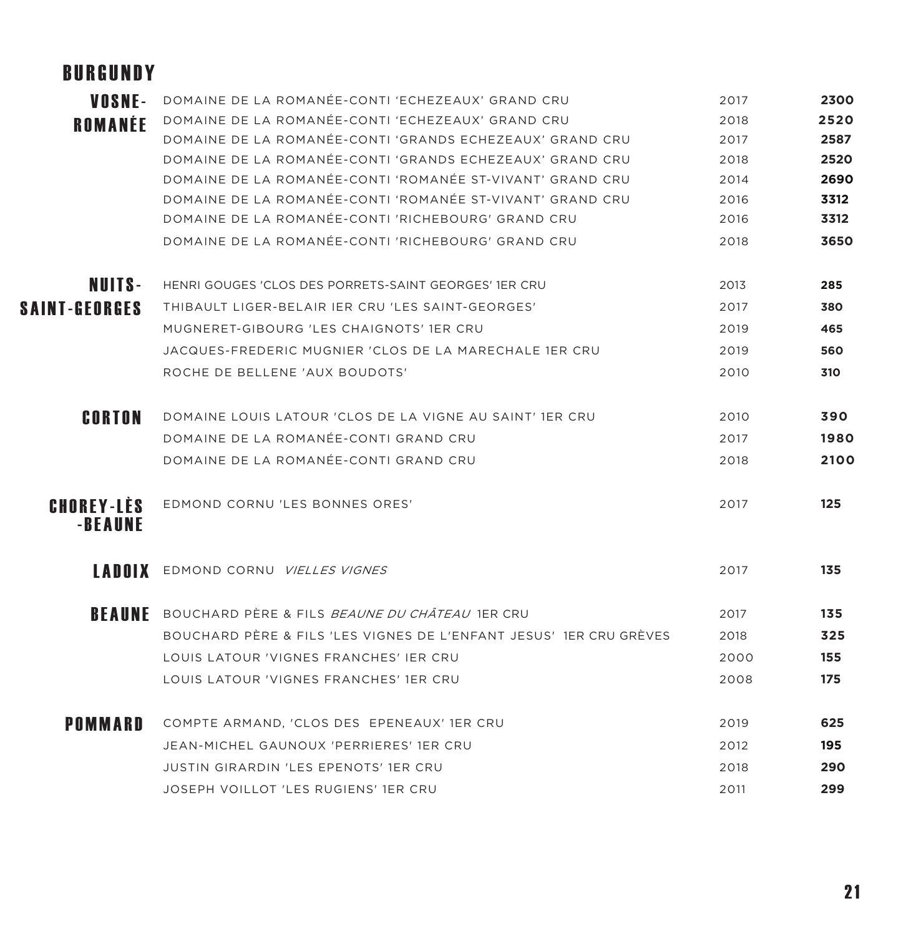# BURGUNDY

| VOSNE-                       | DOMAINE DE LA ROMANÉE-CONTI 'ECHEZEAUX' GRAND CRU                  | 2017 | 2300 |
|------------------------------|--------------------------------------------------------------------|------|------|
| ROMANÉE                      | DOMAINE DE LA ROMANÉE-CONTI 'ECHEZEAUX' GRAND CRU                  | 2018 | 2520 |
|                              | DOMAINE DE LA ROMANÉE-CONTI 'GRANDS ECHEZEAUX' GRAND CRU           | 2017 | 2587 |
|                              | DOMAINE DE LA ROMANÉE-CONTI 'GRANDS ECHEZEAUX' GRAND CRU           | 2018 | 2520 |
|                              | DOMAINE DE LA ROMANÉE-CONTI 'ROMANÉE ST-VIVANT' GRAND CRU          | 2014 | 2690 |
|                              | DOMAINE DE LA ROMANÉE-CONTI 'ROMANÉE ST-VIVANT' GRAND CRU          | 2016 | 3312 |
|                              | DOMAINE DE LA ROMANÉE-CONTI 'RICHEBOURG' GRAND CRU                 | 2016 | 3312 |
|                              | DOMAINE DE LA ROMANÉE-CONTI 'RICHEBOURG' GRAND CRU                 | 2018 | 3650 |
| NUITS-                       | HENRI GOUGES 'CLOS DES PORRETS-SAINT GEORGES' 1ER CRU              | 2013 | 285  |
| SAINT-GEORGES                | THIBAULT LIGER-BELAIR JER CRU 'LES SAINT-GEORGES'                  | 2017 | 380  |
|                              | MUGNERET-GIBOURG 'LES CHAIGNOTS' 1ER CRU                           | 2019 | 465  |
|                              | JACQUES-FREDERIC MUGNIER 'CLOS DE LA MARECHALE 1ER CRU             | 2019 | 560  |
|                              | ROCHE DE BELLENE 'AUX BOUDOTS'                                     | 2010 | 310  |
| CORTON                       | DOMAINE LOUIS LATOUR 'CLOS DE LA VIGNE AU SAINT' 1ER CRU           | 2010 | 390  |
|                              | DOMAINE DE LA ROMANÉE-CONTI GRAND CRU                              | 2017 | 1980 |
|                              | DOMAINE DE LA ROMANÉE-CONTI GRAND CRU                              | 2018 | 2100 |
| <b>CHOREY-LÈS</b><br>-BEAUNE | EDMOND CORNU 'LES BONNES ORES'                                     | 2017 | 125  |
| LADOIX                       | EDMOND CORNU VIELLES VIGNES                                        | 2017 | 135  |
|                              | <b>BEAUNE</b> BOUCHARD PÈRE & FILS BEAUNE DU CHÂTEAU 1ER CRU       | 2017 | 135  |
|                              | BOUCHARD PÈRE & FILS 'LES VIGNES DE L'ENFANT JESUS' 1ER CRU GRÈVES | 2018 | 325  |
|                              | LOUIS LATOUR 'VIGNES FRANCHES' IER CRU                             | 2000 | 155  |
|                              | LOUIS LATOUR 'VIGNES FRANCHES' 1ER CRU                             | 2008 | 175  |
| <b>POMMARD</b>               | COMPTE ARMAND, 'CLOS DES EPENEAUX' 1ER CRU                         | 2019 | 625  |
|                              | JEAN-MICHEL GAUNOUX 'PERRIERES' 1ER CRU                            | 2012 | 195  |
|                              | <b>JUSTIN GIRARDIN 'LES EPENOTS' 1ER CRU</b>                       | 2018 | 290  |
|                              | JOSEPH VOILLOT 'LES RUGIENS' 1ER CRU                               | 2011 | 299  |
|                              |                                                                    |      |      |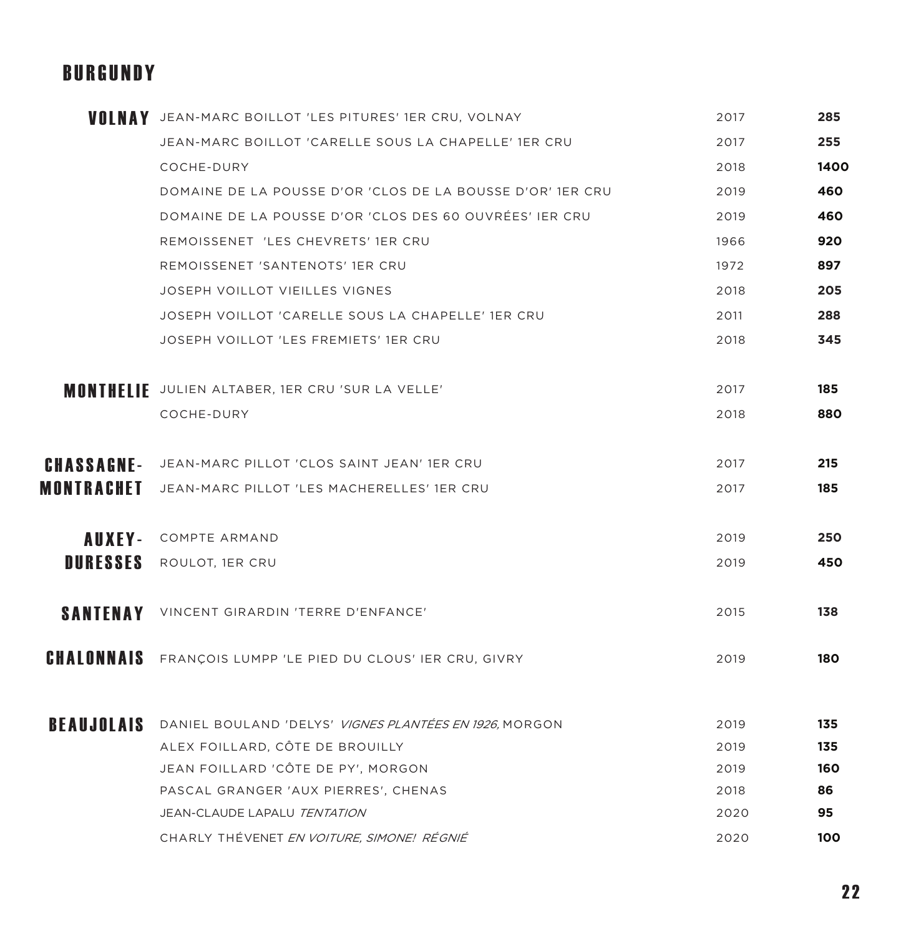### BURGUNDY

|                 | <b>VOLNAY</b> JEAN-MARC BOILLOT 'LES PITURES' 1ER CRU, VOLNAY            | 2017 | 285  |
|-----------------|--------------------------------------------------------------------------|------|------|
|                 | JEAN-MARC BOILLOT 'CARELLE SOUS LA CHAPELLE' 1ER CRU                     | 2017 | 255  |
|                 | COCHE-DURY                                                               | 2018 | 1400 |
|                 | DOMAINE DE LA POUSSE D'OR 'CLOS DE LA BOUSSE D'OR' 1ER CRU               | 2019 | 460  |
|                 | DOMAINE DE LA POUSSE D'OR 'CLOS DES 60 OUVRÉES' IER CRU                  | 2019 | 460  |
|                 | REMOISSENET 'LES CHEVRETS' 1ER CRU                                       | 1966 | 920  |
|                 | REMOISSENET 'SANTENOTS' 1ER CRU                                          | 1972 | 897  |
|                 | JOSEPH VOILLOT VIEILLES VIGNES                                           | 2018 | 205  |
|                 | JOSEPH VOILLOT 'CARELLE SOUS LA CHAPELLE' 1ER CRU                        | 2011 | 288  |
|                 | JOSEPH VOILLOT 'LES FREMIETS' 1ER CRU                                    | 2018 | 345  |
|                 |                                                                          |      |      |
|                 | <b>MONTHELIE</b> JULIEN ALTABER, 1ER CRU 'SUR LA VELLE'                  | 2017 | 185  |
|                 | COCHE-DURY                                                               | 2018 | 880  |
|                 | <b>CHASSACNE-</b> JEAN-MARC PILLOT 'CLOS SAINT JEAN' 1ER CRU             | 2017 | 215  |
| MONTRACHET      | JEAN-MARC PILLOT 'LES MACHERELLES' 1ER CRU                               | 2017 | 185  |
|                 | <b>AUXEY-</b> COMPTE ARMAND                                              | 2019 | 250  |
| <b>DURESSES</b> | ROULOT, 1ER CRU                                                          | 2019 | 450  |
|                 |                                                                          |      |      |
| <b>SANTENAY</b> | VINCENT GIRARDIN 'TERRE D'ENFANCE'                                       | 2015 | 138  |
|                 | <b>CHALONNAIS</b> FRANÇOIS LUMPP 'LE PIED DU CLOUS' IER CRU, GIVRY       | 2019 | 180  |
|                 | <b>BEAUJOLAIS</b> DANIEL BOULAND 'DELYS' VIGNES PLANTÉES EN 1926, MORGON | 2019 | 135  |
|                 | ALEX FOILLARD, CÔTE DE BROUILLY                                          | 2019 | 135  |
|                 | JEAN FOILLARD 'CÔTE DE PY', MORGON                                       | 2019 | 160  |
|                 | PASCAL GRANGER 'AUX PIERRES', CHENAS                                     | 2018 | 86   |
|                 | JEAN-CLAUDE LAPALU TENTATION                                             | 2020 | 95   |
|                 | CHARLY THÉVENET EN VOITURE, SIMONE! RÉGNIÉ                               | 2020 | 100  |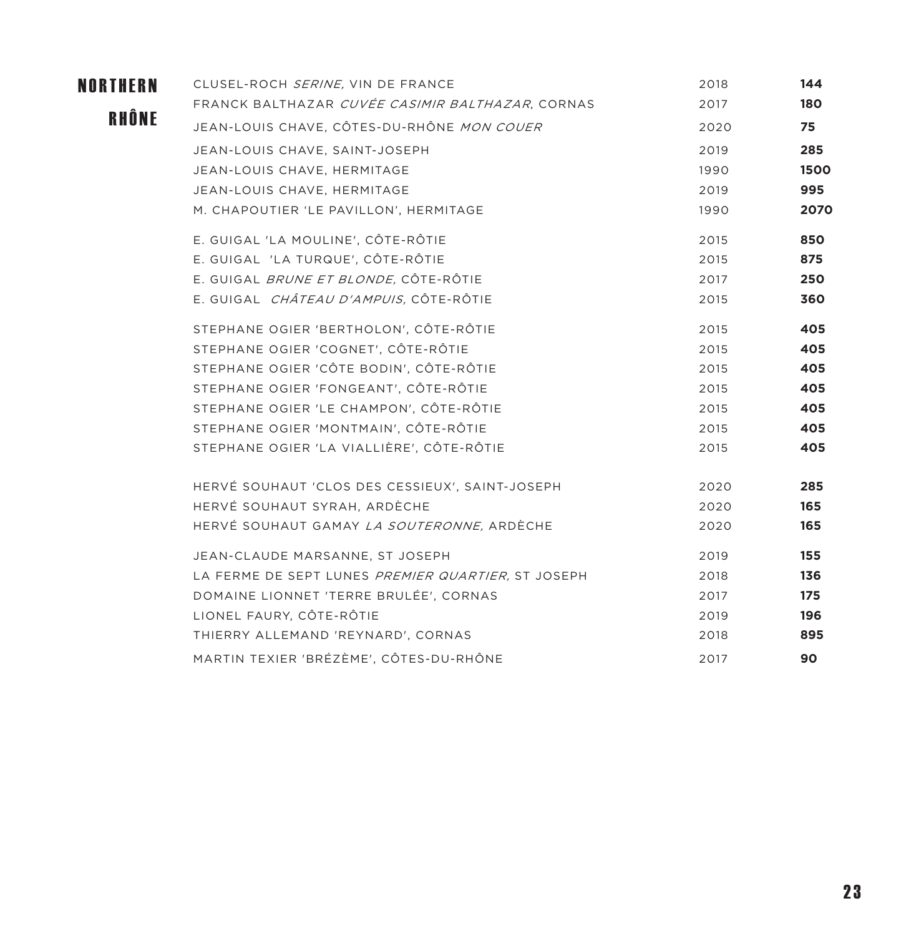| <b>NORTHERN</b> | CLUSEL-ROCH SERINE, VIN DE FRANCE                  | 2018 | 144  |
|-----------------|----------------------------------------------------|------|------|
|                 | FRANCK BALTHAZAR CUVÉE CASIMIR BALTHAZAR, CORNAS   | 2017 | 180  |
| RHÔNE           | JEAN-LOUIS CHAVE, CÔTES-DU-RHÔNE MON COUER         | 2020 | 75   |
|                 | JEAN-LOUIS CHAVE, SAINT-JOSEPH                     | 2019 | 285  |
|                 | JEAN-LOUIS CHAVE, HERMITAGE                        | 1990 | 1500 |
|                 | JEAN-LOUIS CHAVE, HERMITAGE                        | 2019 | 995  |
|                 | M. CHAPOUTIER 'LE PAVILLON', HERMITAGE             | 1990 | 2070 |
|                 | E. GUIGAL 'LA MOULINE', CÔTE-RÔTIE                 | 2015 | 850  |
|                 | E. GUIGAL 'LA TURQUE', CÔTE-RÔTIE                  | 2015 | 875  |
|                 | E. GUIGAL BRUNE ET BLONDE, CÔTE-RÔTIE              | 2017 | 250  |
|                 | E. GUIGAL CHÂTEAU D'AMPUIS, CÔTE-RÔTIE             | 2015 | 360  |
|                 | STEPHANE OGIER 'BERTHOLON', CÔTE-RÔTIE             | 2015 | 405  |
|                 | STEPHANE OGIER 'COGNET', CÔTE-RÔTIE                | 2015 | 405  |
|                 | STEPHANE OGIER 'CÔTE BODIN', CÔTE-RÔTIE            | 2015 | 405  |
|                 | STEPHANE OGIER 'FONGEANT', CÔTE-RÔTIE              | 2015 | 405  |
|                 | STEPHANE OGIER 'LE CHAMPON', CÔTE-RÔTIE            | 2015 | 405  |
|                 | STEPHANE OGIER 'MONTMAIN', CÔTE-RÔTIE              | 2015 | 405  |
|                 | STEPHANE OGIER 'LA VIALLIÈRE', CÔTE-RÔTIE          | 2015 | 405  |
|                 | HERVÉ SOUHAUT 'CLOS DES CESSIEUX', SAINT-JOSEPH    | 2020 | 285  |
|                 | HERVÉ SOUHAUT SYRAH, ARDÈCHE                       | 2020 | 165  |
|                 | HERVÉ SOUHAUT GAMAY <i>LA SOUTERONNE</i> , ARDÈCHE | 2020 | 165  |
|                 | JEAN-CLAUDE MARSANNE, ST JOSEPH                    | 2019 | 155  |
|                 | LA FERME DE SEPT LUNES PREMIER QUARTIER, ST JOSEPH | 2018 | 136  |
|                 | DOMAINE LIONNET 'TERRE BRULÉE', CORNAS             | 2017 | 175  |
|                 | LIONEL FAURY, CÔTE-RÔTIE                           | 2019 | 196  |
|                 | THIERRY ALLEMAND 'REYNARD', CORNAS                 | 2018 | 895  |
|                 | MARTIN TEXIER 'BRÉZÈME', CÔTES-DU-RHÔNE            | 2017 | 90   |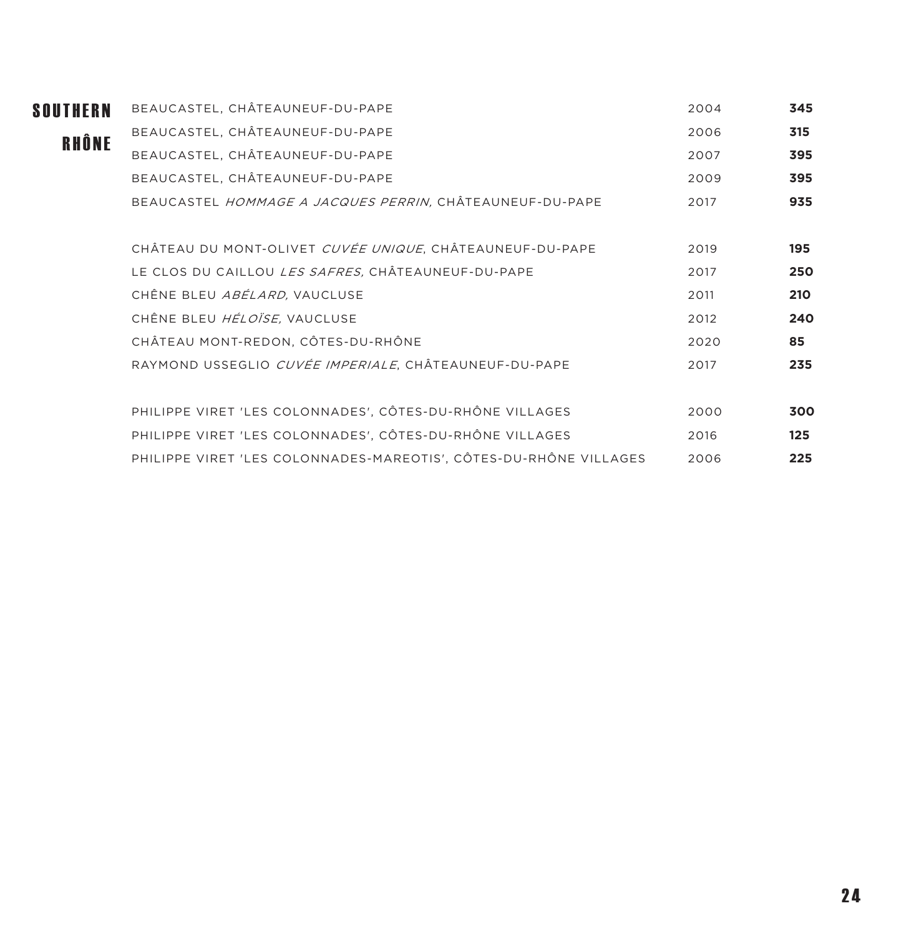| <b>SOUTHERN</b> | BEAUCASTEL, CHÂTEAUNEUF-DU-PAPE                                   | 2004 | 345 |
|-----------------|-------------------------------------------------------------------|------|-----|
| RHÔNE           | BEAUCASTEL, CHÂTEAUNEUF-DU-PAPE                                   | 2006 | 315 |
|                 | BEAUCASTEL, CHÂTEAUNEUF-DU-PAPE                                   | 2007 | 395 |
|                 | BEAUCASTEL, CHÂTEAUNEUF-DU-PAPE                                   | 2009 | 395 |
|                 | BEAUCASTEL HOMMAGE A JACQUES PERRIN, CHÂTEAUNEUF-DU-PAPE          | 2017 | 935 |
|                 | CHÂTEAU DU MONT-OLIVET CUVÉE UNIQUE. CHÂTEAUNEUF-DU-PAPE          | 2019 | 195 |
|                 | LE CLOS DU CAILLOU <i>LES SAFRES</i> , CHÂTEAUNEUF-DU-PAPE        | 2017 | 250 |
|                 | CHÊNE BLEU ABÉLARD, VAUCLUSE                                      | 2011 | 210 |
|                 | CHÊNE BLEU HÉLOÏSE, VAUCLUSE                                      | 2012 | 240 |
|                 | CHÂTEAU MONT-REDON, CÔTES-DU-RHÔNE                                | 2020 | 85  |
|                 | RAYMOND USSEGLIO CUVÉE IMPERIALE, CHÂTEAUNEUF-DU-PAPE             | 2017 | 235 |
|                 | PHILIPPE VIRET 'LES COLONNADES', CÔTES-DU-RHÔNE VILLAGES          | 2000 | 300 |
|                 | PHILIPPE VIRET 'LES COLONNADES', CÔTES-DU-RHÔNE VILLAGES          | 2016 | 125 |
|                 | PHILIPPE VIRET 'LES COLONNADES-MAREOTIS', CÔTES-DU-RHÔNE VILLAGES | 2006 | 225 |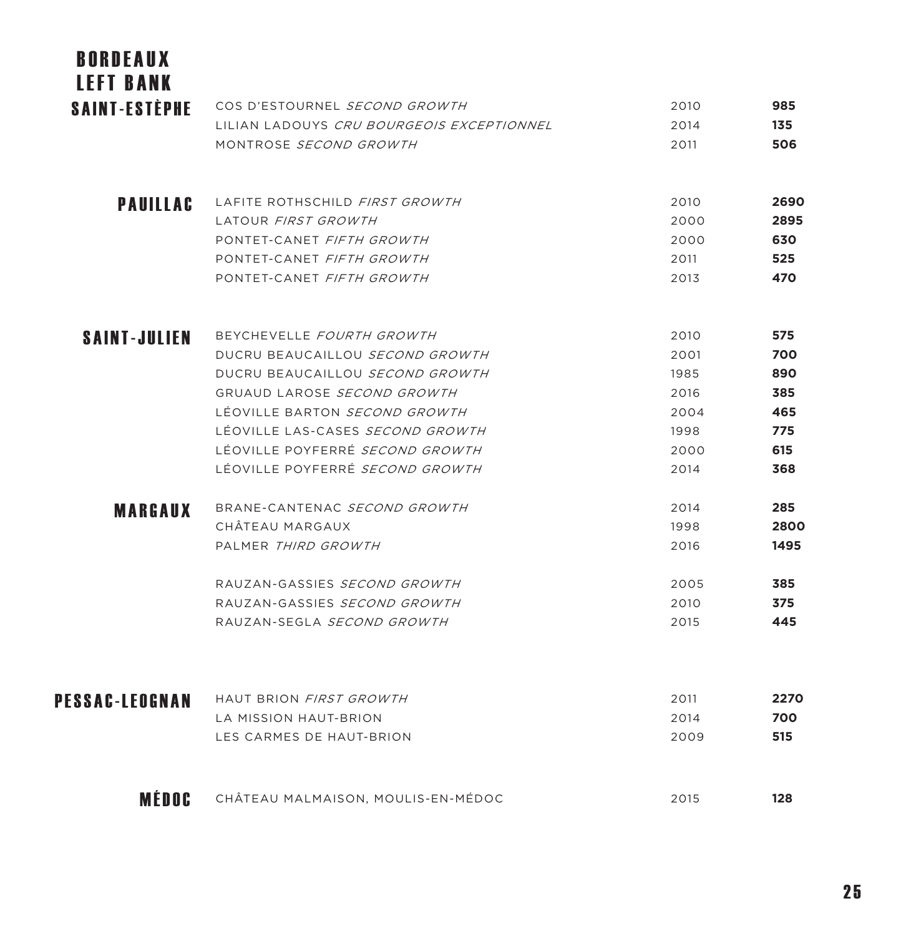| <b>BORDEAUX</b><br><b>LEFT BANK</b> |                                           |      |      |
|-------------------------------------|-------------------------------------------|------|------|
| <b>SAINT-ESTÈPHE</b>                | COS D'ESTOURNEL SECOND GROWTH             | 2010 | 985  |
|                                     | LILIAN LADOUYS CRU BOURGEOIS EXCEPTIONNEL | 2014 | 135  |
|                                     | MONTROSE SECOND GROWTH                    | 2011 | 506  |
| <b>PAUILLAC</b>                     | LAFITE ROTHSCHILD FIRST GROWTH            | 2010 | 2690 |
|                                     | LATOUR FIRST GROWTH                       | 2000 | 2895 |
|                                     | PONTET-CANET FIFTH GROWTH                 | 2000 | 630  |
|                                     | PONTET-CANET FIFTH GROWTH                 | 2011 | 525  |
|                                     | PONTET-CANET FIFTH GROWTH                 | 2013 | 470  |
| <b>SAINT-JULIEN</b>                 | BEYCHEVELLE FOURTH GROWTH                 | 2010 | 575  |
|                                     | DUCRU BEAUCAILLOU SECOND GROWTH           | 2001 | 700  |
|                                     | DUCRU BEAUCAILLOU SECOND GROWTH           | 1985 | 890  |
|                                     | GRUAUD LAROSE SECOND GROWTH               | 2016 | 385  |
|                                     | LÉOVILLE BARTON SECOND GROWTH             | 2004 | 465  |
|                                     | LÉOVILLE LAS-CASES <i>SECOND GROWTH</i>   | 1998 | 775  |
|                                     | LÉOVILLE POYFERRÉ <i>SECOND GROWTH</i>    | 2000 | 615  |
|                                     | LÉOVILLE POYFERRÉ SECOND GROWTH           | 2014 | 368  |
| <b>MARGAUX</b>                      | BRANE-CANTENAC SECOND GROWTH              | 2014 | 285  |
|                                     | CHÂTEAU MARGAUX                           | 1998 | 2800 |
|                                     | PALMER THIRD GROWTH                       | 2016 | 1495 |
|                                     | RAUZAN-GASSIES SECOND GROWTH              | 2005 | 385  |
|                                     | RAUZAN-GASSIES SECOND GROWTH              | 2010 | 375  |
|                                     | RAUZAN-SEGLA SECOND GROWTH                | 2015 | 445  |
| PESSAC-LEOGNAN                      | HAUT BRION FIRST GROWTH                   | 2011 | 2270 |
|                                     | LA MISSION HAUT-BRION                     | 2014 | 700  |
|                                     | LES CARMES DE HAUT-BRION                  | 2009 | 515  |
| MÉDOC                               | CHÂTEAU MALMAISON, MOULIS-EN-MÉDOC        | 2015 | 128  |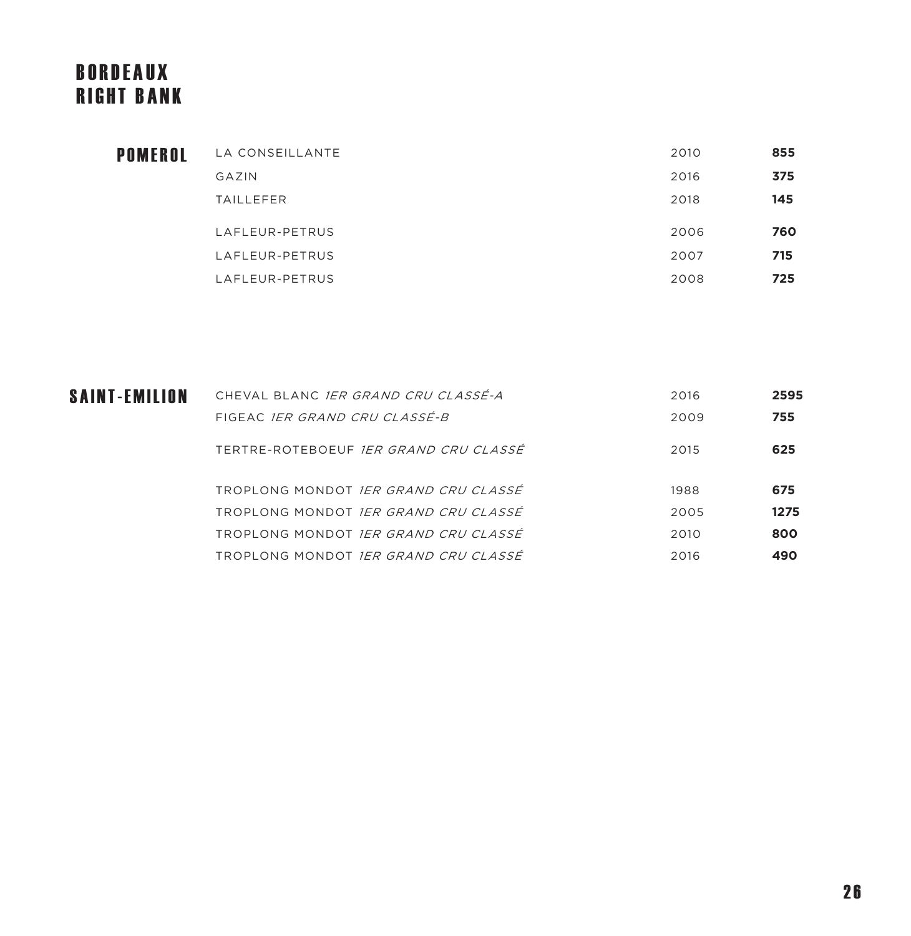# BORDEAUX RIGHT BANK

| LA CONSEILLANTE  | 2010 | 855 |
|------------------|------|-----|
| GAZIN            | 2016 | 375 |
| <b>TAILLEFER</b> | 2018 | 145 |
| LAFLEUR-PETRUS   | 2006 | 760 |
| LAFLEUR-PETRUS   | 2007 | 715 |
| LAFLEUR-PETRUS   | 2008 | 725 |
|                  |      |     |

| SAINT-EMILION | CHEVAL BLANC <i>IER GRAND CRU CLASSÉ-A</i>  | 2016 | 2595 |
|---------------|---------------------------------------------|------|------|
|               | FIGEAC <i>IER GRAND CRU CLASSÉ-B</i>        | 2009 | 755  |
|               | TERTRE-ROTEBOEUF IER GRAND CRU CLASSÉ       | 2015 | 625  |
|               | TROPLONG MONDOT IER GRAND CRU CLASSÉ        | 1988 | 675  |
|               | TROPLONG MONDOT <i>IER GRAND CRU CLASSÉ</i> | 2005 | 1275 |
|               | TROPLONG MONDOT IER GRAND CRU CLASSÉ        | 2010 | 800  |
|               | TROPLONG MONDOT <i>IER GRAND CRU CLASSÉ</i> | 2016 | 490  |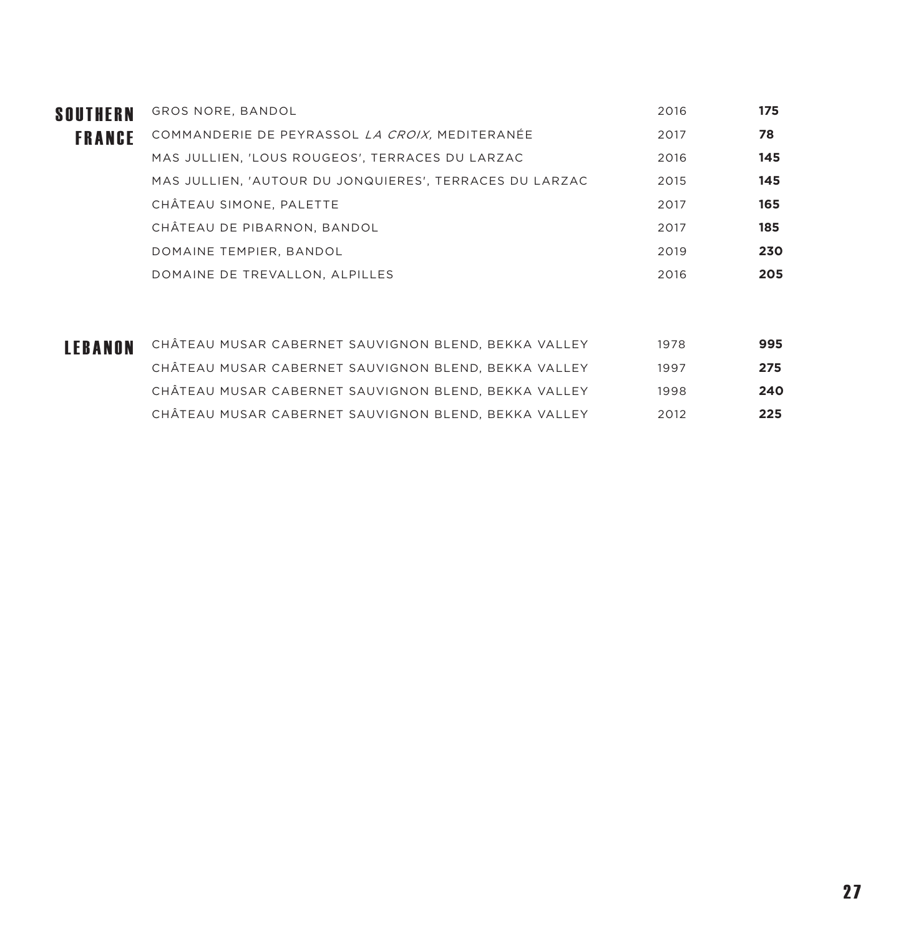| SOUTHERN      | GROS NORE, BANDOL                                       | 2016 | 175 |
|---------------|---------------------------------------------------------|------|-----|
| <b>FRANCE</b> | COMMANDERIE DE PEYRASSOL LA CROIX, MEDITERANÉE          | 2017 | 78  |
|               | MAS JULLIEN, 'LOUS ROUGEOS', TERRACES DU LARZAC         | 2016 | 145 |
|               | MAS JULLIEN, 'AUTOUR DU JONQUIERES', TERRACES DU LARZAC | 2015 | 145 |
|               | CHÂTEAU SIMONE, PALETTE                                 | 2017 | 165 |
|               | CHÂTEAU DE PIBARNON, BANDOL                             | 2017 | 185 |
|               | DOMAINE TEMPIER, BANDOL                                 | 2019 | 230 |
|               | DOMAINE DE TREVALLON, ALPILLES                          | 2016 | 205 |

| LEBANON | CHÂTEAU MUSAR CABERNET SAUVIGNON BLEND, BEKKA VALLEY | 1978 | 995 |
|---------|------------------------------------------------------|------|-----|
|         | CHÂTEAU MUSAR CABERNET SAUVIGNON BLEND, BEKKA VALLEY | 1997 | 275 |
|         | CHÂTEAU MUSAR CABERNET SAUVIGNON BLEND, BEKKA VALLEY | 1998 | 240 |
|         | CHÂTEAU MUSAR CABERNET SAUVIGNON BLEND, BEKKA VALLEY | 2012 | 225 |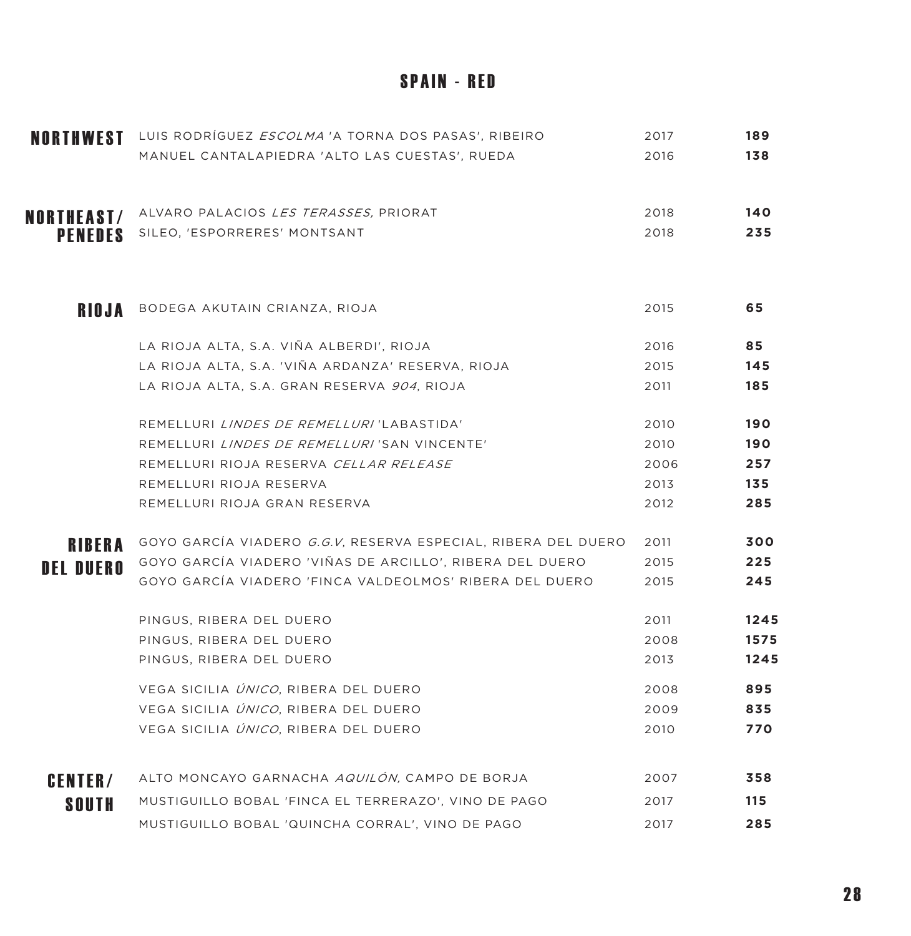#### **SPAIN - RED**

| NORTHWEST        | LUIS RODRÍGUEZ <i>ESCOLMA</i> 'A TORNA DOS PASAS', RIBEIRO            | 2017 | 189  |
|------------------|-----------------------------------------------------------------------|------|------|
|                  | MANUEL CANTALAPIEDRA 'ALTO LAS CUESTAS', RUEDA                        | 2016 | 138  |
| NORTHEAST/       | ALVARO PALACIOS LES TERASSES, PRIORAT                                 | 2018 | 140  |
| <b>PENEDES</b>   | SILEO, 'ESPORRERES' MONTSANT                                          | 2018 | 235  |
| <b>RIOJA</b>     | BODEGA AKUTAIN CRIANZA, RIOJA                                         | 2015 | 65   |
|                  |                                                                       |      |      |
|                  | LA RIOJA ALTA, S.A. VIÑA ALBERDI', RIOJA                              | 2016 | 85   |
|                  | LA RIOJA ALTA, S.A. 'VIÑA ARDANZA' RESERVA, RIOJA                     | 2015 | 145  |
|                  | LA RIOJA ALTA, S.A. GRAN RESERVA 904, RIOJA                           | 2011 | 185  |
|                  | REMELLURI LINDES DE REMELLURI 'LABASTIDA'                             | 2010 | 190  |
|                  | REMELLURI <i>LINDES DE REMELLURI</i> 'SAN VINCENTE'                   | 2010 | 190  |
|                  | REMELLURI RIOJA RESERVA CELLAR RELEASE                                | 2006 | 257  |
|                  | REMELLURI RIOJA RESERVA                                               | 2013 | 135  |
|                  | REMELLURI RIOJA GRAN RESERVA                                          | 2012 | 285  |
| <b>RIBERA</b>    | GOYO GARCÍA VIADERO <i>G.G.V</i> , RESERVA ESPECIAL, RIBERA DEL DUERO | 2011 | 300  |
| <b>DEL DUERO</b> | GOYO GARCÍA VIADERO 'VIÑAS DE ARCILLO', RIBERA DEL DUERO              | 2015 | 225  |
|                  | GOYO GARCÍA VIADERO 'FINCA VALDEOLMOS' RIBERA DEL DUERO               | 2015 | 245  |
|                  | PINGUS, RIBERA DEL DUERO                                              | 2011 | 1245 |
|                  | PINGUS, RIBERA DEL DUERO                                              | 2008 | 1575 |
|                  | PINGUS, RIBERA DEL DUERO                                              | 2013 | 1245 |
|                  | VEGA SICILIA ÚNICO, RIBERA DEL DUERO                                  | 2008 | 895  |
|                  | VEGA SICILIA ÚNICO, RIBERA DEL DUERO                                  | 2009 | 835  |
|                  | VEGA SICILIA ÚNICO, RIBERA DEL DUERO                                  | 2010 | 770  |
| <b>CENTER/</b>   | ALTO MONCAYO GARNACHA AQUILÓN, CAMPO DE BORJA                         | 2007 | 358  |
| <b>SOUTH</b>     | MUSTIGUILLO BOBAL 'FINCA EL TERRERAZO', VINO DE PAGO                  | 2017 | 115  |
|                  | MUSTIGUILLO BOBAL 'QUINCHA CORRAL', VINO DE PAGO                      | 2017 | 285  |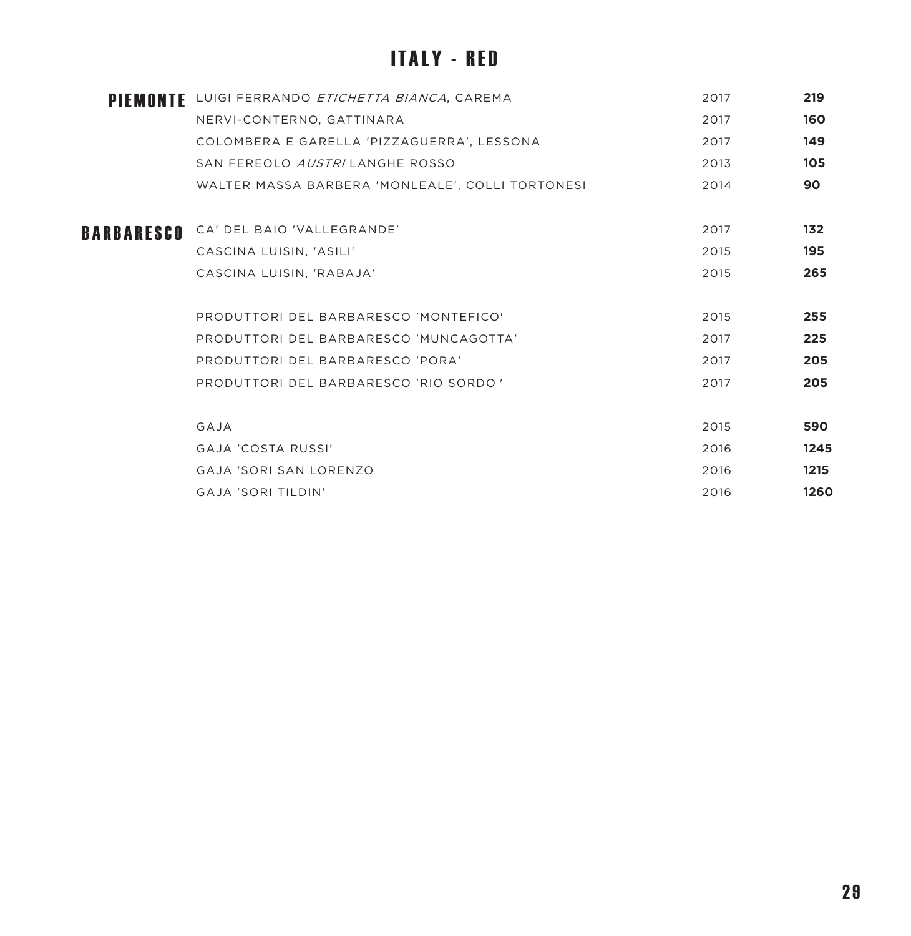# **ITALY - RED**

|            | PIEMONTE LUIGI FERRANDO ETICHETTA BIANCA, CAREMA | 2017 | 219  |
|------------|--------------------------------------------------|------|------|
|            | NERVI-CONTERNO, GATTINARA                        | 2017 | 160  |
|            | COLOMBERA E GARELLA 'PIZZAGUERRA', LESSONA       | 2017 | 149  |
|            | SAN FEREOLO AUSTRILANGHE ROSSO                   | 2013 | 105  |
|            | WALTER MASSA BARBERA 'MONLEALE', COLLI TORTONESI | 2014 | 90   |
| BARBARESCO | CA' DEL BAIO 'VALLEGRANDE'                       | 2017 | 132  |
|            | CASCINA LUISIN, 'ASILI'                          | 2015 | 195  |
|            | CASCINA LUISIN, 'RABAJA'                         | 2015 | 265  |
|            | PRODUTTORI DEL BARBARESCO 'MONTEFICO'            | 2015 | 255  |
|            | PRODUTTORI DEL BARBARESCO 'MUNCAGOTTA'           | 2017 | 225  |
|            | PRODUTTORI DEL BARBARESCO 'PORA'                 | 2017 | 205  |
|            | PRODUTTORI DEL BARBARESCO 'RIO SORDO '           | 2017 | 205  |
|            | GAJA                                             | 2015 | 590  |
|            | <b>GAJA 'COSTA RUSSI'</b>                        | 2016 | 1245 |
|            | GAJA 'SORI SAN LORENZO                           | 2016 | 1215 |
|            | <b>GAJA 'SORI TILDIN'</b>                        | 2016 | 1260 |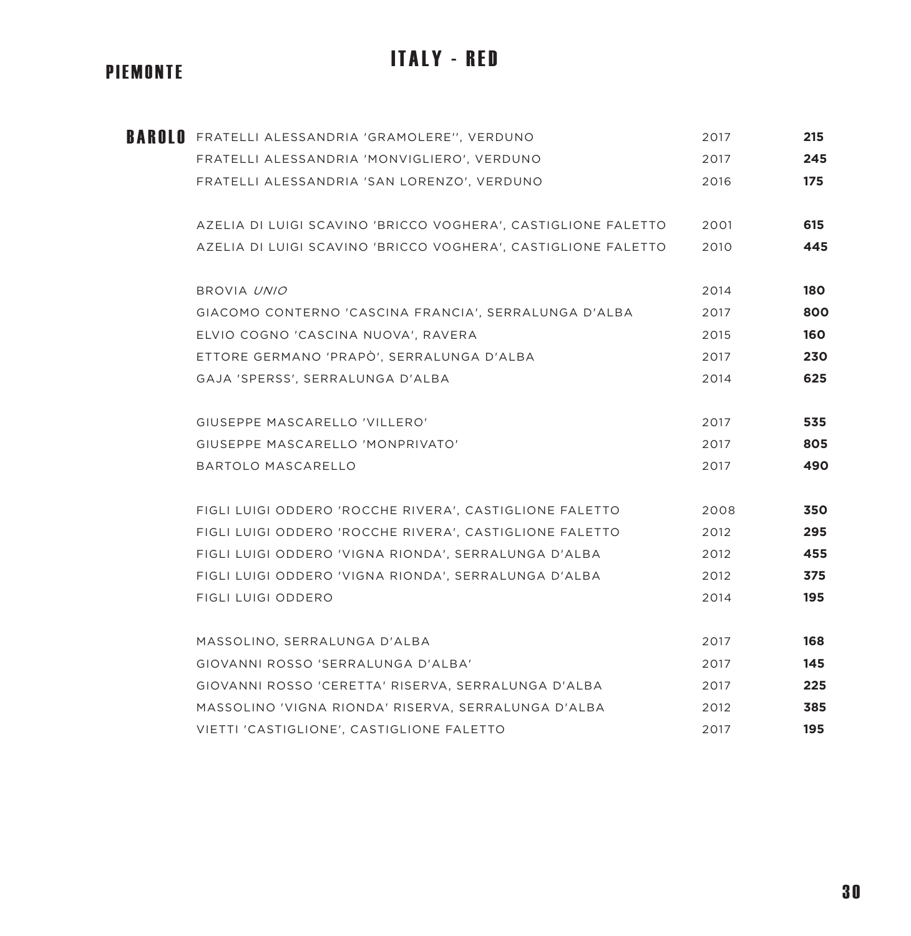#### PIEMONTE

# FRATELLI ALESSANDRIA 'GRAMOLERE'', VERDUNO 2017 **215** BAROLO FRATELLI ALESSANDRIA 'MONVIGLIERO', VERDUNO 2017 **245** FRATELLI ALESSANDRIA 'SAN LORENZO', VERDUNO 2016 **175** AZELIA DI LUIGI SCAVINO 'BRICCO VOGHERA', CASTIGLIONE FALETTO 2001 **615** AZELIA DI LUIGI SCAVINO 'BRICCO VOGHERA', CASTIGLIONE FALETTO 2010 **445** BROVIA UNIO 2014 **180** GIACOMO CONTERNO 'CASCINA FRANCIA', SERRALUNGA D'ALBA 2017 **800**

**ITALY - RED** 

ELVIO COGNO 'CASCINA NUOVA', RAVERA 2015 **160** ETTORE GERMANO 'PRAPÒ', SERRALUNGA D'ALBA 2017 **230** GAJA 'SPERSS', SERRALUNGA D'ALBA 2014 **625** GIUSEPPE MASCARELLO 'VILLERO' 2017 **535** GIUSEPPE MASCARELLO 'MONPRIVATO' 2017 **805**

BARTOLO MASCARELLO 2017 **490**

- FIGLI LUIGI ODDERO 'ROCCHE RIVERA', CASTIGLIONE FALETTO 2008 **350** FIGLI LUIGI ODDERO 'ROCCHE RIVERA', CASTIGLIONE FALETTO 2012 **295** FIGLI LUIGI ODDERO 'VIGNA RIONDA', SERRALUNGA D'ALBA 2012 **455** FIGLI LUIGI ODDERO 'VIGNA RIONDA', SERRALUNGA D'ALBA 2012 **375** FIGLI LUIGI ODDERO 2014 **195**
- MASSOLINO, SERRALUNGA D'ALBA 2017 **168** GIOVANNI ROSSO 'SERRALUNGA D'ALBA' 2017 **145** GIOVANNI ROSSO 'CERETTA' RISERVA, SERRALUNGA D'ALBA 2017 **225** MASSOLINO 'VIGNA RIONDA' RISERVA, SERRALUNGA D'ALBA 2012 **385** VIETTI 'CASTIGLIONE', CASTIGLIONE FALETTO 2017 **195**

#### 3 0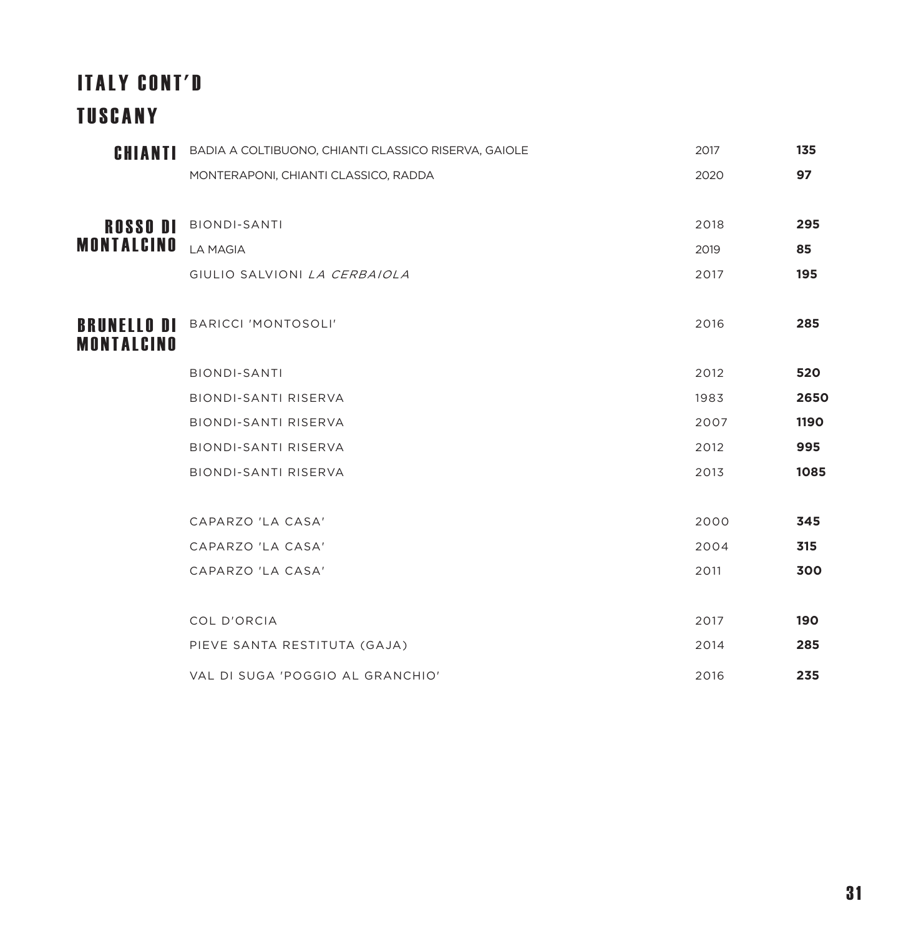# ITALY CONT'D TUSCANY

| CHIANTI                   | BADIA A COLTIBUONO, CHIANTI CLASSICO RISERVA, GAIOLE | 2017 | 135  |
|---------------------------|------------------------------------------------------|------|------|
|                           | MONTERAPONI, CHIANTI CLASSICO, RADDA                 | 2020 | 97   |
| <b>ROSSO DI</b>           | <b>BIONDI-SANTI</b>                                  | 2018 | 295  |
| MONTALCINO                | <b>LA MAGIA</b>                                      | 2019 | 85   |
|                           | GIULIO SALVIONI LA CERBAIOLA                         | 2017 | 195  |
| BRUNELLO DI<br>MONTALCINO | <b>BARICCI 'MONTOSOLI'</b>                           | 2016 | 285  |
|                           | <b>BIONDI-SANTI</b>                                  | 2012 | 520  |
|                           | <b>BIONDI-SANTI RISERVA</b>                          | 1983 | 2650 |
|                           | <b>BIONDI-SANTI RISERVA</b>                          | 2007 | 1190 |
|                           | <b>BIONDI-SANTI RISERVA</b>                          | 2012 | 995  |
|                           | BIONDI-SANTI RISERVA                                 | 2013 | 1085 |
|                           | CAPARZO 'LA CASA'                                    | 2000 | 345  |
|                           | CAPARZO 'LA CASA'                                    | 2004 | 315  |
|                           | CAPARZO 'LA CASA'                                    | 2011 | 300  |
|                           | COL D'ORCIA                                          | 2017 | 190  |
|                           | PIEVE SANTA RESTITUTA (GAJA)                         | 2014 | 285  |
|                           | VAL DI SUGA 'POGGIO AL GRANCHIO'                     | 2016 | 235  |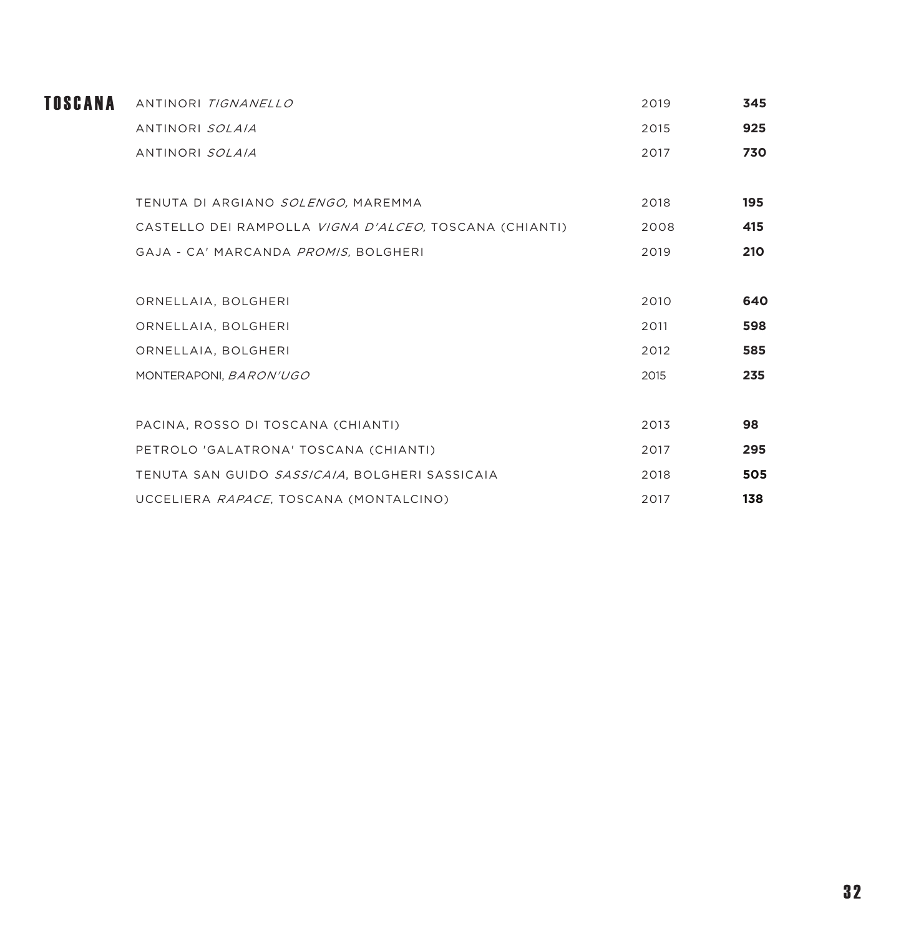| TOSCANA | ANTINORI TIGNANELLO                                    | 2019 | 345 |
|---------|--------------------------------------------------------|------|-----|
|         | ANTINORI SOLAIA                                        | 2015 | 925 |
|         | ANTINORI SOLAIA                                        | 2017 | 730 |
|         |                                                        |      |     |
|         | TENUTA DI ARGIANO SOLENGO, MAREMMA                     | 2018 | 195 |
|         | CASTELLO DEI RAMPOLLA VIGNA D'ALCEO, TOSCANA (CHIANTI) | 2008 | 415 |
|         | GAJA - CA' MARCANDA PROMIS, BOLGHERI                   | 2019 | 210 |
|         |                                                        |      |     |
|         | ORNELLAIA, BOLGHERI                                    | 2010 | 640 |
|         | ORNELLAIA, BOLGHERI                                    | 2011 | 598 |
|         | ORNELLAIA, BOLGHERI                                    | 2012 | 585 |
|         | MONTERAPONI, BARON'UGO                                 | 2015 | 235 |
|         |                                                        |      |     |
|         | PACINA, ROSSO DI TOSCANA (CHIANTI)                     | 2013 | 98  |
|         | PETROLO 'GALATRONA' TOSCANA (CHIANTI)                  | 2017 | 295 |
|         | TENUTA SAN GUIDO SASSICAIA, BOLGHERI SASSICAIA         | 2018 | 505 |
|         | UCCELIERA RAPACE, TOSCANA (MONTALCINO)                 | 2017 | 138 |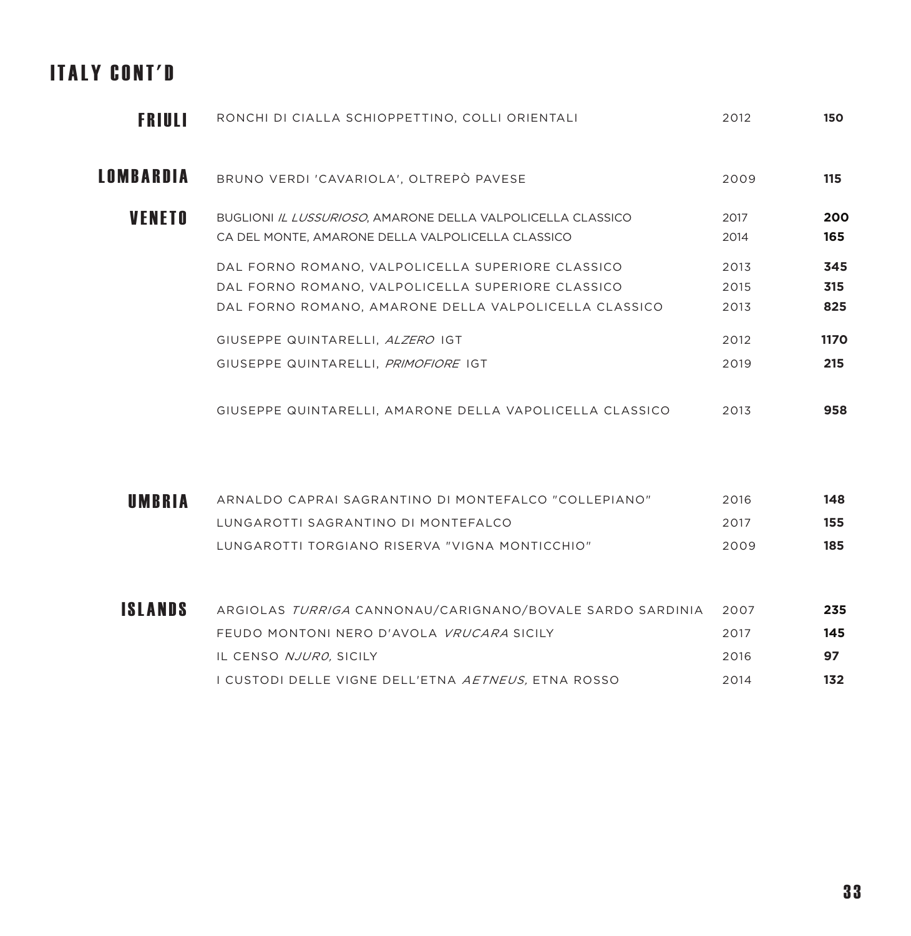# ITALY CONT'D

| FRIULI           | RONCHI DI CIALLA SCHIOPPETTINO, COLLI ORIENTALI             | 2012 | 150         |
|------------------|-------------------------------------------------------------|------|-------------|
| <b>LOMBARDIA</b> | BRUNO VERDI 'CAVARIOLA', OLTREPÒ PAVESE                     | 2009 | 115         |
| <b>VENETO</b>    | BUGLIONI IL LUSSURIOSO, AMARONE DELLA VALPOLICELLA CLASSICO | 2017 | 200         |
|                  | CA DEL MONTE, AMARONE DELLA VALPOLICELLA CLASSICO           | 2014 | 165         |
|                  | DAL FORNO ROMANO, VALPOLICELLA SUPERIORE CLASSICO           | 2013 | 345         |
|                  | DAL FORNO ROMANO, VALPOLICELLA SUPERIORE CLASSICO           | 2015 | 315         |
|                  | DAL FORNO ROMANO, AMARONE DELLA VALPOLICELLA CLASSICO       | 2013 | 825         |
|                  | GIUSEPPE QUINTARELLI, ALZERO IGT                            | 2012 | <b>1170</b> |
|                  | GIUSEPPE QUINTARELLI, PRIMOFIORE IGT                        | 2019 | 215         |
|                  |                                                             |      |             |
|                  | GIUSEPPE QUINTARELLI, AMARONE DELLA VAPOLICELLA CLASSICO    | 2013 | 958         |

| UMBRIA | ARNALDO CAPRAI SAGRANTINO DI MONTEFALCO "COLLEPIANO" | 2016  | 148 |
|--------|------------------------------------------------------|-------|-----|
|        | I UNGAROTTI SAGRANTINO DI MONTFFAI CO                | -2017 | 155 |
|        | LUNGAROTTI TORGIANO RISERVA "VIGNA MONTICCHIO"       | 2009  | 185 |

| <b>ISLANDS</b> | ARGIOLAS <i>TURRIGA</i> CANNONAU/CARIGNANO/BOVALE SARDO SARDINIA | 2007 | 235 |
|----------------|------------------------------------------------------------------|------|-----|
|                | FEUDO MONTONI NERO D'AVOLA <i>VRUCARA</i> SICILY                 | 2017 | 145 |
|                | IL CENSO NJURO, SICILY                                           | 2016 | 97  |
|                | I CUSTODI DELLE VIGNE DELL'ETNA <i>AETNEUS.</i> ETNA ROSSO       | 2014 | 132 |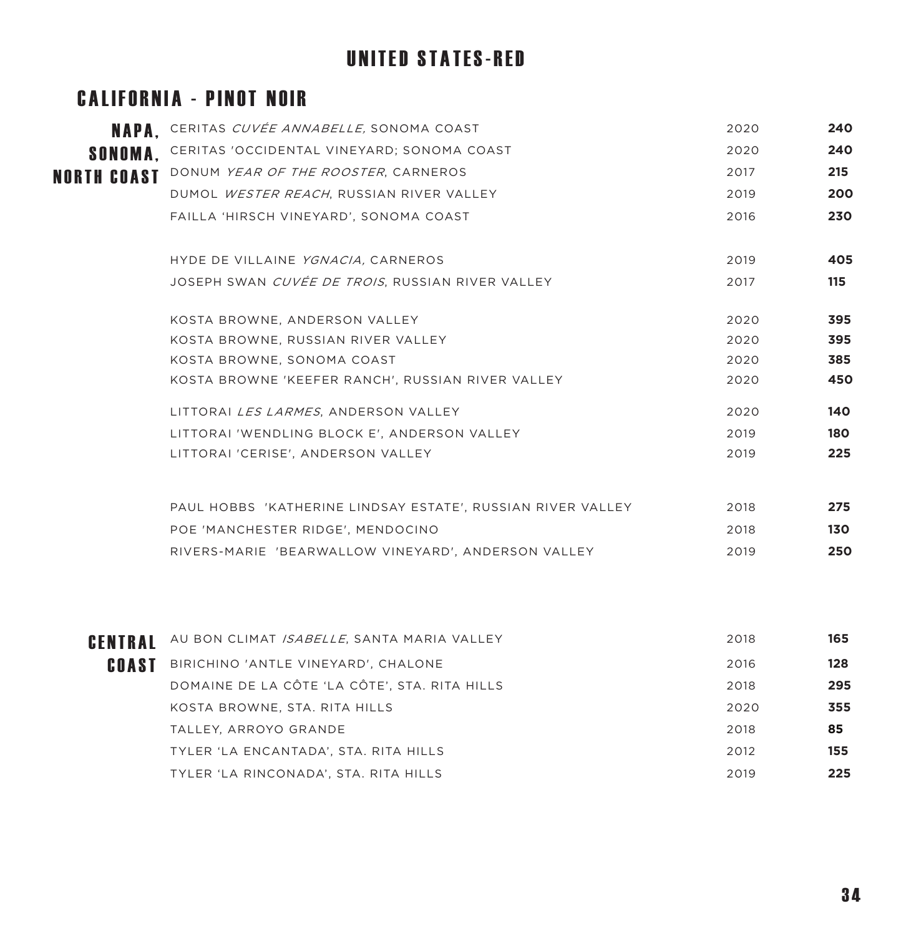# UNITED STATES-RED

#### CALIFORNIA - PINOT NOIR

|                    | <b>NAPA.</b> CERITAS CUVÉE ANNABELLE, SONOMA COAST          | 2020 | 240 |
|--------------------|-------------------------------------------------------------|------|-----|
| <b>SONOMA.</b>     | CERITAS 'OCCIDENTAL VINEYARD; SONOMA COAST                  | 2020 | 240 |
| <b>NORTH COAST</b> | DONUM YEAR OF THE ROOSTER, CARNEROS                         | 2017 | 215 |
|                    | DUMOL WESTER REACH, RUSSIAN RIVER VALLEY                    | 2019 | 200 |
|                    | FAILLA 'HIRSCH VINEYARD', SONOMA COAST                      | 2016 | 230 |
|                    | HYDE DE VILLAINE YGNACIA, CARNEROS                          | 2019 | 405 |
|                    | JOSEPH SWAN CUVÉE DE TROIS, RUSSIAN RIVER VALLEY            | 2017 | 115 |
|                    | KOSTA BROWNE, ANDERSON VALLEY                               | 2020 | 395 |
|                    | KOSTA BROWNE, RUSSIAN RIVER VALLEY                          | 2020 | 395 |
|                    | KOSTA BROWNE, SONOMA COAST                                  | 2020 | 385 |
|                    | KOSTA BROWNE 'KEEFER RANCH', RUSSIAN RIVER VALLEY           | 2020 | 450 |
|                    | LITTORAI LES LARMES, ANDERSON VALLEY                        | 2020 | 140 |
|                    | LITTORAI 'WENDLING BLOCK E'. ANDERSON VALLEY                | 2019 | 180 |
|                    | LITTORAI 'CERISE', ANDERSON VALLEY                          | 2019 | 225 |
|                    | PAUL HOBBS 'KATHERINE LINDSAY ESTATE', RUSSIAN RIVER VALLEY | 2018 | 275 |
|                    | POE 'MANCHESTER RIDGE', MENDOCINO                           | 2018 | 130 |
|                    | RIVERS-MARIE 'BEARWALLOW VINEYARD', ANDERSON VALLEY         | 2019 | 250 |
|                    |                                                             |      |     |

| CENTRAL | AU BON CLIMAT ISABELLE, SANTA MARIA VALLEY    | 2018 | 165 |
|---------|-----------------------------------------------|------|-----|
| COAST   | BIRICHINO 'ANTLE VINEYARD', CHALONE           | 2016 | 128 |
|         | DOMAINE DE LA CÔTE 'LA CÔTE', STA. RITA HILLS | 2018 | 295 |
|         | KOSTA BROWNE, STA. RITA HILLS                 | 2020 | 355 |
|         | TALLEY, ARROYO GRANDE                         | 2018 | 85  |
|         | TYLER 'LA ENCANTADA', STA. RITA HILLS         | 2012 | 155 |
|         | TYLER 'LA RINCONADA', STA. RITA HILLS         | 2019 | 225 |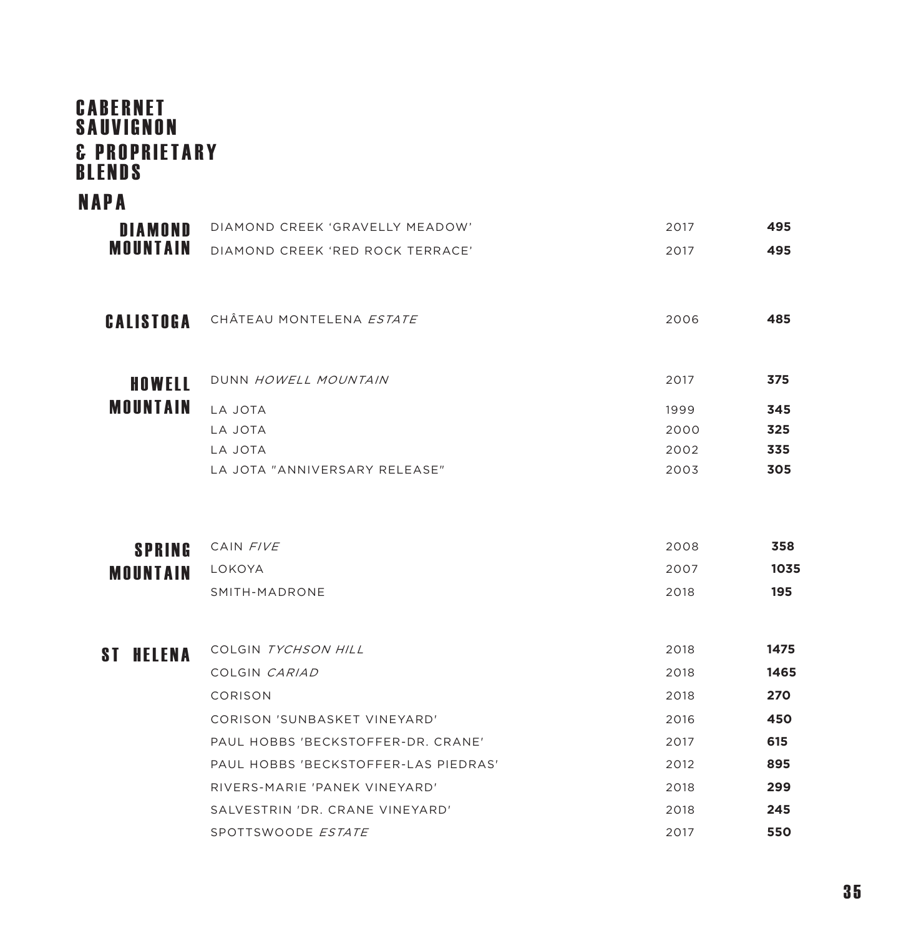#### **CABERNET** S A U V I G N O N **& PROPRIETARY** BLENDS

#### NAPA

| <b>DIAMOND</b>             | DIAMOND CREEK 'GRAVELLY MEADOW'      | 2017 | 495  |
|----------------------------|--------------------------------------|------|------|
| <b>MOUNTAIN</b>            | DIAMOND CREEK 'RED ROCK TERRACE'     | 2017 | 495  |
|                            |                                      |      |      |
| <b>CALISTOGA</b>           | CHÂTEAU MONTELENA <i>ESTATE</i>      | 2006 | 485  |
| HOWELL                     | DUNN HOWELL MOUNTAIN                 | 2017 | 375  |
| <b>MOUNTAIN</b>            | LA JOTA                              | 1999 | 345  |
|                            | LA JOTA                              | 2000 | 325  |
|                            | LA JOTA                              | 2002 | 335  |
|                            | LA JOTA "ANNIVERSARY RELEASE"        | 2003 | 305  |
|                            |                                      |      |      |
| <b>SPRING</b>              | CAIN FIVE                            | 2008 | 358  |
| <b>MOUNTAIN</b>            | LOKOYA                               | 2007 | 1035 |
|                            | SMITH-MADRONE                        | 2018 | 195  |
|                            |                                      |      |      |
| <b>HELENA</b><br><b>ST</b> | COLGIN TYCHSON HILL                  | 2018 | 1475 |
|                            | COLGIN CARIAD                        | 2018 | 1465 |
|                            | CORISON                              | 2018 | 270  |
|                            | CORISON 'SUNBASKET VINEYARD'         | 2016 | 450  |
|                            | PAUL HOBBS 'BECKSTOFFER-DR. CRANE'   | 2017 | 615  |
|                            | PAUL HOBBS 'BECKSTOFFER-LAS PIEDRAS' | 2012 | 895  |
|                            | RIVERS-MARIE 'PANEK VINEYARD'        | 2018 | 299  |
|                            | SALVESTRIN 'DR. CRANE VINEYARD'      | 2018 | 245  |
|                            | SPOTTSWOODE ESTATE                   | 2017 | 550  |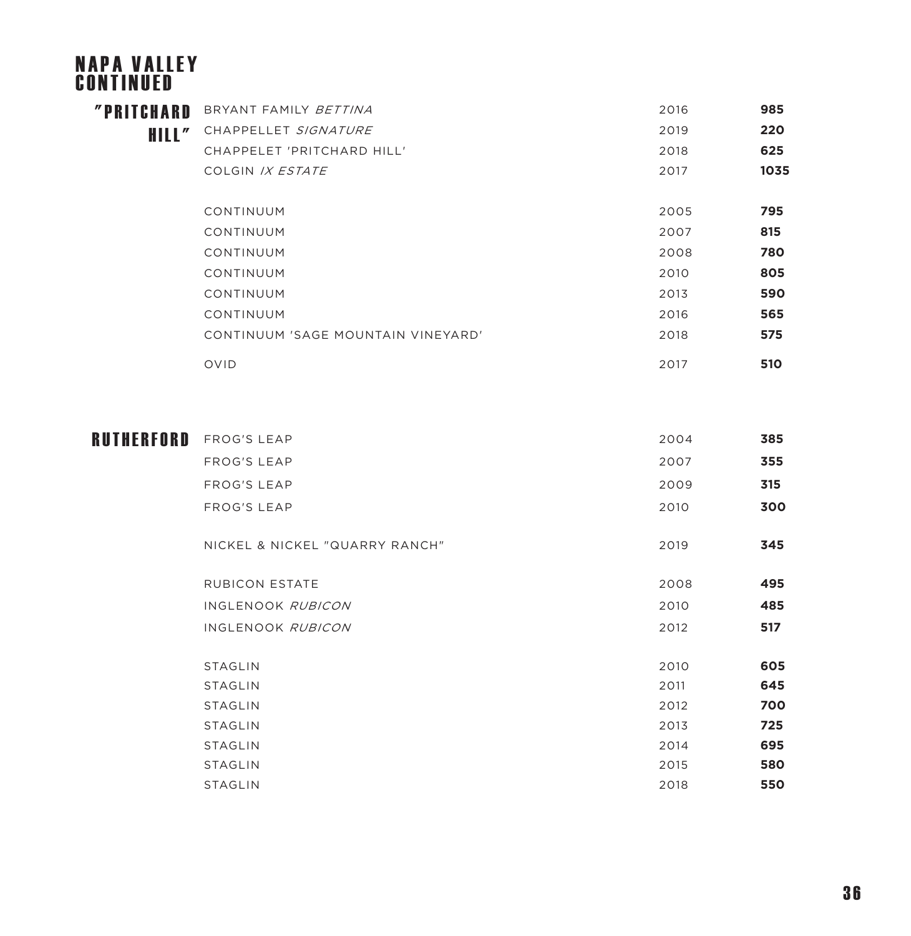#### NAPA VALLEY CONTINUED BRYANT FAMILY BETTINA 2016 **985** "PRITCHARD CHAPPELLET SIGNATURE 2019 **220** HILL" CHAPPELET 'PRITCHARD HILL' 2018 **625** COLGIN IX ESTATE 2017 **1035** CONTINUUM 2005 **795** CONTINUUM 2007 **815** CONTINUUM 2008 **780**

CONTINUUM 2010 **805** CONTINUUM 2013 **590** CONTINUUM 2016 **565** CONTINUUM 'SAGE MOUNTAIN VINEYARD' 2018 **575** 

OVID 2017 **510**

| RUTHERFORD | <b>FROG'S LEAP</b>             | 2004 | 385 |
|------------|--------------------------------|------|-----|
|            | <b>FROG'S LEAP</b>             | 2007 | 355 |
|            | FROG'S LEAP                    | 2009 | 315 |
|            | FROG'S LEAP                    | 2010 | 300 |
|            | NICKEL & NICKEL "QUARRY RANCH" | 2019 | 345 |
|            | <b>RUBICON ESTATE</b>          | 2008 | 495 |
|            | INGLENOOK RUBICON              | 2010 | 485 |
|            | INGLENOOK RUBICON              | 2012 | 517 |
|            |                                |      |     |
|            | <b>STAGLIN</b>                 | 2010 | 605 |
|            | <b>STAGLIN</b>                 | 2011 | 645 |
|            | <b>STAGLIN</b>                 | 2012 | 700 |
|            | <b>STAGLIN</b>                 | 2013 | 725 |
|            | <b>STAGLIN</b>                 | 2014 | 695 |
|            | <b>STAGLIN</b>                 | 2015 | 580 |
|            | <b>STAGLIN</b>                 | 2018 | 550 |
|            |                                |      |     |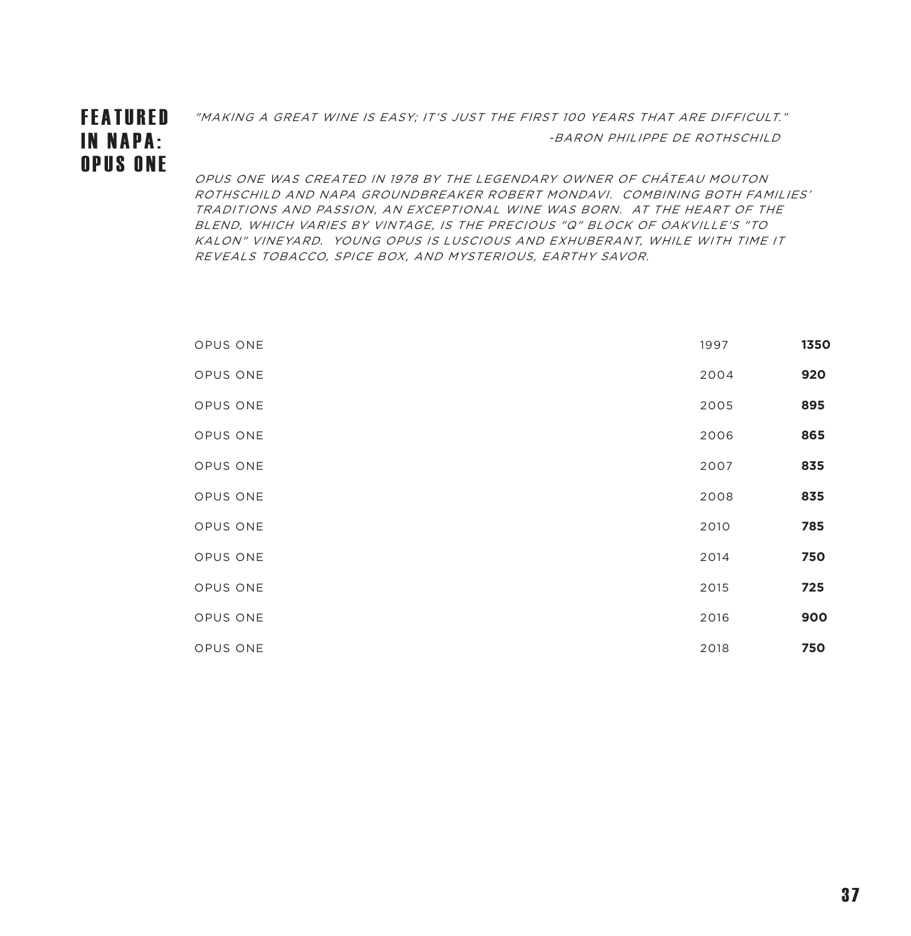# IN NAPA: OPUS ONE

 $\texttt{FFANURED}$  and the same is easy; it's just the first 100 years that are difficult."

-BARON PHILIPPE DE ROTHSCHILD

OPUS ONE WAS CREATED IN 1978 BY THE LEGENDARY OWNER OF CHÂTEAU MOUTON ROTHSCHILD AND NAPA GROUNDBREAKER ROBERT MONDAVI. COMBINING BOTH FAMILIES' TRADITIONS AND PASSION, AN EXCEPTIONAL WINE WAS BORN. AT THE HEART OF THE BLEND, WHICH VARIES BY VINTAGE, IS THE PRECIOUS "Q" BLOCK OF OAKVILLE'S "TO KALON" VINEYARD. YOUNG OPUS IS LUSCIOUS AND EXHUBERANT, WHILE WITH TIME IT REVEALS TOBACCO, SPICE BOX, AND MYSTERIOUS, EARTHY SAVOR.

| 1350<br>1997 | OPUS ONE |
|--------------|----------|
| 920<br>2004  | OPUS ONE |
| 895<br>2005  | OPUS ONE |
| 865<br>2006  | OPUS ONE |
| 835<br>2007  | OPUS ONE |
| 835<br>2008  | OPUS ONE |
| 785<br>2010  | OPUS ONE |
| 750<br>2014  | OPUS ONE |
| 725<br>2015  | OPUS ONE |
| 900<br>2016  | OPUS ONE |
| 750<br>2018  | OPUS ONE |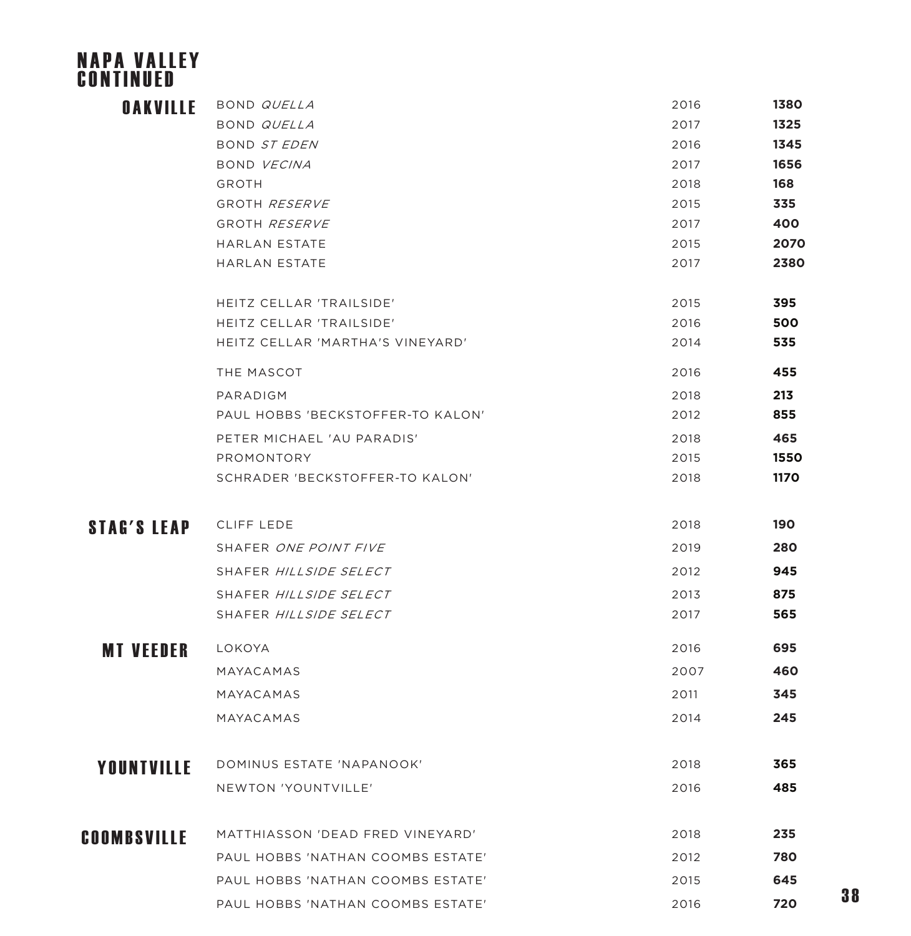#### NAPA VALLEY CONTINUED

# OAKVILLE

| <b>OAKVILLE</b>    | BOND QUELLA                       | 2016 | 1380 |
|--------------------|-----------------------------------|------|------|
|                    | BOND QUELLA                       | 2017 | 1325 |
|                    | BOND ST EDEN                      | 2016 | 1345 |
|                    | BOND VECINA                       | 2017 | 1656 |
|                    | <b>GROTH</b>                      | 2018 | 168  |
|                    | GROTH RESERVE                     | 2015 | 335  |
|                    | GROTH RESERVE                     | 2017 | 400  |
|                    | <b>HARLAN ESTATE</b>              | 2015 | 2070 |
|                    | <b>HARLAN ESTATE</b>              | 2017 | 2380 |
|                    | HEITZ CELLAR 'TRAILSIDE'          | 2015 | 395  |
|                    | HEITZ CELLAR 'TRAILSIDE'          | 2016 | 500  |
|                    | HEITZ CELLAR 'MARTHA'S VINEYARD'  | 2014 | 535  |
|                    | THE MASCOT                        | 2016 | 455  |
|                    | PARADIGM                          | 2018 | 213  |
|                    | PAUL HOBBS 'BECKSTOFFER-TO KALON' | 2012 | 855  |
|                    | PETER MICHAEL 'AU PARADIS'        | 2018 | 465  |
|                    | PROMONTORY                        | 2015 | 1550 |
|                    | SCHRADER 'BECKSTOFFER-TO KALON'   | 2018 | 1170 |
| <b>STAG'S LEAP</b> | <b>CLIFF LEDE</b>                 | 2018 | 190  |
|                    | SHAFER ONE POINT FIVE             | 2019 | 280  |
|                    | SHAFER HILLSIDE SELECT            | 2012 | 945  |
|                    | SHAFER HILLSIDE SELECT            | 2013 | 875  |
|                    | SHAFER HILLSIDE SELECT            | 2017 | 565  |
| <b>MT VEEDER</b>   | LOKOYA                            | 2016 | 695  |
|                    | MAYACAMAS                         | 2007 | 460  |
|                    | MAYACAMAS                         | 2011 | 345  |
|                    | MAYACAMAS                         | 2014 | 245  |
| YOUNTVILLE         | DOMINUS ESTATE 'NAPANOOK'         | 2018 | 365  |
|                    | NEWTON 'YOUNTVILLE'               | 2016 | 485  |
|                    |                                   |      |      |
| <b>COOMBSVILLE</b> | MATTHIASSON 'DEAD FRED VINEYARD'  | 2018 | 235  |
|                    | PAUL HOBBS 'NATHAN COOMBS ESTATE' | 2012 | 780  |
|                    | PAUL HOBBS 'NATHAN COOMBS ESTATE' | 2015 | 645  |
|                    | PAUL HOBBS 'NATHAN COOMBS ESTATE' | 2016 | 720  |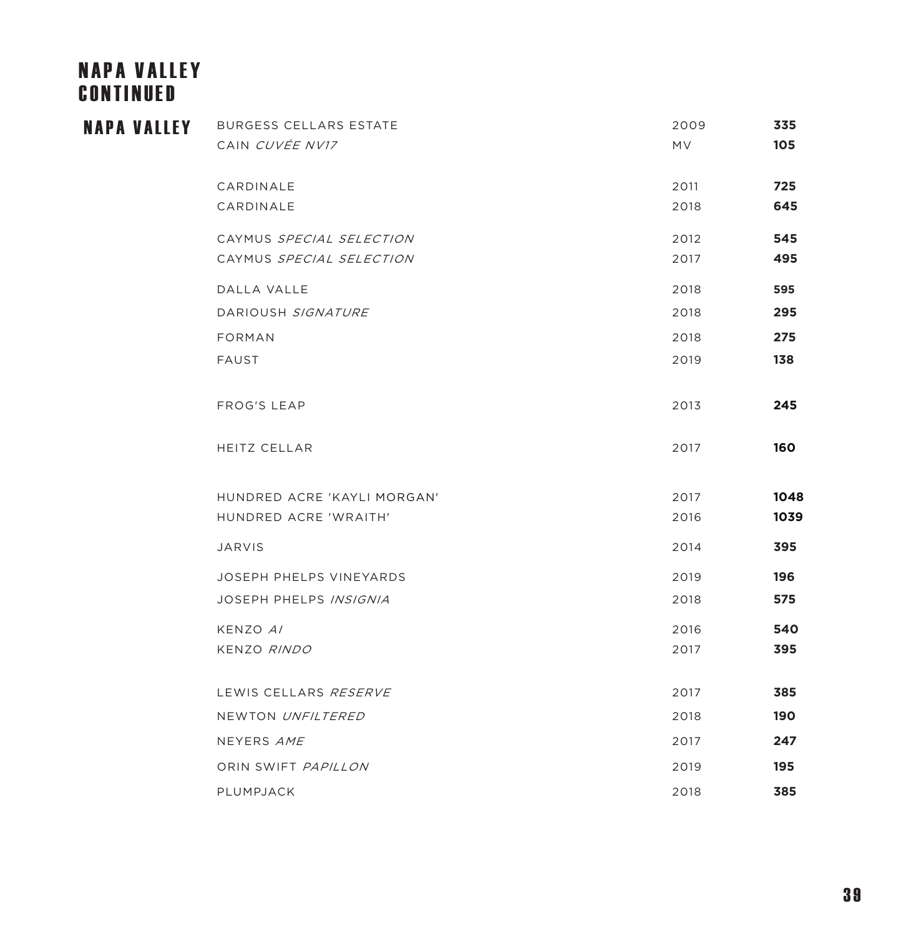# **NAPA VALLEY** CONTINUED

| <b>NAPA VALLEY</b> | <b>BURGESS CELLARS ESTATE</b>  | 2009      | 335  |
|--------------------|--------------------------------|-----------|------|
|                    | CAIN CUVÉE NV17                | <b>MV</b> | 105  |
|                    |                                |           |      |
|                    | CARDINALE                      | 2011      | 725  |
|                    | CARDINALE                      | 2018      | 645  |
|                    | CAYMUS SPECIAL SELECTION       | 2012      | 545  |
|                    | CAYMUS SPECIAL SELECTION       | 2017      | 495  |
|                    | DALLA VALLE                    | 2018      | 595  |
|                    | DARIOUSH SIGNATURE             | 2018      | 295  |
|                    | FORMAN                         | 2018      | 275  |
|                    | <b>FAUST</b>                   | 2019      | 138  |
|                    |                                |           |      |
|                    | FROG'S LEAP                    | 2013      | 245  |
|                    | <b>HEITZ CELLAR</b>            | 2017      | 160  |
|                    | HUNDRED ACRE 'KAYLI MORGAN'    | 2017      | 1048 |
|                    | HUNDRED ACRE 'WRAITH'          | 2016      | 1039 |
|                    | <b>JARVIS</b>                  | 2014      | 395  |
|                    | <b>JOSEPH PHELPS VINEYARDS</b> | 2019      | 196  |
|                    | JOSEPH PHELPS INSIGNIA         | 2018      | 575  |
|                    | KENZO A/                       | 2016      | 540  |
|                    | KENZO RINDO                    | 2017      | 395  |
|                    | LEWIS CELLARS RESERVE          | 2017      | 385  |
|                    | NEWTON UNFILTERED              | 2018      | 190  |
|                    | NEYERS AME                     | 2017      | 247  |
|                    | ORIN SWIFT PAPILLON            | 2019      | 195  |
|                    | PLUMPJACK                      | 2018      | 385  |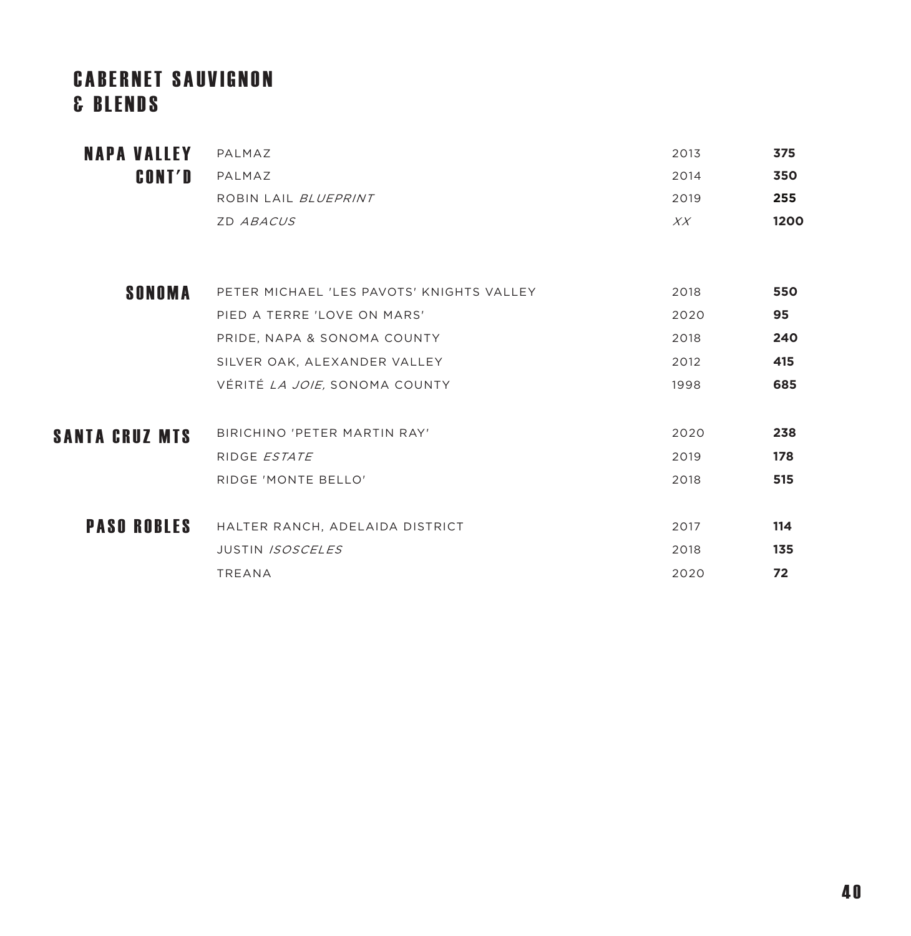# **CABERNET SAUVIGNON** & B L E N D S

| PALMAZ                      | 2013 | 375  |
|-----------------------------|------|------|
| PALMAZ                      | 2014 | 350  |
| ROBIN LAIL <i>BLUEPRINT</i> | 2019 | 255  |
| ZD ABACUS                   | XX   | 1200 |
| <b>NAPA VALLEY</b>          |      |      |

| <b>SONOMA</b>         | PETER MICHAEL 'LES PAVOTS' KNIGHTS VALLEY | 2018 | 550 |
|-----------------------|-------------------------------------------|------|-----|
|                       | PIED A TERRE 'LOVE ON MARS'               | 2020 | 95  |
|                       | PRIDE, NAPA & SONOMA COUNTY               | 2018 | 240 |
|                       | SILVER OAK, ALEXANDER VALLEY              | 2012 | 415 |
|                       | VÉRITÉ <i>LA JOIE</i> , SONOMA COUNTY     | 1998 | 685 |
|                       |                                           |      |     |
| <b>SANTA CRUZ MTS</b> | BIRICHINO 'PETER MARTIN RAY'              | 2020 | 238 |
|                       | RIDGE ESTATE                              | 2019 | 178 |
|                       | RIDGE 'MONTE BELLO'                       | 2018 | 515 |
|                       |                                           |      |     |
| <b>PASO ROBLES</b>    | HALTER RANCH, ADELAIDA DISTRICT           | 2017 | 114 |
|                       | <b>JUSTIN ISOSCELES</b>                   | 2018 | 135 |
|                       | <b>TREANA</b>                             | 2020 | 72  |
|                       |                                           |      |     |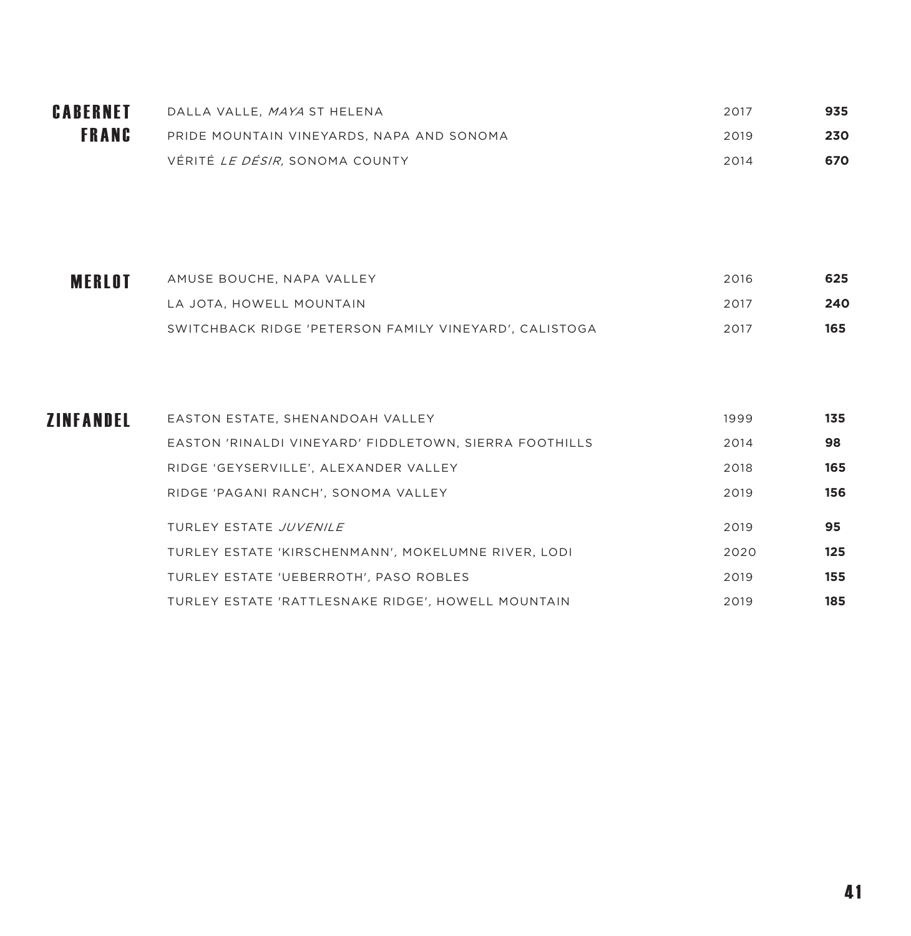| CABERNET     | DALLA VALLE, <i>MAYA</i> ST HELENA        | 2017 | 935 |
|--------------|-------------------------------------------|------|-----|
| <b>FRANC</b> | PRIDE MOUNTAIN VINEYARDS, NAPA AND SONOMA | 2019 | 230 |
|              | VÉRITÉ <i>LE DÉSIR.</i> SONOMA COUNTY     | 2014 | 670 |

| <b>MERLOT</b> | AMUSE BOUCHE, NAPA VALLEY                              | 2016 | 625 |
|---------------|--------------------------------------------------------|------|-----|
|               | LA JOTA, HOWELL MOUNTAIN                               | 2017 | 240 |
|               | SWITCHBACK RIDGE 'PETERSON FAMILY VINEYARD', CALISTOGA | 2017 | 165 |

| EASTON ESTATE, SHENANDOAH VALLEY                       | 1999                   | 135 |
|--------------------------------------------------------|------------------------|-----|
| EASTON 'RINALDI VINEYARD' FIDDLETOWN, SIERRA FOOTHILLS | 2014                   | 98  |
| RIDGE 'GEYSERVILLE', ALEXANDER VALLEY                  | 2018                   | 165 |
| RIDGE 'PAGANI RANCH'. SONOMA VALLEY                    | 2019                   | 156 |
|                                                        | 2019                   | 95  |
| TURLEY ESTATE 'KIRSCHENMANN', MOKELUMNE RIVER, LODI    | 2020                   | 125 |
| TURLEY ESTATE 'UEBERROTH', PASO ROBLES                 | 2019                   | 155 |
| TURLEY ESTATE 'RATTLESNAKE RIDGE', HOWELL MOUNTAIN     | 2019                   | 185 |
|                                                        | TURLEY ESTATE JUVENILE |     |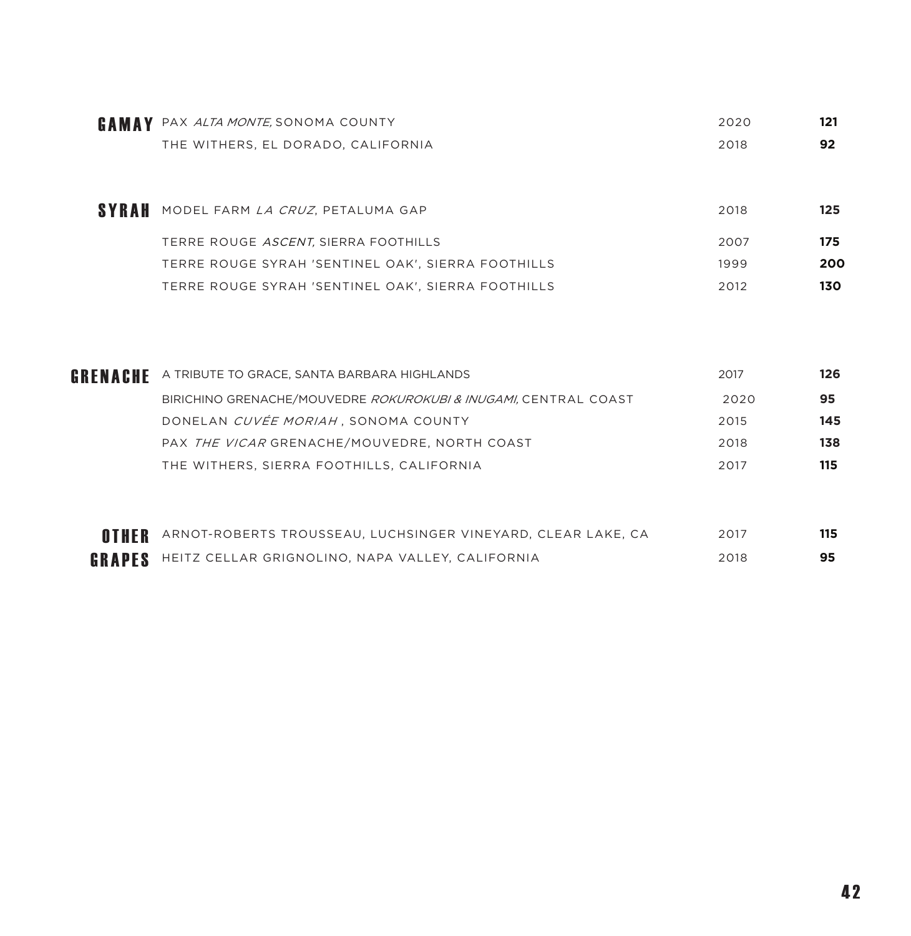| GAMAY | PAX ALTA MONTE, SONOMA COUNTY                      | 2020 | 121 |
|-------|----------------------------------------------------|------|-----|
|       | THE WITHERS, EL DORADO, CALIFORNIA                 | 2018 | 92  |
|       |                                                    |      |     |
| SYRAH | MODEL FARM LA CRUZ, PETALUMA GAP                   | 2018 | 125 |
|       | TERRE ROUGE ASCENT, SIERRA FOOTHILLS               | 2007 | 175 |
|       | TERRE ROUGE SYRAH 'SENTINEL OAK', SIERRA FOOTHILLS | 1999 | 200 |
|       | TERRE ROUGE SYRAH 'SENTINEL OAK', SIERRA FOOTHILLS | 2012 | 130 |

| GRENACHE      | A TRIBUTE TO GRACE, SANTA BARBARA HIGHLANDS                     | 2017 | 126 |
|---------------|-----------------------------------------------------------------|------|-----|
|               | BIRICHINO GRENACHE/MOUVEDRE ROKUROKUBI & INUGAMI. CENTRAL COAST | 2020 | 95  |
|               | DONELAN CUVÉE MORIAH, SONOMA COUNTY                             | 2015 | 145 |
|               | PAX THE VICAR GRENACHE/MOUVEDRE. NORTH COAST                    | 2018 | 138 |
|               | THE WITHERS, SIERRA FOOTHILLS, CALIFORNIA                       | 2017 | 115 |
|               |                                                                 |      |     |
|               |                                                                 |      |     |
| OTHER         | ARNOT-ROBERTS TROUSSEAU, LUCHSINGER VINEYARD, CLEAR LAKE, CA    | 2017 | 115 |
| <b>GRAPES</b> | HEITZ CELLAR GRIGNOLINO, NAPA VALLEY, CALIFORNIA                | 2018 | 95  |
|               |                                                                 |      |     |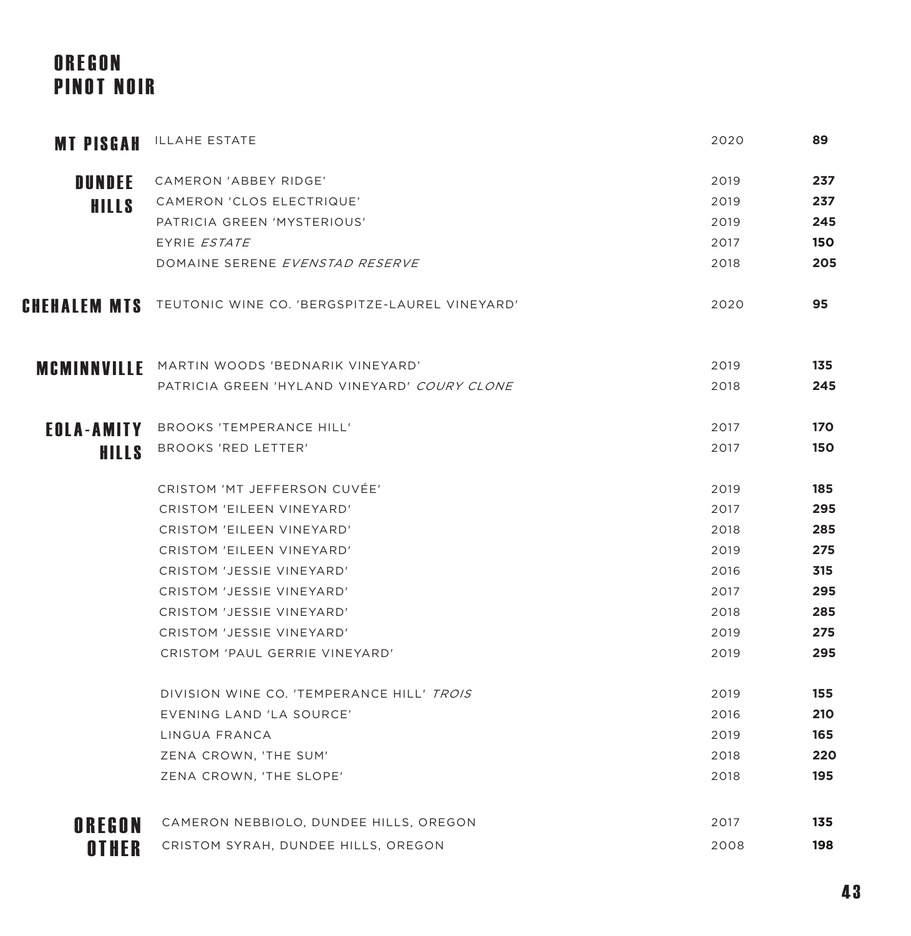# OREGON PINOT NOIR

| <b>MT PISGAH</b>    | ILLAHE ESTATE                                  | 2020 | 89  |
|---------------------|------------------------------------------------|------|-----|
| <b>DUNDEE</b>       | CAMERON 'ABBEY RIDGE'                          | 2019 | 237 |
| <b>HILLS</b>        | CAMERON 'CLOS ELECTRIQUE'                      | 2019 | 237 |
|                     | PATRICIA GREEN 'MYSTERIOUS'                    | 2019 | 245 |
|                     | EYRIE ESTATE                                   | 2017 | 150 |
|                     | DOMAINE SERENE EVENSTAD RESERVE                | 2018 | 205 |
| <b>CHEHALEM MTS</b> | TEUTONIC WINE CO. 'BERGSPITZE-LAUREL VINEYARD' | 2020 | 95  |
| <b>MCMINNVILLE</b>  | MARTIN WOODS 'BEDNARIK VINEYARD'               | 2019 | 135 |
|                     | PATRICIA GREEN 'HYLAND VINEYARD' COURY CLONE   | 2018 | 245 |
|                     | <b>EOLA-AMITY</b> BROOKS 'TEMPERANCE HILL'     | 2017 | 170 |
| <b>HILLS</b>        | BROOKS 'RED LETTER'                            | 2017 | 150 |
|                     | CRISTOM 'MT JEFFERSON CUVÉE'                   | 2019 | 185 |
|                     | CRISTOM 'EILEEN VINEYARD'                      | 2017 | 295 |
|                     | CRISTOM 'EILEEN VINEYARD'                      | 2018 | 285 |
|                     | CRISTOM 'EILEEN VINEYARD'                      | 2019 | 275 |
|                     | CRISTOM 'JESSIE VINEYARD'                      | 2016 | 315 |
|                     | CRISTOM 'JESSIE VINEYARD'                      | 2017 | 295 |
|                     | CRISTOM 'JESSIE VINEYARD'                      | 2018 | 285 |
|                     | CRISTOM 'JESSIE VINEYARD'                      | 2019 | 275 |
|                     | CRISTOM 'PAUL GERRIE VINEYARD'                 | 2019 | 295 |
|                     | DIVISION WINE CO. 'TEMPERANCE HILL' TROIS      | 2019 | 155 |
|                     | EVENING LAND 'LA SOURCE'                       | 2016 | 210 |
|                     | LINGUA FRANCA                                  | 2019 | 165 |
|                     | ZENA CROWN, 'THE SUM'                          | 2018 | 220 |
|                     | ZENA CROWN, 'THE SLOPE'                        | 2018 | 195 |
| OREGON              | CAMERON NEBBIOLO, DUNDEE HILLS, OREGON         | 2017 | 135 |
| OTHER               | CRISTOM SYRAH, DUNDEE HILLS, OREGON            | 2008 | 198 |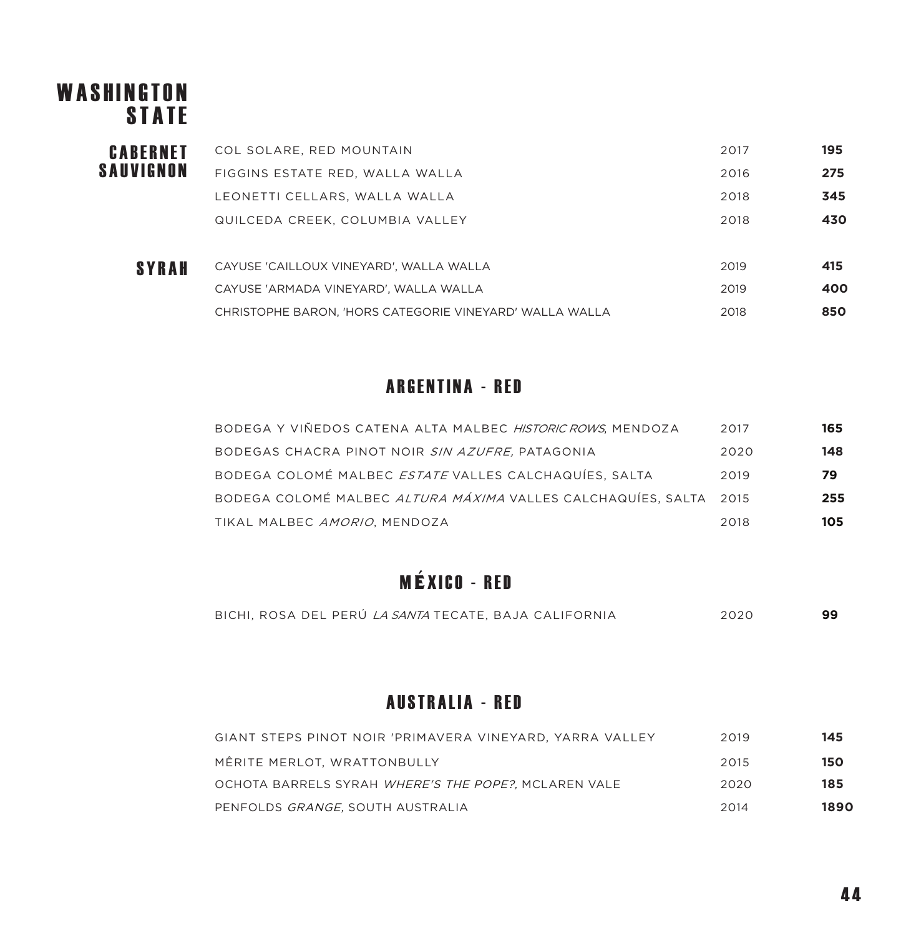# WASHINGTON **STATE**

| <b>CABERNET</b> | COL SOLARE, RED MOUNTAIN                | 2017 | 195 |
|-----------------|-----------------------------------------|------|-----|
| SAUVIGNON       | FIGGINS ESTATE RED, WALLA WALLA         | 2016 | 275 |
|                 | LEONETTI CELLARS, WALLA WALLA           | 2018 | 345 |
|                 | QUILCEDA CREEK, COLUMBIA VALLEY         | 2018 | 430 |
|                 |                                         |      |     |
| SYRAH           | CAYUSE 'CAILLOUX VINEYARD', WALLA WALLA | 2019 | 415 |

| CAYUSE 'ARMADA VINEYARD', WALLA WALLA                   | 2019 | 400 |
|---------------------------------------------------------|------|-----|
| CHRISTOPHE BARON, 'HORS CATEGORIE VINEYARD' WALLA WALLA | 2018 | 850 |

#### ARGENTINA - RED

| BODEGA Y VIÑEDOS CATENA ALTA MALBEC HISTORIC ROWS, MENDOZA        | 2017 | 165 |
|-------------------------------------------------------------------|------|-----|
| BODEGAS CHACRA PINOT NOIR SIN AZUFRE, PATAGONIA                   | 2020 | 148 |
| BODEGA COLOMÉ MALBEC <i>ESTATE</i> VALLES CALCHAQUÍES. SALTA      | 2019 | 79  |
| BODEGA COLOMÉ MALBEC ALTURA MÁXIMA VALLES CALCHAQUÍES, SALTA 2015 |      | 255 |
| TIKAL MALBEC <i>AMORIO</i> . MENDOZA                              | 2018 | 105 |

# M**É**XICO - RED

| BICHI. ROSA DEL PERU <i>LA SANTA</i> TECATE. BAJA CALIFORNIA | 2020 |  |
|--------------------------------------------------------------|------|--|
|--------------------------------------------------------------|------|--|

#### AUSTRALIA - RED

| GIANT STEPS PINOT NOIR 'PRIMAVERA VINEYARD, YARRA VALLEY | 2019 | 145  |
|----------------------------------------------------------|------|------|
| MÊRITE MERLOT, WRATTONBULLY                              | 2015 | 150  |
| OCHOTA BARRELS SYRAH WHERE'S THE POPE?. MCLAREN VALE     | 2020 | 185  |
| PENFOLDS GRANGE, SOUTH AUSTRALIA                         | 2014 | 1890 |